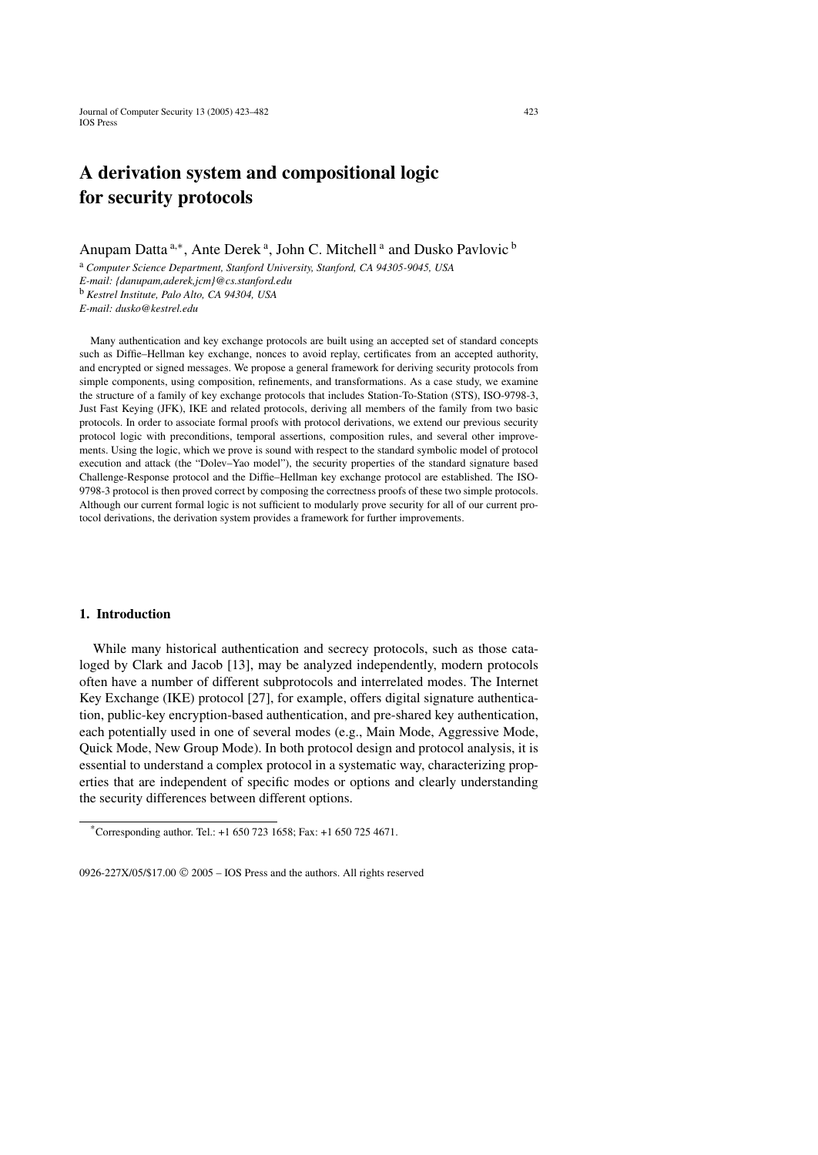# **A derivation system and compositional logic for security protocols**

Anupam Datta <sup>a,∗</sup>, Ante Derek <sup>a</sup>, John C. Mitchell <sup>a</sup> and Dusko Pavlovic <sup>b</sup>

<sup>a</sup> *Computer Science Department, Stanford University, Stanford, CA 94305-9045, USA E-mail: {danupam,aderek,jcm}@cs.stanford.edu* <sup>b</sup> *Kestrel Institute, Palo Alto, CA 94304, USA E-mail: dusko@kestrel.edu*

Many authentication and key exchange protocols are built using an accepted set of standard concepts such as Diffie–Hellman key exchange, nonces to avoid replay, certificates from an accepted authority, and encrypted or signed messages. We propose a general framework for deriving security protocols from simple components, using composition, refinements, and transformations. As a case study, we examine the structure of a family of key exchange protocols that includes Station-To-Station (STS), ISO-9798-3, Just Fast Keying (JFK), IKE and related protocols, deriving all members of the family from two basic protocols. In order to associate formal proofs with protocol derivations, we extend our previous security protocol logic with preconditions, temporal assertions, composition rules, and several other improvements. Using the logic, which we prove is sound with respect to the standard symbolic model of protocol execution and attack (the "Dolev–Yao model"), the security properties of the standard signature based Challenge-Response protocol and the Diffie–Hellman key exchange protocol are established. The ISO-9798-3 protocol is then proved correct by composing the correctness proofs of these two simple protocols. Although our current formal logic is not sufficient to modularly prove security for all of our current protocol derivations, the derivation system provides a framework for further improvements.

# **1. Introduction**

While many historical authentication and secrecy protocols, such as those cataloged by Clark and Jacob [13], may be analyzed independently, modern protocols often have a number of different subprotocols and interrelated modes. The Internet Key Exchange (IKE) protocol [27], for example, offers digital signature authentication, public-key encryption-based authentication, and pre-shared key authentication, each potentially used in one of several modes (e.g., Main Mode, Aggressive Mode, Quick Mode, New Group Mode). In both protocol design and protocol analysis, it is essential to understand a complex protocol in a systematic way, characterizing properties that are independent of specific modes or options and clearly understanding the security differences between different options.

<sup>\*</sup>Corresponding author. Tel.: +1 650 723 1658; Fax: +1 650 725 4671.

<sup>0926-227</sup>X/05/\$17.00  $\odot$  2005 – IOS Press and the authors. All rights reserved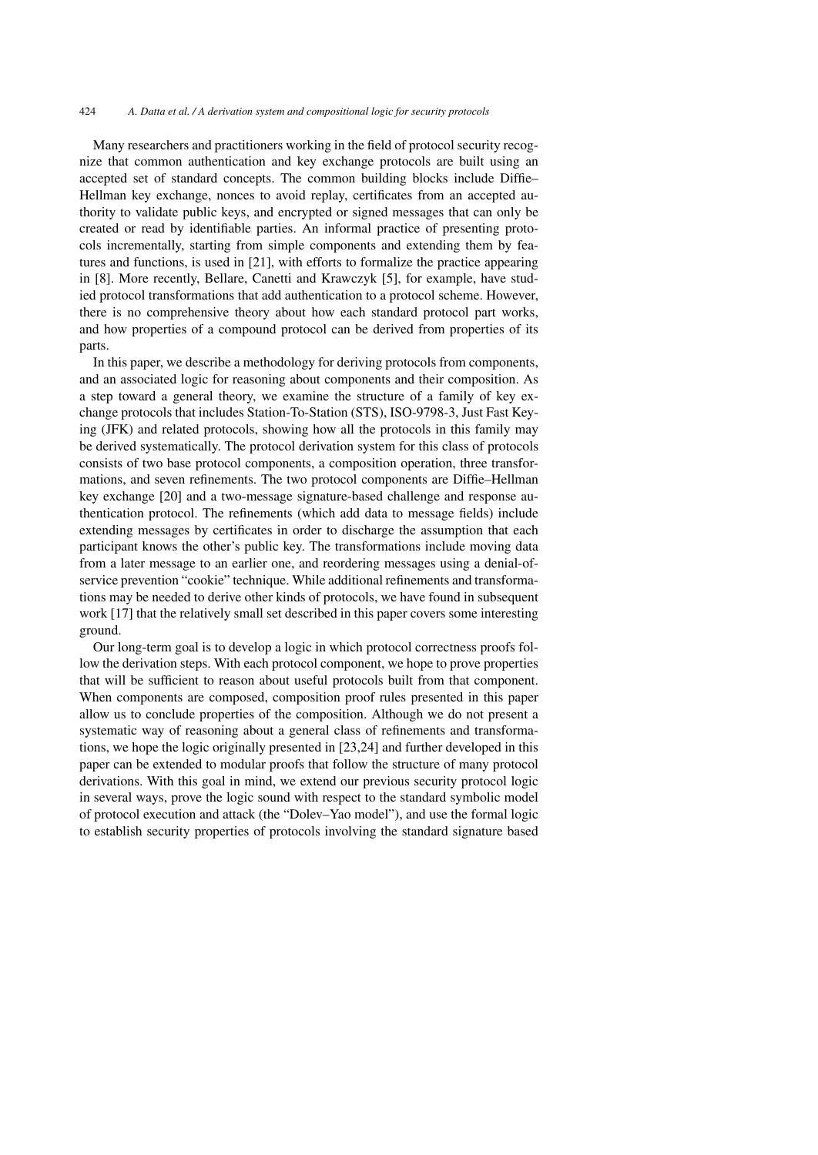#### 424 *A. Datta et al. / A derivation system and compositional logic for security protocols*

Many researchers and practitioners working in the field of protocol security recognize that common authentication and key exchange protocols are built using an accepted set of standard concepts. The common building blocks include Diffie– Hellman key exchange, nonces to avoid replay, certificates from an accepted authority to validate public keys, and encrypted or signed messages that can only be created or read by identifiable parties. An informal practice of presenting protocols incrementally, starting from simple components and extending them by features and functions, is used in [21], with efforts to formalize the practice appearing in [8]. More recently, Bellare, Canetti and Krawczyk [5], for example, have studied protocol transformations that add authentication to a protocol scheme. However, there is no comprehensive theory about how each standard protocol part works, and how properties of a compound protocol can be derived from properties of its parts.

In this paper, we describe a methodology for deriving protocols from components, and an associated logic for reasoning about components and their composition. As a step toward a general theory, we examine the structure of a family of key exchange protocols that includes Station-To-Station (STS), ISO-9798-3, Just Fast Keying (JFK) and related protocols, showing how all the protocols in this family may be derived systematically. The protocol derivation system for this class of protocols consists of two base protocol components, a composition operation, three transformations, and seven refinements. The two protocol components are Diffie–Hellman key exchange [20] and a two-message signature-based challenge and response authentication protocol. The refinements (which add data to message fields) include extending messages by certificates in order to discharge the assumption that each participant knows the other's public key. The transformations include moving data from a later message to an earlier one, and reordering messages using a denial-ofservice prevention "cookie" technique. While additional refinements and transformations may be needed to derive other kinds of protocols, we have found in subsequent work [17] that the relatively small set described in this paper covers some interesting ground.

Our long-term goal is to develop a logic in which protocol correctness proofs follow the derivation steps. With each protocol component, we hope to prove properties that will be sufficient to reason about useful protocols built from that component. When components are composed, composition proof rules presented in this paper allow us to conclude properties of the composition. Although we do not present a systematic way of reasoning about a general class of refinements and transformations, we hope the logic originally presented in [23,24] and further developed in this paper can be extended to modular proofs that follow the structure of many protocol derivations. With this goal in mind, we extend our previous security protocol logic in several ways, prove the logic sound with respect to the standard symbolic model of protocol execution and attack (the "Dolev–Yao model"), and use the formal logic to establish security properties of protocols involving the standard signature based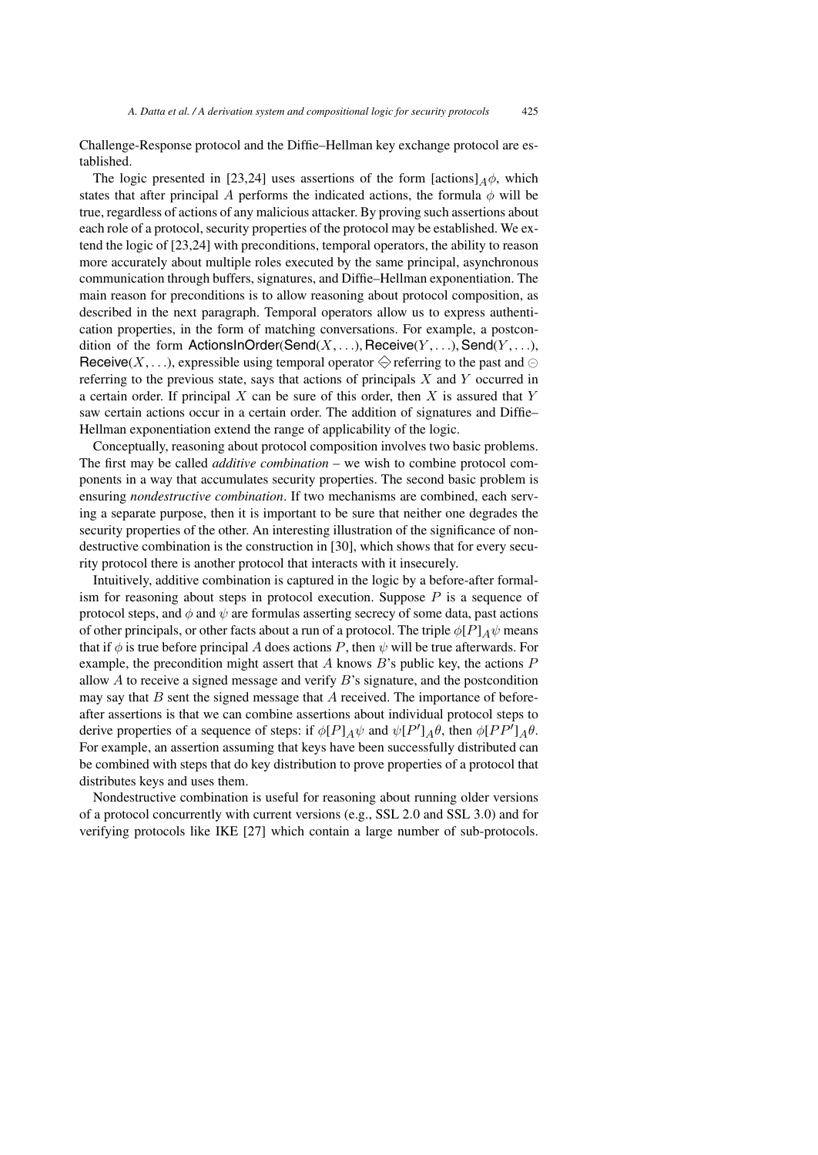Challenge-Response protocol and the Diffie–Hellman key exchange protocol are established.

The logic presented in [23,24] uses assertions of the form  $[actions]_A\phi$ , which states that after principal A performs the indicated actions, the formula  $\phi$  will be true, regardless of actions of any malicious attacker. By proving such assertions about each role of a protocol, security properties of the protocol may be established. We extend the logic of [23,24] with preconditions, temporal operators, the ability to reason more accurately about multiple roles executed by the same principal, asynchronous communication through buffers, signatures, and Diffie–Hellman exponentiation. The main reason for preconditions is to allow reasoning about protocol composition, as described in the next paragraph. Temporal operators allow us to express authentication properties, in the form of matching conversations. For example, a postcondition of the form ActionsInOrder(Send(X, ...), Receive(Y, ...), Send(Y, ...), Receive(X, ...), expressible using temporal operator  $\Diamond$  referring to the past and  $\ominus$ referring to the previous state, says that actions of principals  $X$  and  $Y$  occurred in a certain order. If principal  $X$  can be sure of this order, then  $X$  is assured that  $Y$ saw certain actions occur in a certain order. The addition of signatures and Diffie– Hellman exponentiation extend the range of applicability of the logic.

Conceptually, reasoning about protocol composition involves two basic problems. The first may be called *additive combination* – we wish to combine protocol components in a way that accumulates security properties. The second basic problem is ensuring *nondestructive combination*. If two mechanisms are combined, each serving a separate purpose, then it is important to be sure that neither one degrades the security properties of the other. An interesting illustration of the significance of nondestructive combination is the construction in [30], which shows that for every security protocol there is another protocol that interacts with it insecurely.

Intuitively, additive combination is captured in the logic by a before-after formalism for reasoning about steps in protocol execution. Suppose  $P$  is a sequence of protocol steps, and  $\phi$  and  $\psi$  are formulas asserting secrecy of some data, past actions of other principals, or other facts about a run of a protocol. The triple  $\phi[P]_A\psi$  means that if  $\phi$  is true before principal A does actions P, then  $\psi$  will be true afterwards. For example, the precondition might assert that  $A$  knows  $B$ 's public key, the actions  $P$ allow  $A$  to receive a signed message and verify  $B$ 's signature, and the postcondition may say that  $B$  sent the signed message that  $A$  received. The importance of beforeafter assertions is that we can combine assertions about individual protocol steps to derive properties of a sequence of steps: if  $\phi[P]_A \psi$  and  $\psi[P']_A \theta$ , then  $\phi[PP']_A \theta$ . For example, an assertion assuming that keys have been successfully distributed can be combined with steps that do key distribution to prove properties of a protocol that distributes keys and uses them.

Nondestructive combination is useful for reasoning about running older versions of a protocol concurrently with current versions (e.g., SSL 2.0 and SSL 3.0) and for verifying protocols like IKE [27] which contain a large number of sub-protocols.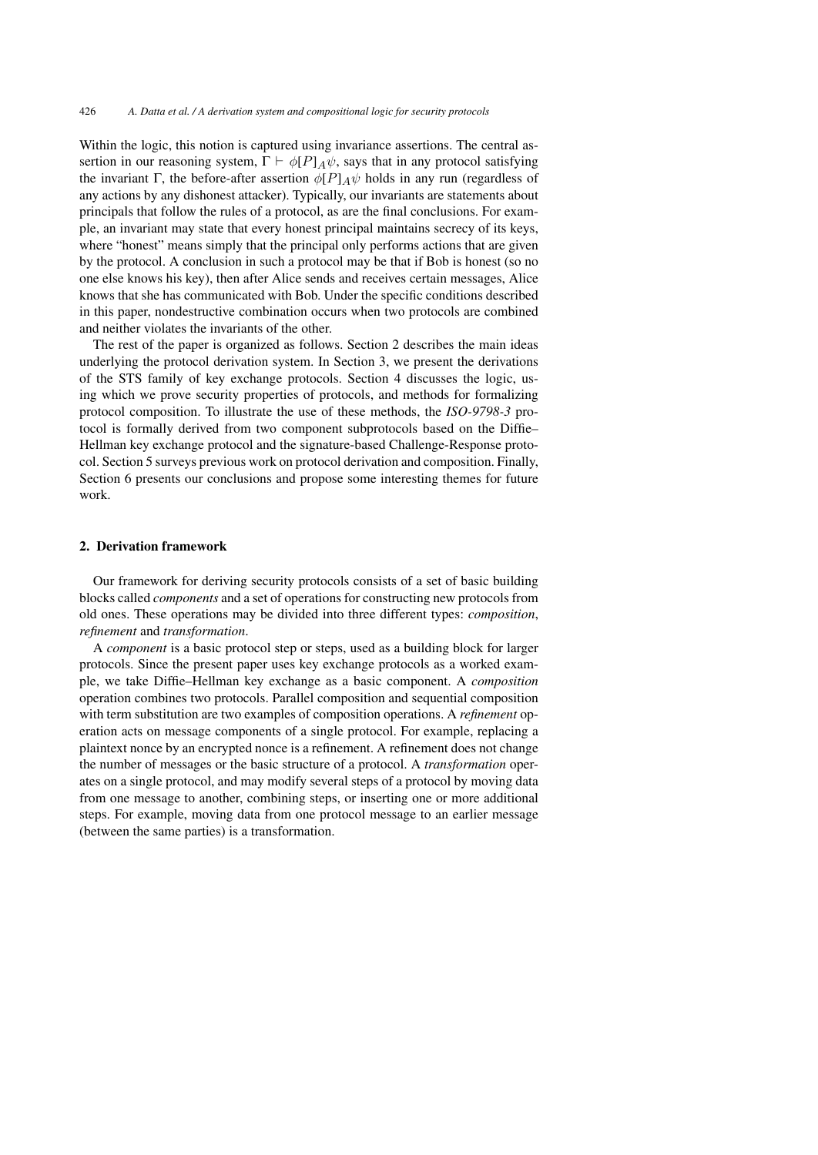Within the logic, this notion is captured using invariance assertions. The central assertion in our reasoning system,  $\Gamma \vdash \phi[P]_A \psi$ , says that in any protocol satisfying the invariant Γ, the before-after assertion  $\phi[P]_A\psi$  holds in any run (regardless of any actions by any dishonest attacker). Typically, our invariants are statements about principals that follow the rules of a protocol, as are the final conclusions. For example, an invariant may state that every honest principal maintains secrecy of its keys, where "honest" means simply that the principal only performs actions that are given by the protocol. A conclusion in such a protocol may be that if Bob is honest (so no one else knows his key), then after Alice sends and receives certain messages, Alice knows that she has communicated with Bob. Under the specific conditions described in this paper, nondestructive combination occurs when two protocols are combined and neither violates the invariants of the other.

The rest of the paper is organized as follows. Section 2 describes the main ideas underlying the protocol derivation system. In Section 3, we present the derivations of the STS family of key exchange protocols. Section 4 discusses the logic, using which we prove security properties of protocols, and methods for formalizing protocol composition. To illustrate the use of these methods, the *ISO-9798-3* protocol is formally derived from two component subprotocols based on the Diffie– Hellman key exchange protocol and the signature-based Challenge-Response protocol. Section 5 surveys previous work on protocol derivation and composition. Finally, Section 6 presents our conclusions and propose some interesting themes for future work.

# **2. Derivation framework**

Our framework for deriving security protocols consists of a set of basic building blocks called *components* and a set of operations for constructing new protocols from old ones. These operations may be divided into three different types: *composition*, *refinement* and *transformation*.

A *component* is a basic protocol step or steps, used as a building block for larger protocols. Since the present paper uses key exchange protocols as a worked example, we take Diffie–Hellman key exchange as a basic component. A *composition* operation combines two protocols. Parallel composition and sequential composition with term substitution are two examples of composition operations. A *refinement* operation acts on message components of a single protocol. For example, replacing a plaintext nonce by an encrypted nonce is a refinement. A refinement does not change the number of messages or the basic structure of a protocol. A *transformation* operates on a single protocol, and may modify several steps of a protocol by moving data from one message to another, combining steps, or inserting one or more additional steps. For example, moving data from one protocol message to an earlier message (between the same parties) is a transformation.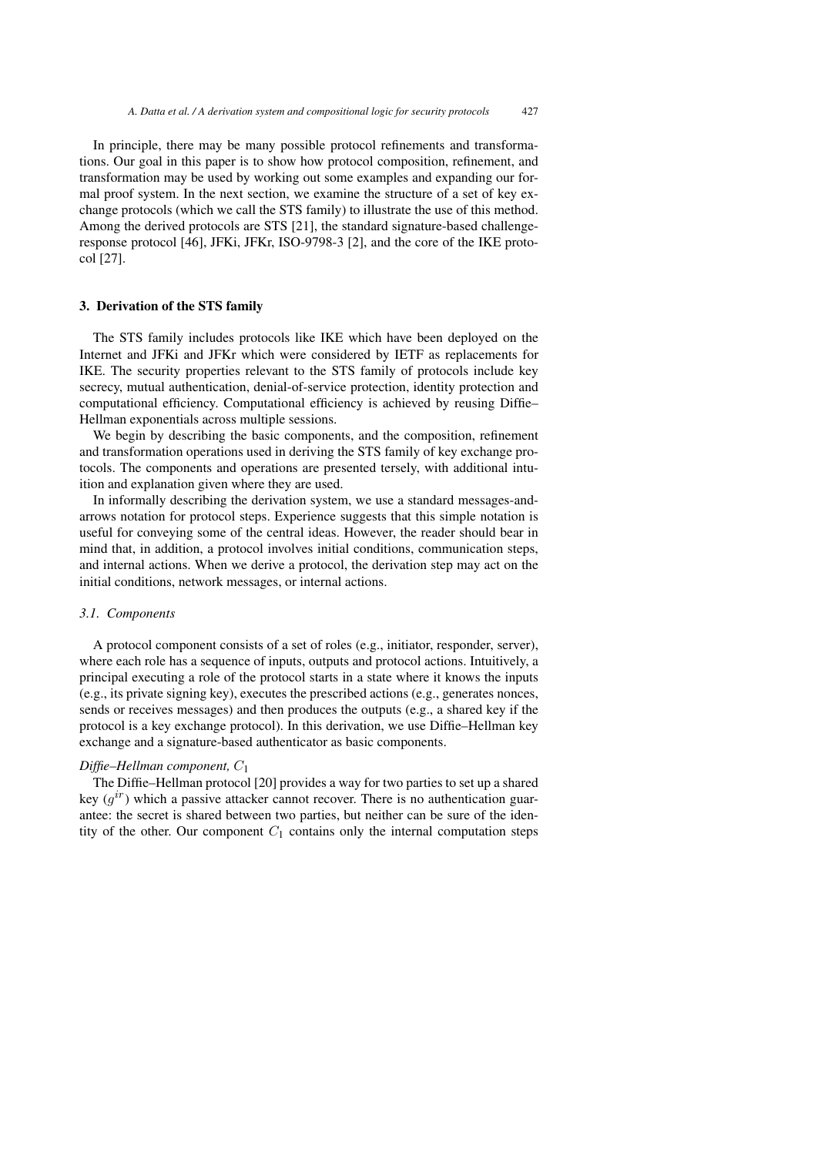In principle, there may be many possible protocol refinements and transformations. Our goal in this paper is to show how protocol composition, refinement, and transformation may be used by working out some examples and expanding our formal proof system. In the next section, we examine the structure of a set of key exchange protocols (which we call the STS family) to illustrate the use of this method. Among the derived protocols are STS [21], the standard signature-based challengeresponse protocol [46], JFKi, JFKr, ISO-9798-3 [2], and the core of the IKE protocol [27].

#### **3. Derivation of the STS family**

The STS family includes protocols like IKE which have been deployed on the Internet and JFKi and JFKr which were considered by IETF as replacements for IKE. The security properties relevant to the STS family of protocols include key secrecy, mutual authentication, denial-of-service protection, identity protection and computational efficiency. Computational efficiency is achieved by reusing Diffie– Hellman exponentials across multiple sessions.

We begin by describing the basic components, and the composition, refinement and transformation operations used in deriving the STS family of key exchange protocols. The components and operations are presented tersely, with additional intuition and explanation given where they are used.

In informally describing the derivation system, we use a standard messages-andarrows notation for protocol steps. Experience suggests that this simple notation is useful for conveying some of the central ideas. However, the reader should bear in mind that, in addition, a protocol involves initial conditions, communication steps, and internal actions. When we derive a protocol, the derivation step may act on the initial conditions, network messages, or internal actions.

### *3.1. Components*

A protocol component consists of a set of roles (e.g., initiator, responder, server), where each role has a sequence of inputs, outputs and protocol actions. Intuitively, a principal executing a role of the protocol starts in a state where it knows the inputs (e.g., its private signing key), executes the prescribed actions (e.g., generates nonces, sends or receives messages) and then produces the outputs (e.g., a shared key if the protocol is a key exchange protocol). In this derivation, we use Diffie–Hellman key exchange and a signature-based authenticator as basic components.

#### *Diffie–Hellman component,* C<sup>1</sup>

The Diffie–Hellman protocol [20] provides a way for two parties to set up a shared key  $(g^{ir})$  which a passive attacker cannot recover. There is no authentication guarantee: the secret is shared between two parties, but neither can be sure of the identity of the other. Our component  $C_1$  contains only the internal computation steps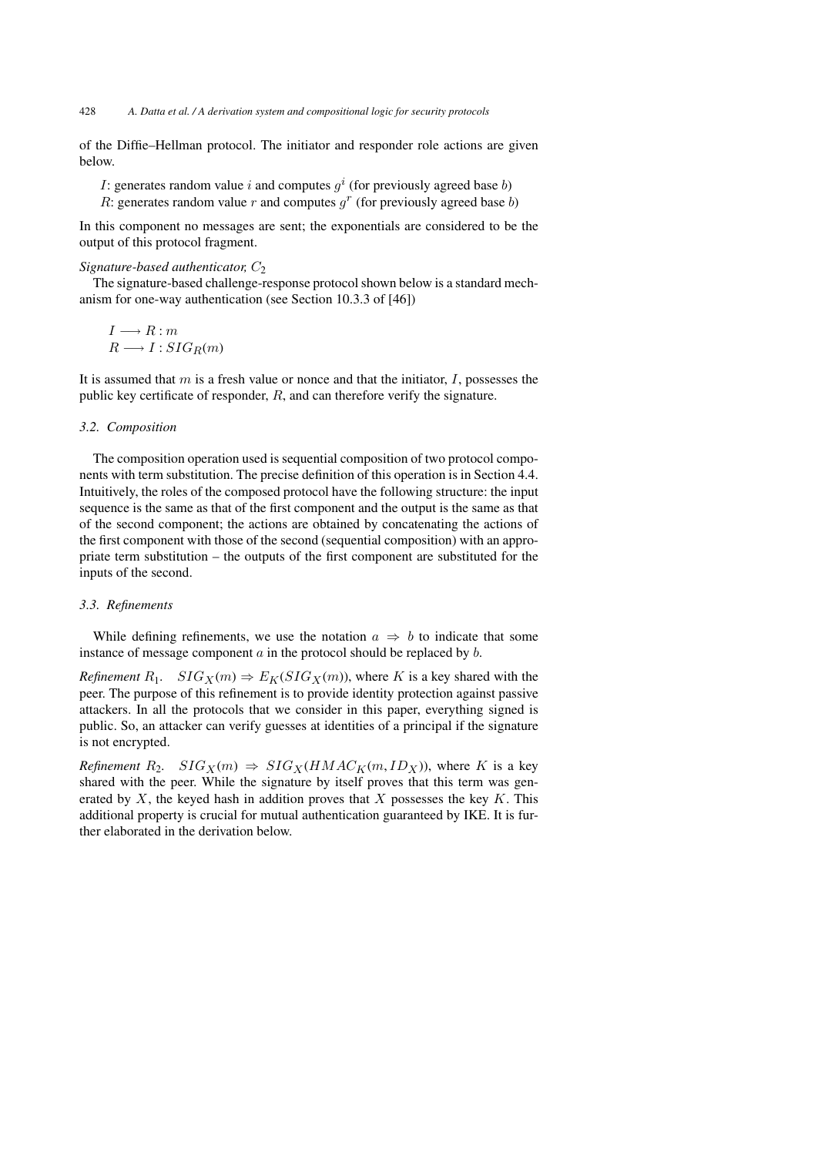of the Diffie–Hellman protocol. The initiator and responder role actions are given below.

I: generates random value i and computes  $g^i$  (for previously agreed base b) R: generates random value r and computes  $g<sup>r</sup>$  (for previously agreed base b)

In this component no messages are sent; the exponentials are considered to be the output of this protocol fragment.

#### *Signature-based authenticator, C*<sub>2</sub>

The signature-based challenge-response protocol shown below is a standard mechanism for one-way authentication (see Section 10.3.3 of [46])

$$
\begin{array}{c}\nI \longrightarrow R : m \\
R \longrightarrow I : SIG_R(m)\n\end{array}
$$

It is assumed that  $m$  is a fresh value or nonce and that the initiator,  $I$ , possesses the public key certificate of responder,  $R$ , and can therefore verify the signature.

### *3.2. Composition*

The composition operation used is sequential composition of two protocol components with term substitution. The precise definition of this operation is in Section 4.4. Intuitively, the roles of the composed protocol have the following structure: the input sequence is the same as that of the first component and the output is the same as that of the second component; the actions are obtained by concatenating the actions of the first component with those of the second (sequential composition) with an appropriate term substitution – the outputs of the first component are substituted for the inputs of the second.

### *3.3. Refinements*

While defining refinements, we use the notation  $a \Rightarrow b$  to indicate that some instance of message component  $\alpha$  in the protocol should be replaced by  $\delta$ .

*Refinement*  $R_1$ .  $SIG_X(m) \Rightarrow E_K(SIG_X(m))$ , where K is a key shared with the peer. The purpose of this refinement is to provide identity protection against passive attackers. In all the protocols that we consider in this paper, everything signed is public. So, an attacker can verify guesses at identities of a principal if the signature is not encrypted.

*Refinement*  $R_2$ .  $SIG_X(m) \Rightarrow SIG_X(HMAC_K(m, ID_X))$ , where *K* is a key shared with the peer. While the signature by itself proves that this term was generated by  $X$ , the keyed hash in addition proves that  $X$  possesses the key  $K$ . This additional property is crucial for mutual authentication guaranteed by IKE. It is further elaborated in the derivation below.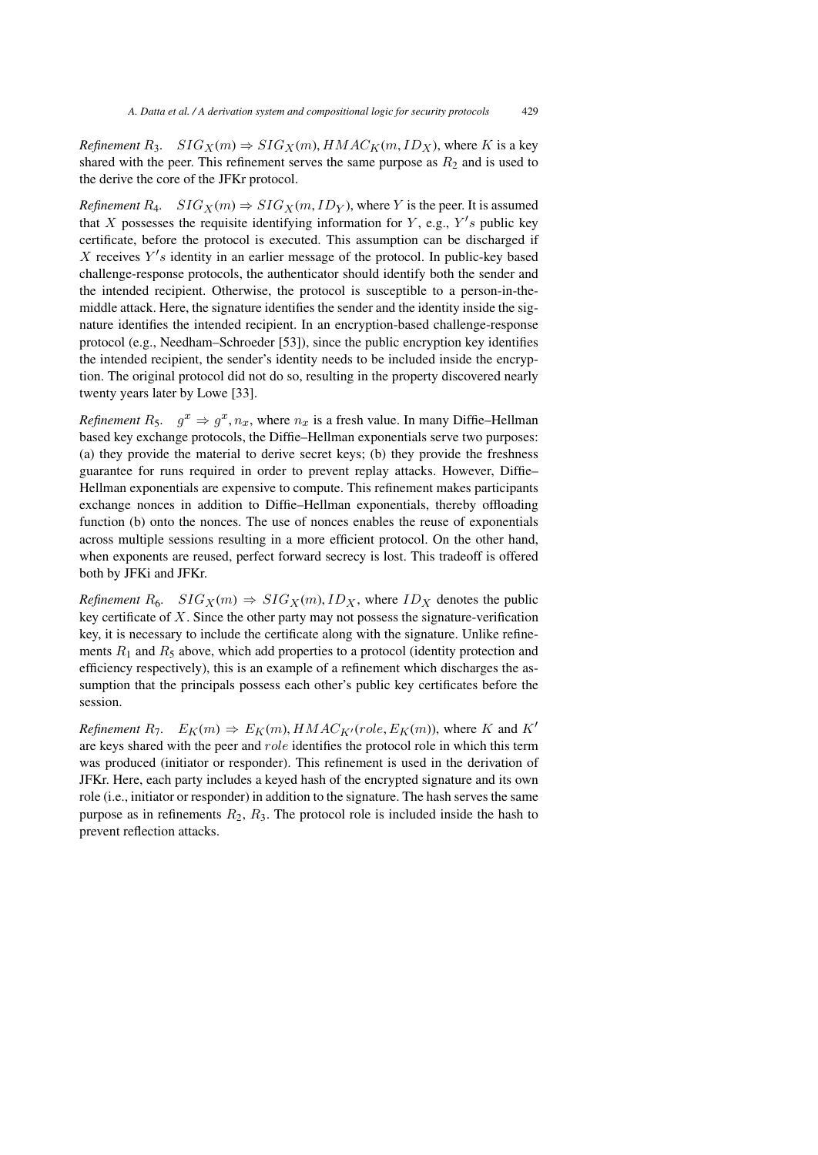*Refinement*  $R_3$ .  $SIG_X(m) \Rightarrow SIG_X(m)$ ,  $HMAC_K(m, ID_X)$ , where K is a key shared with the peer. This refinement serves the same purpose as  $R_2$  and is used to the derive the core of the JFKr protocol.

*Refinement*  $R_4$ .  $SIG_X(m) \Rightarrow SIG_X(m, ID_Y)$ , where Y is the peer. It is assumed that X possesses the requisite identifying information for Y, e.g.,  $Y's$  public key certificate, before the protocol is executed. This assumption can be discharged if X receives  $Y's$  identity in an earlier message of the protocol. In public-key based challenge-response protocols, the authenticator should identify both the sender and the intended recipient. Otherwise, the protocol is susceptible to a person-in-themiddle attack. Here, the signature identifies the sender and the identity inside the signature identifies the intended recipient. In an encryption-based challenge-response protocol (e.g., Needham–Schroeder [53]), since the public encryption key identifies the intended recipient, the sender's identity needs to be included inside the encryption. The original protocol did not do so, resulting in the property discovered nearly twenty years later by Lowe [33].

*Refinement*  $R_5$ .  $g^x \Rightarrow g^x, n_x$ , where  $n_x$  is a fresh value. In many Diffie–Hellman based key exchange protocols, the Diffie–Hellman exponentials serve two purposes: (a) they provide the material to derive secret keys; (b) they provide the freshness guarantee for runs required in order to prevent replay attacks. However, Diffie– Hellman exponentials are expensive to compute. This refinement makes participants exchange nonces in addition to Diffie–Hellman exponentials, thereby offloading function (b) onto the nonces. The use of nonces enables the reuse of exponentials across multiple sessions resulting in a more efficient protocol. On the other hand, when exponents are reused, perfect forward secrecy is lost. This tradeoff is offered both by JFKi and JFKr.

*Refinement*  $R_6$ .  $SIG_X(m) \Rightarrow SIG_X(m), ID_X$ , where  $ID_X$  denotes the public key certificate of  $X$ . Since the other party may not possess the signature-verification key, it is necessary to include the certificate along with the signature. Unlike refinements  $R_1$  and  $R_5$  above, which add properties to a protocol (identity protection and efficiency respectively), this is an example of a refinement which discharges the assumption that the principals possess each other's public key certificates before the session.

*Refinement*  $R_7$ .  $E_K(m) \Rightarrow E_K(m)$ ,  $HMAC_{K'}(role, E_K(m))$ , where K and K<sup>T</sup> are keys shared with the peer and *role* identifies the protocol role in which this term was produced (initiator or responder). This refinement is used in the derivation of JFKr. Here, each party includes a keyed hash of the encrypted signature and its own role (i.e., initiator or responder) in addition to the signature. The hash serves the same purpose as in refinements  $R_2$ ,  $R_3$ . The protocol role is included inside the hash to prevent reflection attacks.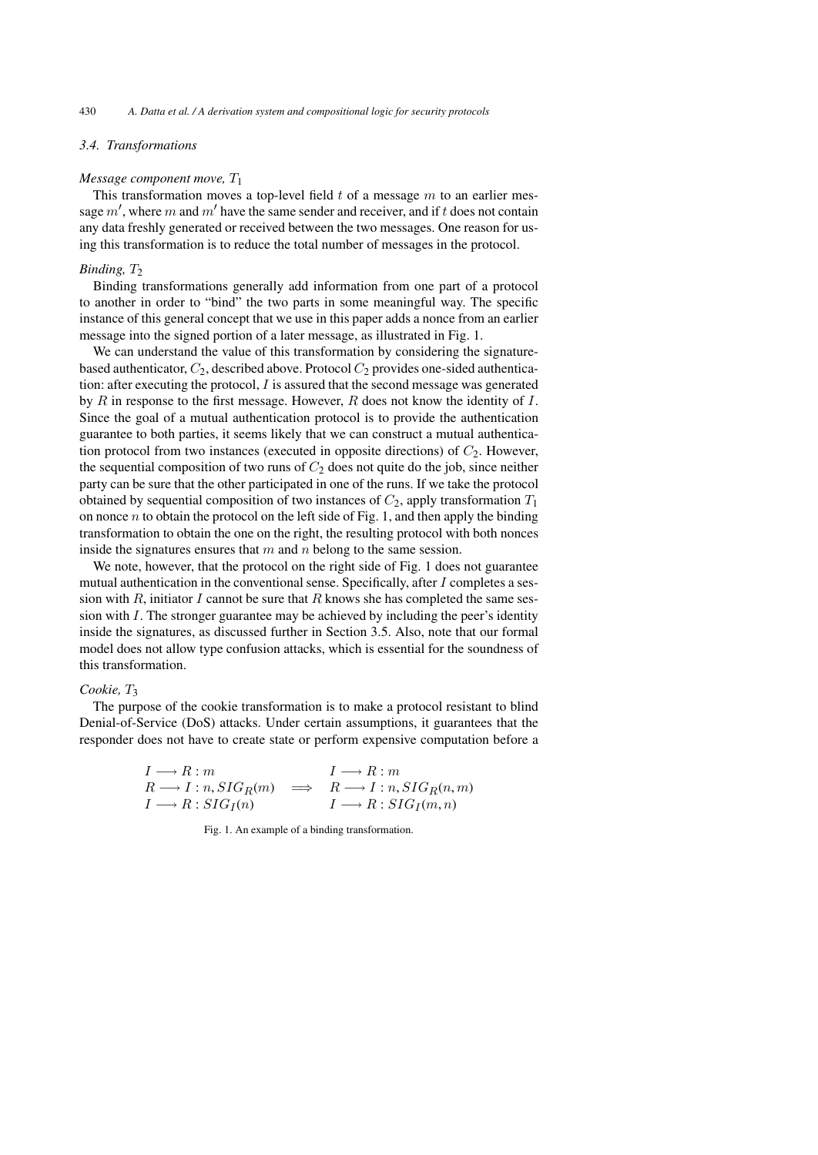#### *3.4. Transformations*

### *Message component move,* T<sup>1</sup>

This transformation moves a top-level field  $t$  of a message  $m$  to an earlier message  $m'$ , where  $m$  and  $m'$  have the same sender and receiver, and if t does not contain any data freshly generated or received between the two messages. One reason for using this transformation is to reduce the total number of messages in the protocol.

# *Binding, T<sub>2</sub>*

Binding transformations generally add information from one part of a protocol to another in order to "bind" the two parts in some meaningful way. The specific instance of this general concept that we use in this paper adds a nonce from an earlier message into the signed portion of a later message, as illustrated in Fig. 1.

We can understand the value of this transformation by considering the signaturebased authenticator,  $C_2$ , described above. Protocol  $C_2$  provides one-sided authentication: after executing the protocol,  $I$  is assured that the second message was generated by  $R$  in response to the first message. However,  $R$  does not know the identity of  $I$ . Since the goal of a mutual authentication protocol is to provide the authentication guarantee to both parties, it seems likely that we can construct a mutual authentication protocol from two instances (executed in opposite directions) of  $C_2$ . However, the sequential composition of two runs of  $C_2$  does not quite do the job, since neither party can be sure that the other participated in one of the runs. If we take the protocol obtained by sequential composition of two instances of  $C_2$ , apply transformation  $T_1$ on nonce  $n$  to obtain the protocol on the left side of Fig. 1, and then apply the binding transformation to obtain the one on the right, the resulting protocol with both nonces inside the signatures ensures that  $m$  and  $n$  belong to the same session.

We note, however, that the protocol on the right side of Fig. 1 does not guarantee mutual authentication in the conventional sense. Specifically, after I completes a session with  $R$ , initiator I cannot be sure that R knows she has completed the same session with  $I$ . The stronger guarantee may be achieved by including the peer's identity inside the signatures, as discussed further in Section 3.5. Also, note that our formal model does not allow type confusion attacks, which is essential for the soundness of this transformation.

### *Cookie,* T<sup>3</sup>

The purpose of the cookie transformation is to make a protocol resistant to blind Denial-of-Service (DoS) attacks. Under certain assumptions, it guarantees that the responder does not have to create state or perform expensive computation before a

$$
I \longrightarrow R : m
$$
  
\n
$$
R \longrightarrow I : n, SIG_R(m) \longrightarrow R \longrightarrow I : n, SIG_R(n, m)
$$
  
\n
$$
I \longrightarrow R : SIG_I(n) \longrightarrow R : SIG_I(m, n)
$$

Fig. 1. An example of a binding transformation.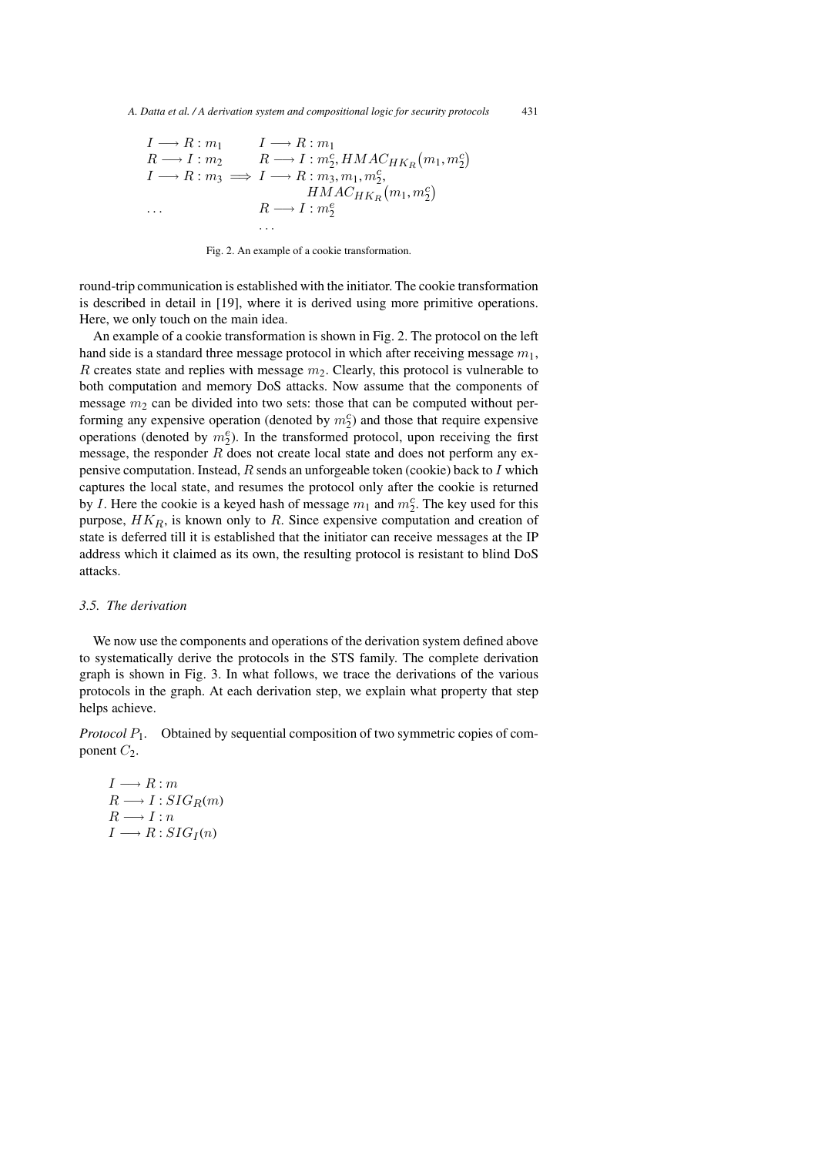$$
I \longrightarrow R : m_1 \qquad I \longrightarrow R : m_1
$$
  
\n
$$
R \longrightarrow I : m_2 \qquad R \longrightarrow I : m_2^c, HMAC_{HK_R}(m_1, m_2^c)
$$
  
\n
$$
I \longrightarrow R : m_3 \implies I \longrightarrow R : m_3, m_1, m_2^c,
$$
  
\n
$$
HMAC_{HK_R}(m_1, m_2^c)
$$
  
\n...  
\n
$$
R \longrightarrow I : m_2^e
$$
  
\n...

#### Fig. 2. An example of a cookie transformation.

round-trip communication is established with the initiator. The cookie transformation is described in detail in [19], where it is derived using more primitive operations. Here, we only touch on the main idea.

An example of a cookie transformation is shown in Fig. 2. The protocol on the left hand side is a standard three message protocol in which after receiving message  $m_1$ , R creates state and replies with message  $m<sub>2</sub>$ . Clearly, this protocol is vulnerable to both computation and memory DoS attacks. Now assume that the components of message  $m<sub>2</sub>$  can be divided into two sets: those that can be computed without performing any expensive operation (denoted by  $m_2^c$ ) and those that require expensive operations (denoted by  $m_2^e$ ). In the transformed protocol, upon receiving the first message, the responder  $R$  does not create local state and does not perform any expensive computation. Instead,  $R$  sends an unforgeable token (cookie) back to  $I$  which captures the local state, and resumes the protocol only after the cookie is returned by I. Here the cookie is a keyed hash of message  $m_1$  and  $m_2^c$ . The key used for this purpose,  $HK_R$ , is known only to R. Since expensive computation and creation of state is deferred till it is established that the initiator can receive messages at the IP address which it claimed as its own, the resulting protocol is resistant to blind DoS attacks.

### *3.5. The derivation*

We now use the components and operations of the derivation system defined above to systematically derive the protocols in the STS family. The complete derivation graph is shown in Fig. 3. In what follows, we trace the derivations of the various protocols in the graph. At each derivation step, we explain what property that step helps achieve.

*Protocol*  $P_1$ . Obtained by sequential composition of two symmetric copies of component  $C_2$ .

$$
I \longrightarrow R : m
$$
  
\n
$$
R \longrightarrow I : SIG_R(m)
$$
  
\n
$$
R \longrightarrow I : n
$$
  
\n
$$
I \longrightarrow R : SIG_I(n)
$$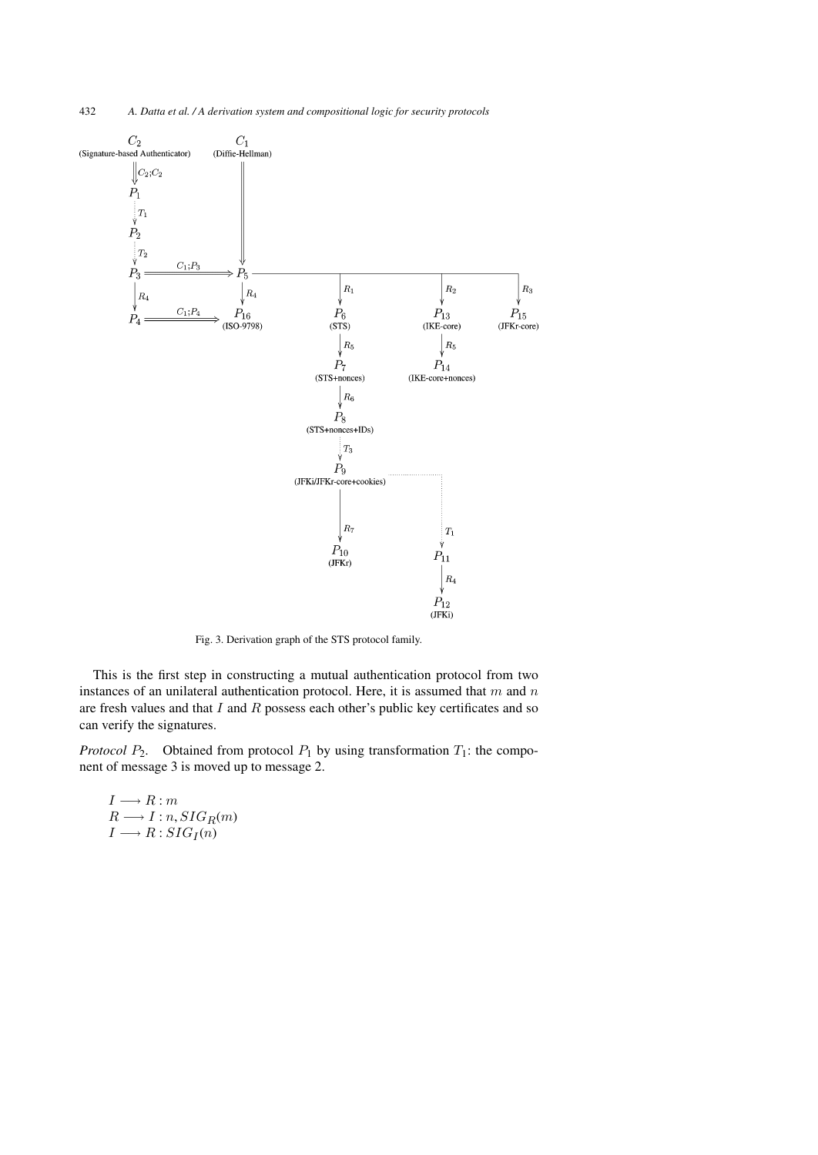

Fig. 3. Derivation graph of the STS protocol family.

This is the first step in constructing a mutual authentication protocol from two instances of an unilateral authentication protocol. Here, it is assumed that  $m$  and  $n$ are fresh values and that  $I$  and  $R$  possess each other's public key certificates and so can verify the signatures.

*Protocol*  $P_2$ . Obtained from protocol  $P_1$  by using transformation  $T_1$ : the component of message 3 is moved up to message 2.

 $I \longrightarrow R : m$  $R \longrightarrow I : n, SIG_R(m)$  $I \longrightarrow R : SIG_I(n)$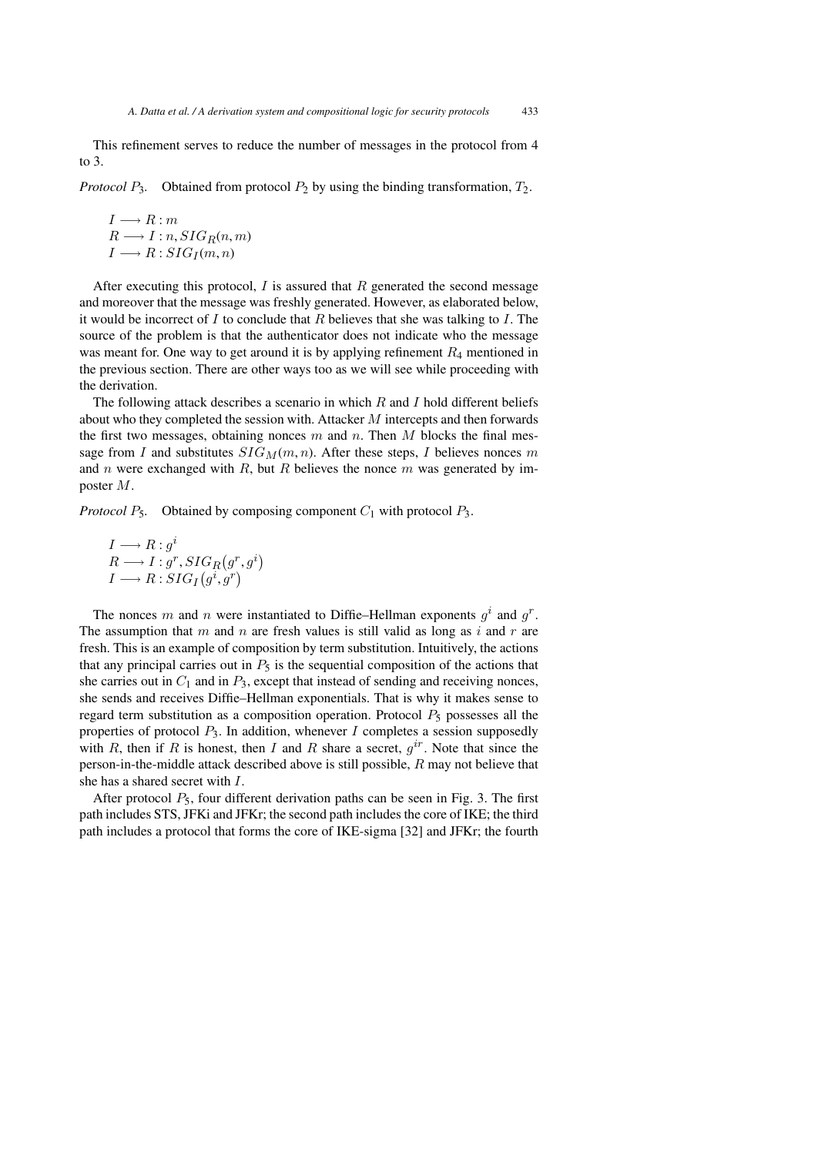This refinement serves to reduce the number of messages in the protocol from 4 to 3.

*Protocol*  $P_3$ . Obtained from protocol  $P_2$  by using the binding transformation,  $T_2$ .

$$
I \longrightarrow R : m
$$
  
\n
$$
R \longrightarrow I : n, SIG_R(n, m)
$$
  
\n
$$
I \longrightarrow R : SIG_I(m, n)
$$

After executing this protocol,  $I$  is assured that  $R$  generated the second message and moreover that the message was freshly generated. However, as elaborated below, it would be incorrect of I to conclude that R believes that she was talking to I. The source of the problem is that the authenticator does not indicate who the message was meant for. One way to get around it is by applying refinement  $R_4$  mentioned in the previous section. There are other ways too as we will see while proceeding with the derivation.

The following attack describes a scenario in which  $R$  and  $I$  hold different beliefs about who they completed the session with. Attacker  $M$  intercepts and then forwards the first two messages, obtaining nonces  $m$  and  $n$ . Then  $M$  blocks the final message from I and substitutes  $SIG<sub>M</sub>(m, n)$ . After these steps, I believes nonces m and n were exchanged with R, but R believes the nonce m was generated by imposter M.

*Protocol*  $P_5$ . Obtained by composing component  $C_1$  with protocol  $P_3$ .

$$
I \longrightarrow R : g^{i}
$$
  
\n
$$
R \longrightarrow I : g^{r}, SIG_{R}(g^{r}, g^{i})
$$
  
\n
$$
I \longrightarrow R : SIG_{I}(g^{i}, g^{r})
$$

The nonces m and n were instantiated to Diffie–Hellman exponents  $q^i$  and  $q^r$ . The assumption that m and n are fresh values is still valid as long as i and r are fresh. This is an example of composition by term substitution. Intuitively, the actions that any principal carries out in  $P_5$  is the sequential composition of the actions that she carries out in  $C_1$  and in  $P_3$ , except that instead of sending and receiving nonces, she sends and receives Diffie–Hellman exponentials. That is why it makes sense to regard term substitution as a composition operation. Protocol  $P_5$  possesses all the properties of protocol  $P_3$ . In addition, whenever I completes a session supposedly with R, then if R is honest, then I and R share a secret,  $g^{ir}$ . Note that since the person-in-the-middle attack described above is still possible,  $R$  may not believe that she has a shared secret with I.

After protocol  $P_5$ , four different derivation paths can be seen in Fig. 3. The first path includes STS, JFKi and JFKr; the second path includes the core of IKE; the third path includes a protocol that forms the core of IKE-sigma [32] and JFKr; the fourth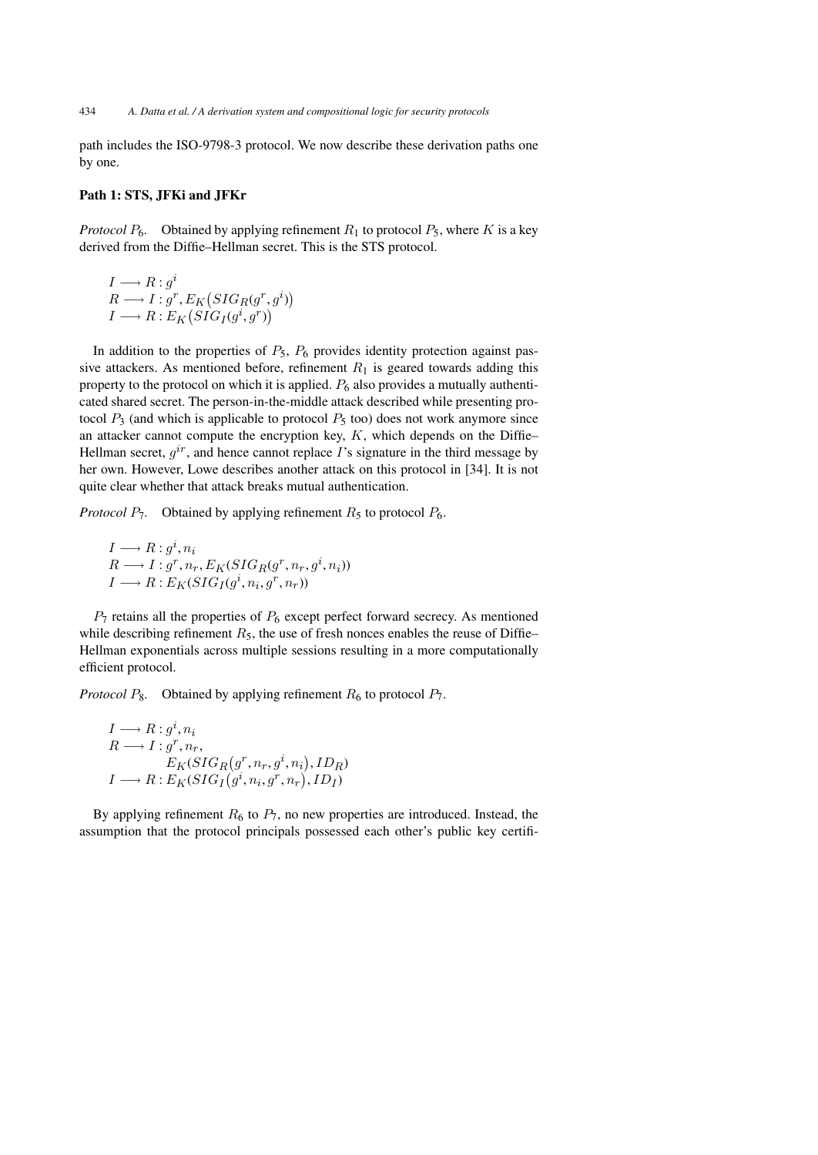path includes the ISO-9798-3 protocol. We now describe these derivation paths one by one.

# **Path 1: STS, JFKi and JFKr**

*Protocol*  $P_6$ . Obtained by applying refinement  $R_1$  to protocol  $P_5$ , where K is a key derived from the Diffie–Hellman secret. This is the STS protocol.

$$
I \longrightarrow R : g^i
$$
  
\n
$$
R \longrightarrow I : g^r, E_K(SIG_R(g^r, g^i))
$$
  
\n
$$
I \longrightarrow R : E_K(SIG_I(g^i, g^r))
$$

In addition to the properties of  $P_5$ ,  $P_6$  provides identity protection against passive attackers. As mentioned before, refinement  $R_1$  is geared towards adding this property to the protocol on which it is applied.  $P_6$  also provides a mutually authenticated shared secret. The person-in-the-middle attack described while presenting protocol  $P_3$  (and which is applicable to protocol  $P_5$  too) does not work anymore since an attacker cannot compute the encryption key,  $K$ , which depends on the Diffie– Hellman secret,  $g^{ir}$ , and hence cannot replace I's signature in the third message by her own. However, Lowe describes another attack on this protocol in [34]. It is not quite clear whether that attack breaks mutual authentication.

*Protocol P*<sub>7</sub>. Obtained by applying refinement  $R_5$  to protocol  $P_6$ .

$$
I \longrightarrow R: g^i, n_i
$$
  
\n
$$
R \longrightarrow I: g^r, n_r, E_K(SIG_R(g^r, n_r, g^i, n_i))
$$
  
\n
$$
I \longrightarrow R: E_K(SIG_T(g^i, n_i, g^r, n_r))
$$

 $P_7$  retains all the properties of  $P_6$  except perfect forward secrecy. As mentioned while describing refinement  $R_5$ , the use of fresh nonces enables the reuse of Diffie– Hellman exponentials across multiple sessions resulting in a more computationally efficient protocol.

*Protocol*  $P_8$ . Obtained by applying refinement  $R_6$  to protocol  $P_7$ .

$$
I \longrightarrow R: g^i, n_i
$$
  
\n
$$
R \longrightarrow I: g^r, n_r,
$$
  
\n
$$
E_K(SIG_R(g^r, n_r, g^i, n_i), ID_R)
$$
  
\n
$$
I \longrightarrow R: E_K(SIG_T(g^i, n_i, g^r, n_r), ID_I)
$$

By applying refinement  $R_6$  to  $P_7$ , no new properties are introduced. Instead, the assumption that the protocol principals possessed each other's public key certifi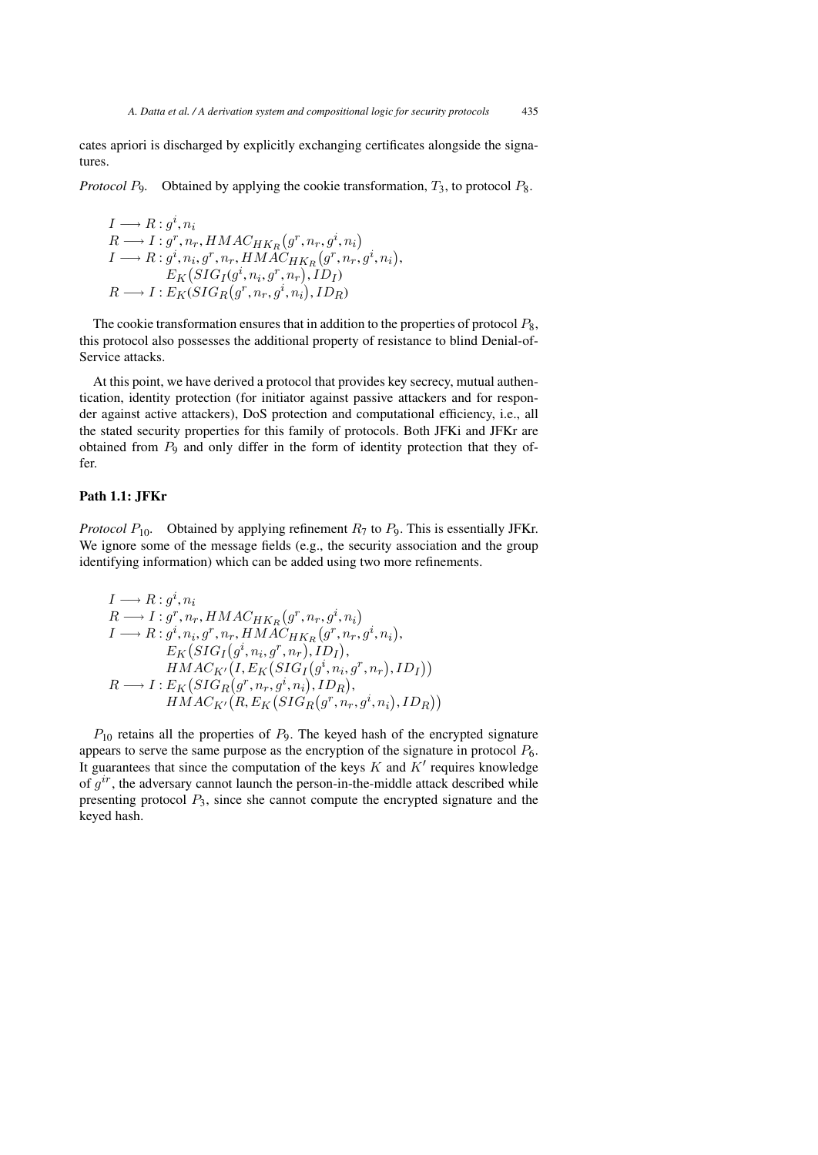,

cates apriori is discharged by explicitly exchanging certificates alongside the signatures.

*Protocol*  $P_9$ . Obtained by applying the cookie transformation,  $T_3$ , to protocol  $P_8$ .

$$
I \longrightarrow R: g^i, n_i
$$
  
\n
$$
R \longrightarrow I: g^r, n_r, HMAC_{HK_R}(g^r, n_r, g^i, n_i)
$$
  
\n
$$
I \longrightarrow R: g^i, n_i, g^r, n_r, HMAC_{HK_R}(g^r, n_r, g^i, n_i)
$$
  
\n
$$
E_K(SIG_I(g^i, n_i, g^r, n_r), ID_I)
$$
  
\n
$$
R \longrightarrow I: E_K(SIG_R(g^r, n_r, g^i, n_i), ID_R)
$$

The cookie transformation ensures that in addition to the properties of protocol  $P_8$ , this protocol also possesses the additional property of resistance to blind Denial-of-Service attacks.

At this point, we have derived a protocol that provides key secrecy, mutual authentication, identity protection (for initiator against passive attackers and for responder against active attackers), DoS protection and computational efficiency, i.e., all the stated security properties for this family of protocols. Both JFKi and JFKr are obtained from  $P_9$  and only differ in the form of identity protection that they offer.

## **Path 1.1: JFKr**

*Protocol*  $P_{10}$ . Obtained by applying refinement  $R_7$  to  $P_9$ . This is essentially JFKr. We ignore some of the message fields (e.g., the security association and the group identifying information) which can be added using two more refinements.

$$
I \longrightarrow R: g^{i}, n_{i}
$$
  
\n
$$
R \longrightarrow I: g^{r}, n_{r}, HMAC_{HK_{R}}(g^{r}, n_{r}, g^{i}, n_{i})
$$
  
\n
$$
I \longrightarrow R: g^{i}, n_{i}, g^{r}, n_{r}, HMAC_{HK_{R}}(g^{r}, n_{r}, g^{i}, n_{i}),
$$
  
\n
$$
E_{K}(SIG_{I}(g^{i}, n_{i}, g^{r}, n_{r}), ID_{I}),
$$
  
\n
$$
HMAC_{K'}(I, E_{K}(SIG_{I}(g^{i}, n_{i}, g^{r}, n_{r}), ID_{I}))
$$
  
\n
$$
R \longrightarrow I: E_{K}(SIG_{R}(g^{r}, n_{r}, g^{i}, n_{i}), ID_{R}),
$$
  
\n
$$
HMAC_{K'}(R, E_{K}(SIG_{R}(g^{r}, n_{r}, g^{i}, n_{i}), ID_{R}))
$$

 $P_{10}$  retains all the properties of  $P_9$ . The keyed hash of the encrypted signature appears to serve the same purpose as the encryption of the signature in protocol  $P_6$ . It guarantees that since the computation of the keys  $K$  and  $K'$  requires knowledge of  $g^{ir}$ , the adversary cannot launch the person-in-the-middle attack described while presenting protocol  $P_3$ , since she cannot compute the encrypted signature and the keyed hash.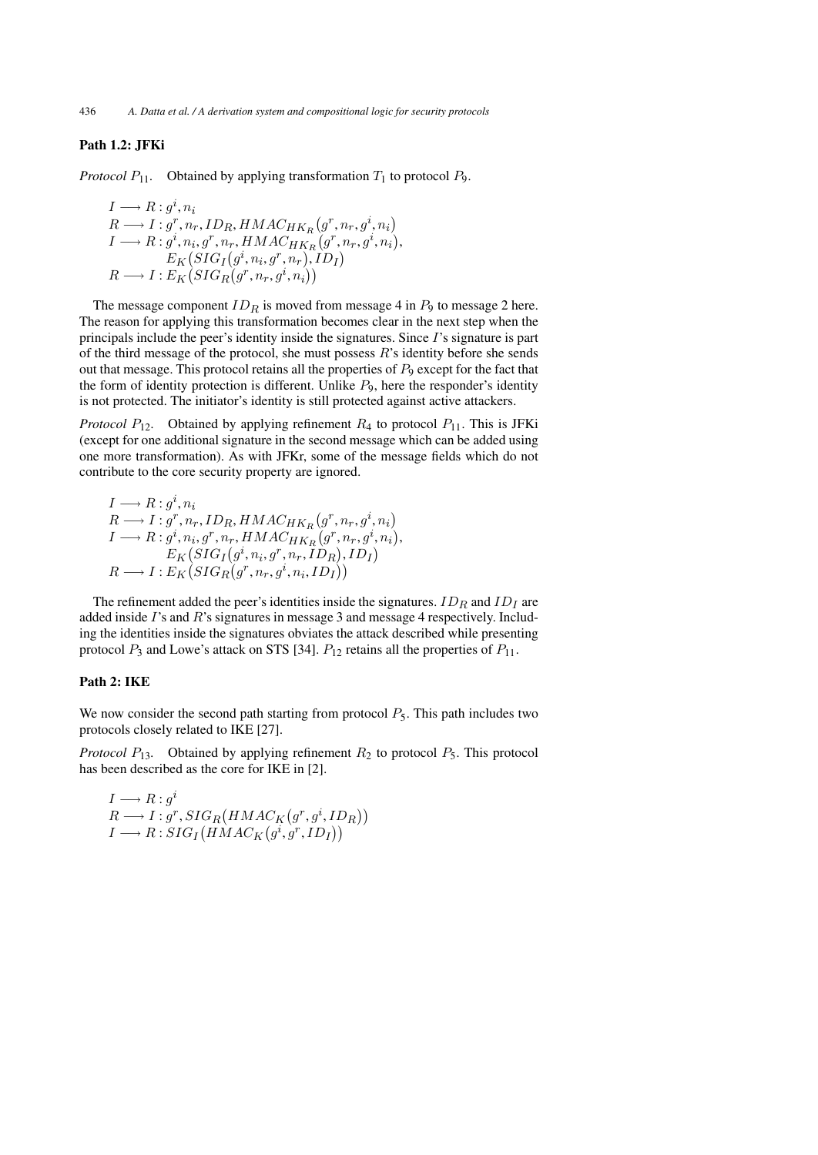# **Path 1.2: JFKi**

*Protocol*  $P_{11}$ . Obtained by applying transformation  $T_1$  to protocol  $P_9$ .

$$
I \longrightarrow R: g^i, n_i
$$
  
\n
$$
R \longrightarrow I: g^r, n_r, ID_R, HMAC_{HK_R}(g^r, n_r, g^i, n_i)
$$
  
\n
$$
I \longrightarrow R: g^i, n_i, g^r, n_r, HMAC_{HK_R}(g^r, n_r, g^i, n_i),
$$
  
\n
$$
E_K(SIG_I(g^i, n_i, g^r, n_r), ID_I)
$$
  
\n
$$
R \longrightarrow I: E_K(SIG_R(g^r, n_r, g^i, n_i))
$$

The message component  $ID_R$  is moved from message 4 in  $P_9$  to message 2 here. The reason for applying this transformation becomes clear in the next step when the principals include the peer's identity inside the signatures. Since I's signature is part of the third message of the protocol, she must possess  $R$ 's identity before she sends out that message. This protocol retains all the properties of  $P<sub>9</sub>$  except for the fact that the form of identity protection is different. Unlike  $P<sub>9</sub>$ , here the responder's identity is not protected. The initiator's identity is still protected against active attackers.

*Protocol*  $P_{12}$ . Obtained by applying refinement  $R_4$  to protocol  $P_{11}$ . This is JFKi (except for one additional signature in the second message which can be added using one more transformation). As with JFKr, some of the message fields which do not contribute to the core security property are ignored.

$$
I \longrightarrow R: g^i, n_i
$$
  
\n
$$
R \longrightarrow I: g^r, n_r, ID_R, HMAC_{HK_R}(g^r, n_r, g^i, n_i)
$$
  
\n
$$
I \longrightarrow R: g^i, n_i, g^r, n_r, HMAC_{HK_R}(g^r, n_r, g^i, n_i),
$$
  
\n
$$
E_K(SIG_I(g^i, n_i, g^r, n_r, ID_R), ID_I)
$$
  
\n
$$
R \longrightarrow I: E_K(SIG_R(g^r, n_r, g^i, n_i, ID_I))
$$

The refinement added the peer's identities inside the signatures.  $ID_R$  and  $ID_I$  are added inside  $I$ 's and  $R$ 's signatures in message 3 and message 4 respectively. Including the identities inside the signatures obviates the attack described while presenting protocol  $P_3$  and Lowe's attack on STS [34].  $P_{12}$  retains all the properties of  $P_{11}$ .

# **Path 2: IKE**

We now consider the second path starting from protocol  $P_5$ . This path includes two protocols closely related to IKE [27].

*Protocol*  $P_{13}$ . Obtained by applying refinement  $R_2$  to protocol  $P_5$ . This protocol has been described as the core for IKE in [2].

$$
I \longrightarrow R: g^{i}
$$
  
\n
$$
R \longrightarrow I: g^{r}, SIG_{R}(HMAC_{K}(g^{r}, g^{i}, ID_{R}))
$$
  
\n
$$
I \longrightarrow R: SIG_{I}(HMAC_{K}(g^{i}, g^{r}, ID_{I}))
$$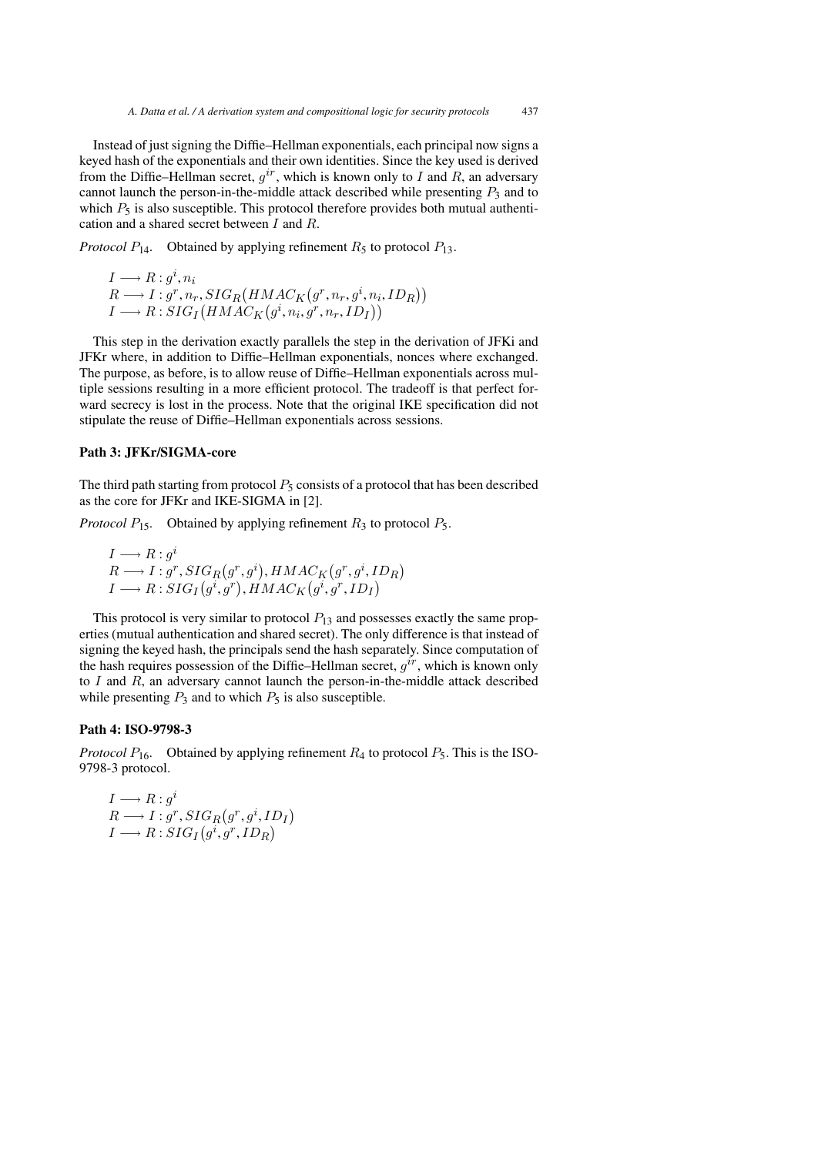Instead of just signing the Diffie–Hellman exponentials, each principal now signs a keyed hash of the exponentials and their own identities. Since the key used is derived from the Diffie–Hellman secret,  $g^{ir}$ , which is known only to I and R, an adversary cannot launch the person-in-the-middle attack described while presenting  $P_3$  and to which  $P_5$  is also susceptible. This protocol therefore provides both mutual authentication and a shared secret between  $I$  and  $R$ .

*Protocol*  $P_{14}$ . Obtained by applying refinement  $R_5$  to protocol  $P_{13}$ .

$$
I \longrightarrow R: g^{i}, n_{i}
$$
  
\n
$$
R \longrightarrow I: g^{r}, n_{r}, SIG_{R}(HMAC_{K}(g^{r}, n_{r}, g^{i}, n_{i}, ID_{R}))
$$
  
\n
$$
I \longrightarrow R: SIG_{I}(HMAC_{K}(g^{i}, n_{i}, g^{r}, n_{r}, ID_{I}))
$$

This step in the derivation exactly parallels the step in the derivation of JFKi and JFKr where, in addition to Diffie–Hellman exponentials, nonces where exchanged. The purpose, as before, is to allow reuse of Diffie–Hellman exponentials across multiple sessions resulting in a more efficient protocol. The tradeoff is that perfect forward secrecy is lost in the process. Note that the original IKE specification did not stipulate the reuse of Diffie–Hellman exponentials across sessions.

### **Path 3: JFKr/SIGMA-core**

The third path starting from protocol  $P_5$  consists of a protocol that has been described as the core for JFKr and IKE-SIGMA in [2].

*Protocol*  $P_{15}$ . Obtained by applying refinement  $R_3$  to protocol  $P_5$ .

$$
I \longrightarrow R: g^{i}
$$
  
\n
$$
R \longrightarrow I: g^{r}, SIG_{R}(g^{r}, g^{i}), HMAC_{K}(g^{r}, g^{i}, ID_{R})
$$
  
\n
$$
I \longrightarrow R: SIG_{I}(g^{i}, g^{r}), HMAC_{K}(g^{i}, g^{r}, ID_{I})
$$

This protocol is very similar to protocol  $P_{13}$  and possesses exactly the same properties (mutual authentication and shared secret). The only difference is that instead of signing the keyed hash, the principals send the hash separately. Since computation of the hash requires possession of the Diffie–Hellman secret,  $g^{ir}$ , which is known only to  $I$  and  $R$ , an adversary cannot launch the person-in-the-middle attack described while presenting  $P_3$  and to which  $P_5$  is also susceptible.

# **Path 4: ISO-9798-3**

*Protocol*  $P_{16}$ . Obtained by applying refinement  $R_4$  to protocol  $P_5$ . This is the ISO-9798-3 protocol.

 $I \longrightarrow R : g^i$  $R \longrightarrow I : g<sup>r</sup>, SIG<sub>R</sub>(g<sup>r</sup>, g<sup>i</sup>, ID<sub>I</sub>)$  $I \longrightarrow R : SIG_I(g^i, g^r, ID_R)$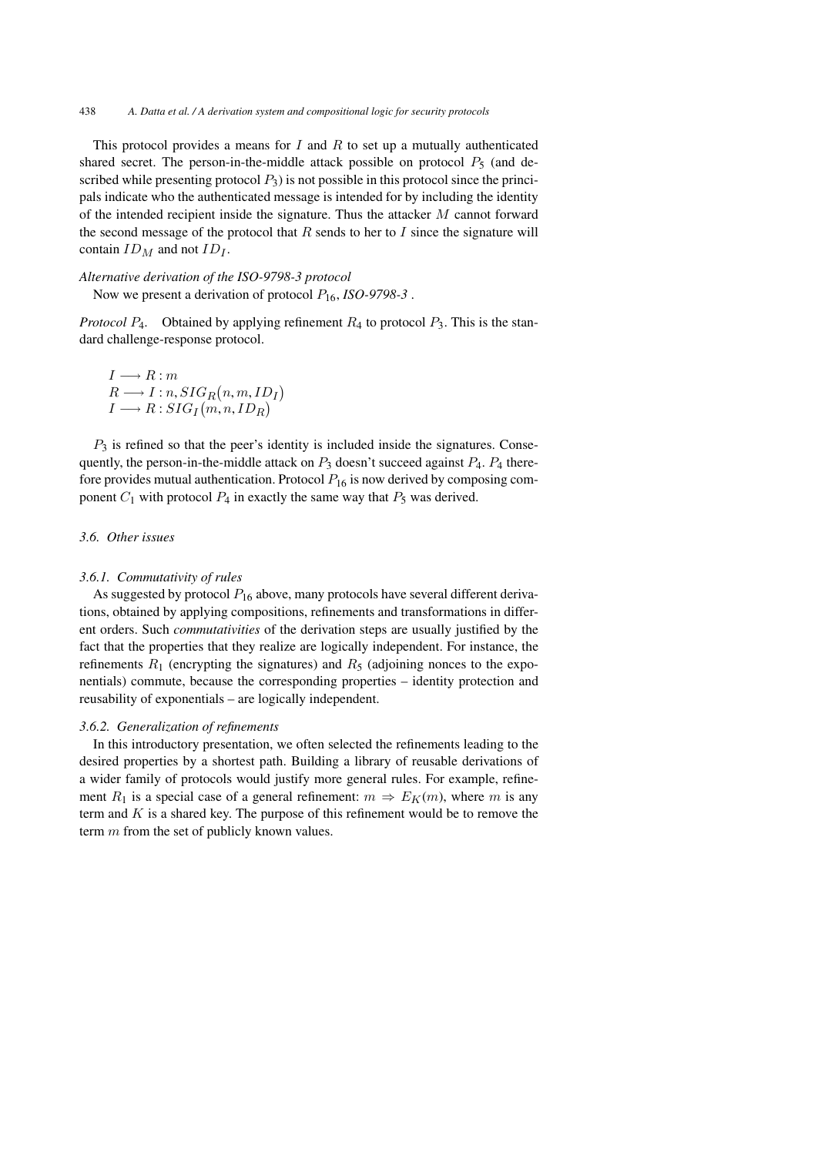This protocol provides a means for  $I$  and  $R$  to set up a mutually authenticated shared secret. The person-in-the-middle attack possible on protocol  $P_5$  (and described while presenting protocol  $P_3$ ) is not possible in this protocol since the principals indicate who the authenticated message is intended for by including the identity of the intended recipient inside the signature. Thus the attacker  $M$  cannot forward the second message of the protocol that  $R$  sends to her to  $I$  since the signature will contain  $ID_M$  and not  $ID_I$ .

# *Alternative derivation of the ISO-9798-3 protocol*

Now we present a derivation of protocol P16, *ISO-9798-3* .

*Protocol*  $P_4$ . Obtained by applying refinement  $R_4$  to protocol  $P_3$ . This is the standard challenge-response protocol.

$$
\begin{array}{l} I \longrightarrow R:m \\ R \longrightarrow I:n, SIG_R(n,m, ID_I) \\ I \longrightarrow R: SIG_I(m,n, ID_R) \end{array}
$$

 $P_3$  is refined so that the peer's identity is included inside the signatures. Consequently, the person-in-the-middle attack on  $P_3$  doesn't succeed against  $P_4$ .  $P_4$  therefore provides mutual authentication. Protocol  $P_{16}$  is now derived by composing component  $C_1$  with protocol  $P_4$  in exactly the same way that  $P_5$  was derived.

#### *3.6. Other issues*

#### *3.6.1. Commutativity of rules*

As suggested by protocol  $P_{16}$  above, many protocols have several different derivations, obtained by applying compositions, refinements and transformations in different orders. Such *commutativities* of the derivation steps are usually justified by the fact that the properties that they realize are logically independent. For instance, the refinements  $R_1$  (encrypting the signatures) and  $R_5$  (adjoining nonces to the exponentials) commute, because the corresponding properties – identity protection and reusability of exponentials – are logically independent.

#### *3.6.2. Generalization of refinements*

In this introductory presentation, we often selected the refinements leading to the desired properties by a shortest path. Building a library of reusable derivations of a wider family of protocols would justify more general rules. For example, refinement  $R_1$  is a special case of a general refinement:  $m \Rightarrow E_K(m)$ , where m is any term and  $K$  is a shared key. The purpose of this refinement would be to remove the term  $m$  from the set of publicly known values.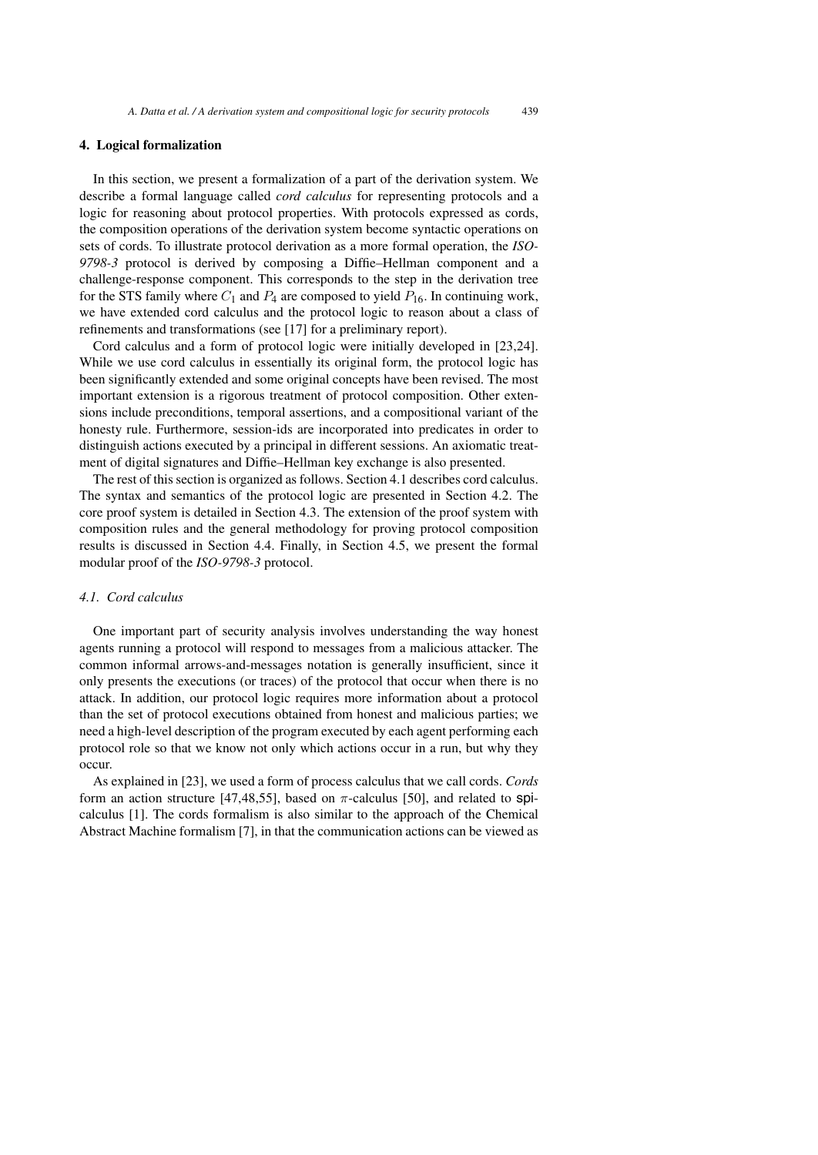#### **4. Logical formalization**

In this section, we present a formalization of a part of the derivation system. We describe a formal language called *cord calculus* for representing protocols and a logic for reasoning about protocol properties. With protocols expressed as cords, the composition operations of the derivation system become syntactic operations on sets of cords. To illustrate protocol derivation as a more formal operation, the *ISO-9798-3* protocol is derived by composing a Diffie–Hellman component and a challenge-response component. This corresponds to the step in the derivation tree for the STS family where  $C_1$  and  $P_4$  are composed to yield  $P_{16}$ . In continuing work, we have extended cord calculus and the protocol logic to reason about a class of refinements and transformations (see [17] for a preliminary report).

Cord calculus and a form of protocol logic were initially developed in [23,24]. While we use cord calculus in essentially its original form, the protocol logic has been significantly extended and some original concepts have been revised. The most important extension is a rigorous treatment of protocol composition. Other extensions include preconditions, temporal assertions, and a compositional variant of the honesty rule. Furthermore, session-ids are incorporated into predicates in order to distinguish actions executed by a principal in different sessions. An axiomatic treatment of digital signatures and Diffie–Hellman key exchange is also presented.

The rest of this section is organized as follows. Section 4.1 describes cord calculus. The syntax and semantics of the protocol logic are presented in Section 4.2. The core proof system is detailed in Section 4.3. The extension of the proof system with composition rules and the general methodology for proving protocol composition results is discussed in Section 4.4. Finally, in Section 4.5, we present the formal modular proof of the *ISO-9798-3* protocol.

#### *4.1. Cord calculus*

One important part of security analysis involves understanding the way honest agents running a protocol will respond to messages from a malicious attacker. The common informal arrows-and-messages notation is generally insufficient, since it only presents the executions (or traces) of the protocol that occur when there is no attack. In addition, our protocol logic requires more information about a protocol than the set of protocol executions obtained from honest and malicious parties; we need a high-level description of the program executed by each agent performing each protocol role so that we know not only which actions occur in a run, but why they occur.

As explained in [23], we used a form of process calculus that we call cords. *Cords* form an action structure [47,48,55], based on  $\pi$ -calculus [50], and related to spicalculus [1]. The cords formalism is also similar to the approach of the Chemical Abstract Machine formalism [7], in that the communication actions can be viewed as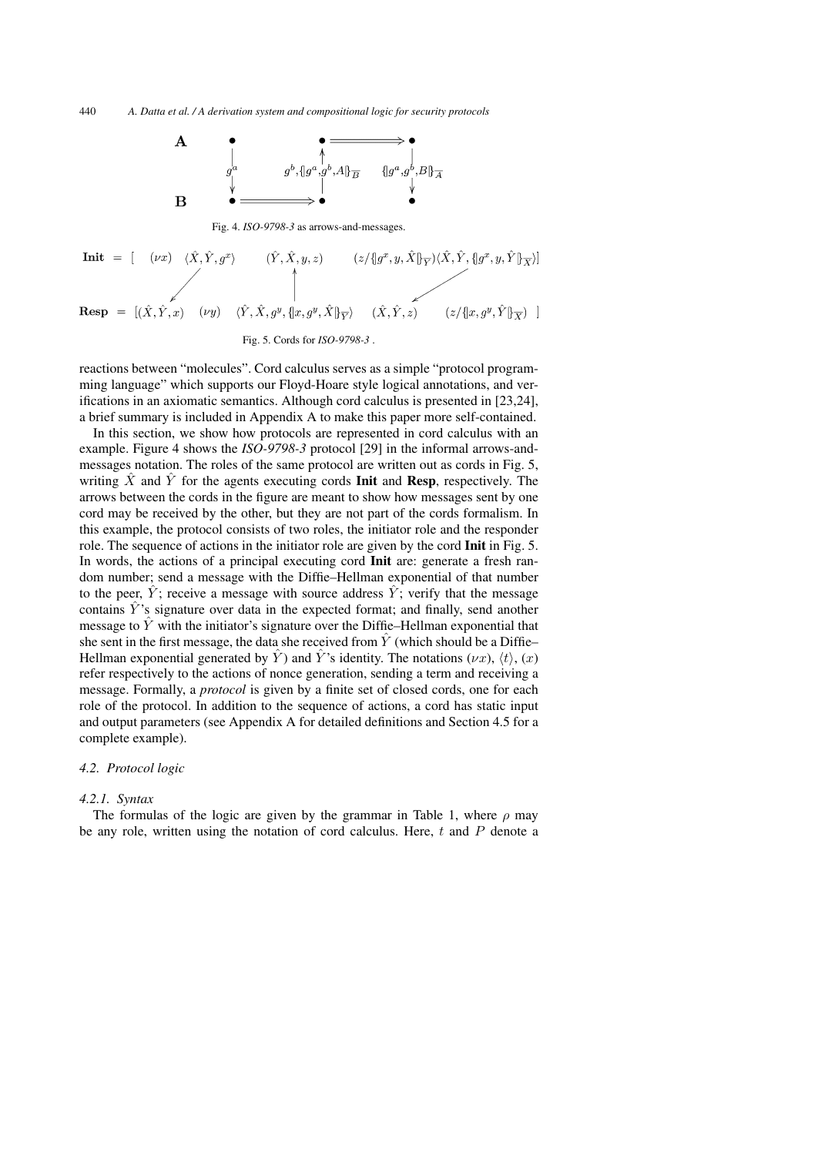

Fig. 4. *ISO-9798-3* as arrows-and-messages.

**Init** = 
$$
[(\nu x) \langle \hat{X}, \hat{Y}, g^x \rangle \qquad (\hat{Y}, \hat{X}, y, z) \qquad (z/\sqrt{g^x}, y, \hat{X}|_{\overline{Y}}) \langle \hat{X}, \hat{Y}, \sqrt{g^x}, y, \hat{Y}|_{\overline{X}})]
$$
  
\n**Resp** =  $[(\hat{X}, \hat{Y}, x) \qquad (\nu y) \qquad \langle \hat{Y}, \hat{X}, g^y, \sqrt{g^x}, \hat{X}|_{\overline{Y}} \rangle \qquad (\hat{X}, \hat{Y}, z) \qquad (z/\sqrt{x}, g^y, \hat{Y}|_{\overline{X}})]$   
\nFig. 5. Cords for *ISO-9798-3*.

reactions between "molecules". Cord calculus serves as a simple "protocol programming language" which supports our Floyd-Hoare style logical annotations, and verifications in an axiomatic semantics. Although cord calculus is presented in [23,24], a brief summary is included in Appendix A to make this paper more self-contained.

In this section, we show how protocols are represented in cord calculus with an example. Figure 4 shows the *ISO-9798-3* protocol [29] in the informal arrows-andmessages notation. The roles of the same protocol are written out as cords in Fig. 5, writing  $\hat{X}$  and  $\hat{Y}$  for the agents executing cords **Init** and **Resp**, respectively. The arrows between the cords in the figure are meant to show how messages sent by one cord may be received by the other, but they are not part of the cords formalism. In this example, the protocol consists of two roles, the initiator role and the responder role. The sequence of actions in the initiator role are given by the cord **Init** in Fig. 5. In words, the actions of a principal executing cord **Init** are: generate a fresh random number; send a message with the Diffie–Hellman exponential of that number to the peer,  $\hat{Y}$ ; receive a message with source address  $\hat{Y}$ ; verify that the message contains  $\hat{Y}$ 's signature over data in the expected format; and finally, send another message to  $\hat{Y}$  with the initiator's signature over the Diffie–Hellman exponential that she sent in the first message, the data she received from  $\hat{Y}$  (which should be a Diffie– Hellman exponential generated by  $\hat{Y}$ ) and  $\hat{Y}$ 's identity. The notations  $(\nu x)$ ,  $\langle t \rangle$ ,  $(x)$ refer respectively to the actions of nonce generation, sending a term and receiving a message. Formally, a *protocol* is given by a finite set of closed cords, one for each role of the protocol. In addition to the sequence of actions, a cord has static input and output parameters (see Appendix A for detailed definitions and Section 4.5 for a complete example).

#### *4.2. Protocol logic*

#### *4.2.1. Syntax*

The formulas of the logic are given by the grammar in Table 1, where  $\rho$  may be any role, written using the notation of cord calculus. Here,  $t$  and  $P$  denote a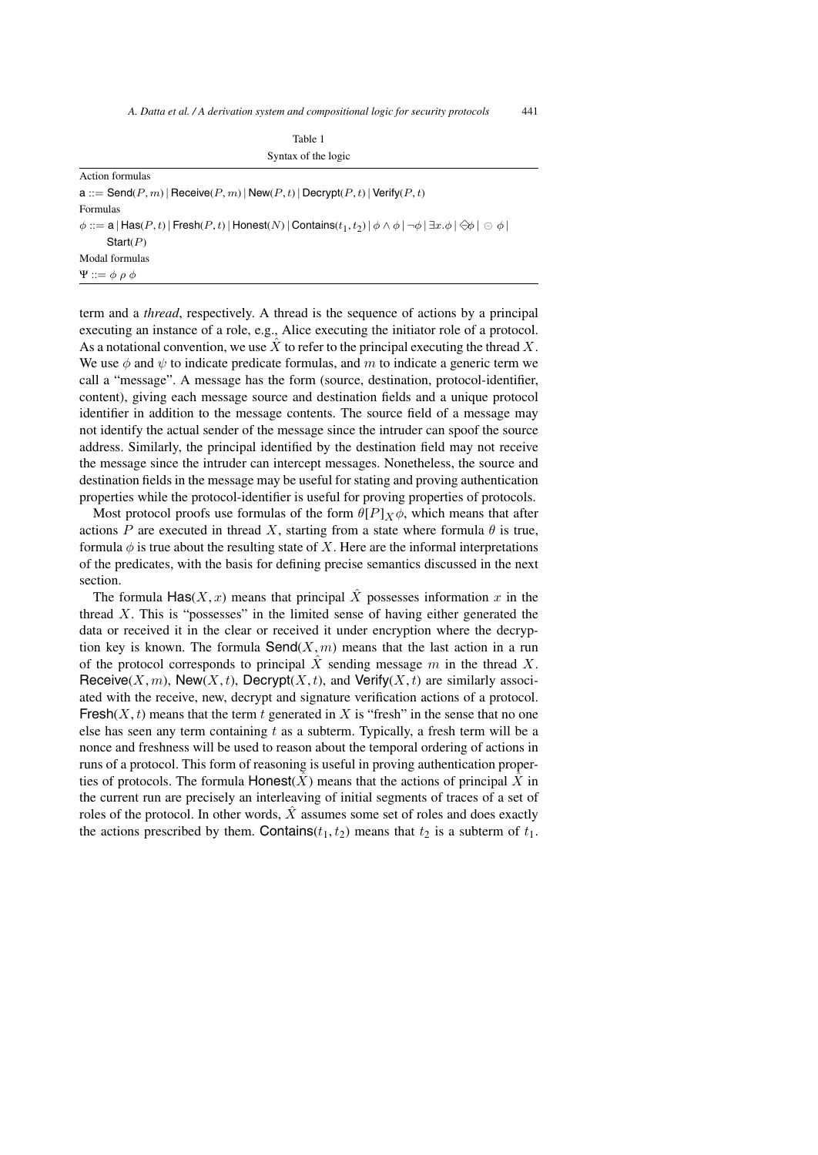| Table 1                                                                                                                                                                                          |
|--------------------------------------------------------------------------------------------------------------------------------------------------------------------------------------------------|
| Syntax of the logic                                                                                                                                                                              |
| Action formulas                                                                                                                                                                                  |
| $a ::=$ Send $(P, m)$ Receive $(P, m)$ New $(P, t)$ Decrypt $(P, t)$ Verify $(P, t)$                                                                                                             |
| Formulas                                                                                                                                                                                         |
| $\phi ::= \mathsf{a}   \mathsf{Has}(P, t)   \mathsf{Fresh}(P, t)   \mathsf{Honest}(N)   \mathsf{contains}(t_1, t_2)   \phi \land \phi   \neg \phi   \exists x. \phi   \Diamond \phi   \varphi  $ |
| Start(P)                                                                                                                                                                                         |
| Modal formulas                                                                                                                                                                                   |
| $\Psi ::= \phi \rho \phi$                                                                                                                                                                        |

term and a *thread*, respectively. A thread is the sequence of actions by a principal executing an instance of a role, e.g., Alice executing the initiator role of a protocol. As a notational convention, we use  $\hat{X}$  to refer to the principal executing the thread X. We use  $\phi$  and  $\psi$  to indicate predicate formulas, and m to indicate a generic term we call a "message". A message has the form (source, destination, protocol-identifier, content), giving each message source and destination fields and a unique protocol identifier in addition to the message contents. The source field of a message may not identify the actual sender of the message since the intruder can spoof the source address. Similarly, the principal identified by the destination field may not receive the message since the intruder can intercept messages. Nonetheless, the source and destination fields in the message may be useful for stating and proving authentication properties while the protocol-identifier is useful for proving properties of protocols.

Most protocol proofs use formulas of the form  $\theta[P] \times \phi$ , which means that after actions P are executed in thread X, starting from a state where formula  $\theta$  is true, formula  $\phi$  is true about the resulting state of X. Here are the informal interpretations of the predicates, with the basis for defining precise semantics discussed in the next section.

The formula  $\text{Has}(X, x)$  means that principal  $\hat{X}$  possesses information x in the thread  $X$ . This is "possesses" in the limited sense of having either generated the data or received it in the clear or received it under encryption where the decryption key is known. The formula  $\text{Send}(X, m)$  means that the last action in a run of the protocol corresponds to principal X sending message m in the thread X. Receive(X, m), New(X, t), Decrypt(X, t), and Verify(X, t) are similarly associated with the receive, new, decrypt and signature verification actions of a protocol. Fresh $(X, t)$  means that the term t generated in X is "fresh" in the sense that no one else has seen any term containing  $t$  as a subterm. Typically, a fresh term will be a nonce and freshness will be used to reason about the temporal ordering of actions in runs of a protocol. This form of reasoning is useful in proving authentication properties of protocols. The formula **Honest** $(X)$  means that the actions of principal X<sup> $\dot{X}$ </sup> in the current run are precisely an interleaving of initial segments of traces of a set of roles of the protocol. In other words,  $\tilde{X}$  assumes some set of roles and does exactly the actions prescribed by them. Contains( $t_1, t_2$ ) means that  $t_2$  is a subterm of  $t_1$ .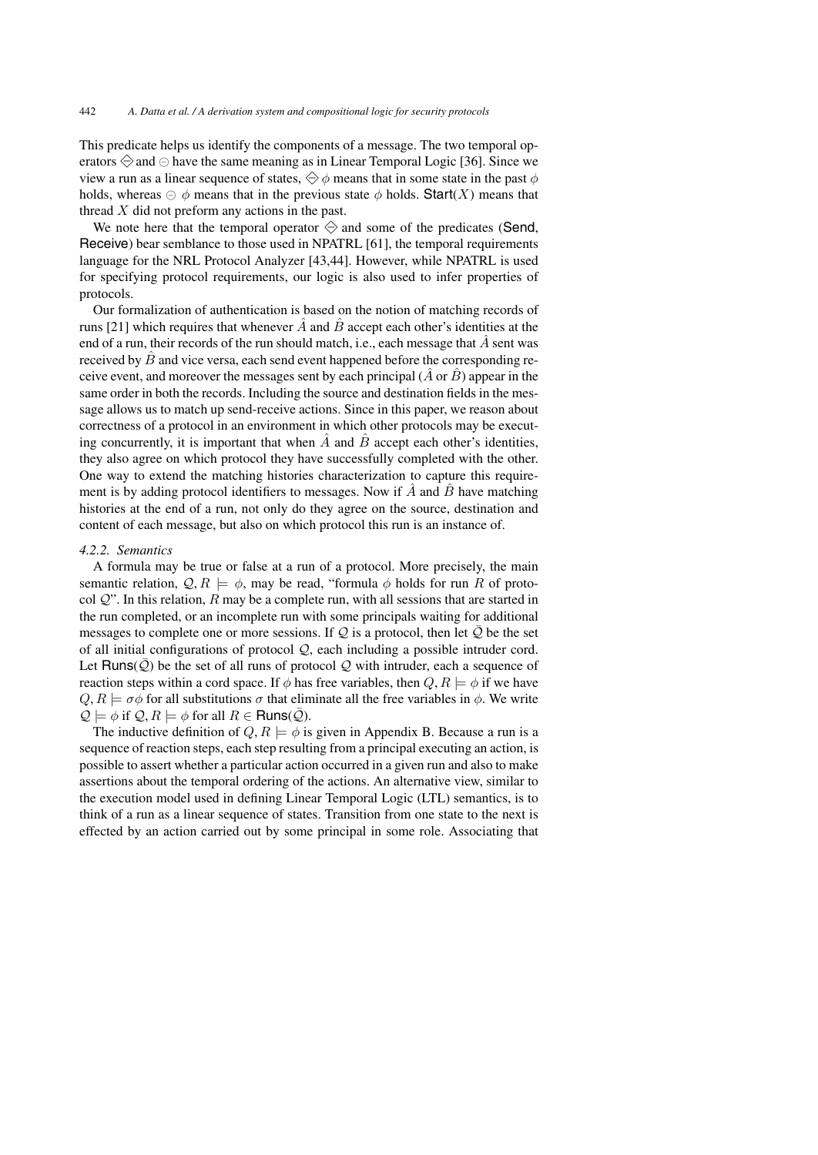This predicate helps us identify the components of a message. The two temporal operators  $\hat{\ominus}$  and  $\ominus$  have the same meaning as in Linear Temporal Logic [36]. Since we view a run as a linear sequence of states,  $\Diamond \phi$  means that in some state in the past  $\phi$ holds, whereas  $\odot \phi$  means that in the previous state  $\phi$  holds. Start(X) means that thread  $X$  did not preform any actions in the past.

We note here that the temporal operator  $\Leftrightarrow$  and some of the predicates (Send, Receive) bear semblance to those used in NPATRL [61], the temporal requirements language for the NRL Protocol Analyzer [43,44]. However, while NPATRL is used for specifying protocol requirements, our logic is also used to infer properties of protocols.

Our formalization of authentication is based on the notion of matching records of runs [21] which requires that whenever A and B accept each other's identities at the end of a run, their records of the run should match, i.e., each message that  $\hat{A}$  sent was received by  $\hat{B}$  and vice versa, each send event happened before the corresponding receive event, and moreover the messages sent by each principal ( $\overline{A}$  or  $\overline{B}$ ) appear in the same order in both the records. Including the source and destination fields in the message allows us to match up send-receive actions. Since in this paper, we reason about correctness of a protocol in an environment in which other protocols may be executing concurrently, it is important that when  $\hat{A}$  and  $\hat{B}$  accept each other's identities, they also agree on which protocol they have successfully completed with the other. One way to extend the matching histories characterization to capture this requirement is by adding protocol identifiers to messages. Now if  $\hat{A}$  and  $\hat{B}$  have matching histories at the end of a run, not only do they agree on the source, destination and content of each message, but also on which protocol this run is an instance of.

#### *4.2.2. Semantics*

A formula may be true or false at a run of a protocol. More precisely, the main semantic relation,  $\mathcal{Q}, R \models \phi$ , may be read, "formula  $\phi$  holds for run R of protocol  $Q$ ". In this relation, R may be a complete run, with all sessions that are started in the run completed, or an incomplete run with some principals waiting for additional messages to complete one or more sessions. If  $\mathcal Q$  is a protocol, then let  $\overline{\mathcal Q}$  be the set of all initial configurations of protocol  $Q$ , each including a possible intruder cord. Let Runs( $\overline{Q}$ ) be the set of all runs of protocol  $Q$  with intruder, each a sequence of reaction steps within a cord space. If  $\phi$  has free variables, then  $Q, R \models \phi$  if we have  $Q, R \models \sigma \phi$  for all substitutions  $\sigma$  that eliminate all the free variables in  $\phi$ . We write  $\mathcal{Q} \models \phi$  if  $\mathcal{Q}, R \models \phi$  for all  $R \in \text{Runs}(\bar{\mathcal{Q}})$ .

The inductive definition of  $Q, R \models \phi$  is given in Appendix B. Because a run is a sequence of reaction steps, each step resulting from a principal executing an action, is possible to assert whether a particular action occurred in a given run and also to make assertions about the temporal ordering of the actions. An alternative view, similar to the execution model used in defining Linear Temporal Logic (LTL) semantics, is to think of a run as a linear sequence of states. Transition from one state to the next is effected by an action carried out by some principal in some role. Associating that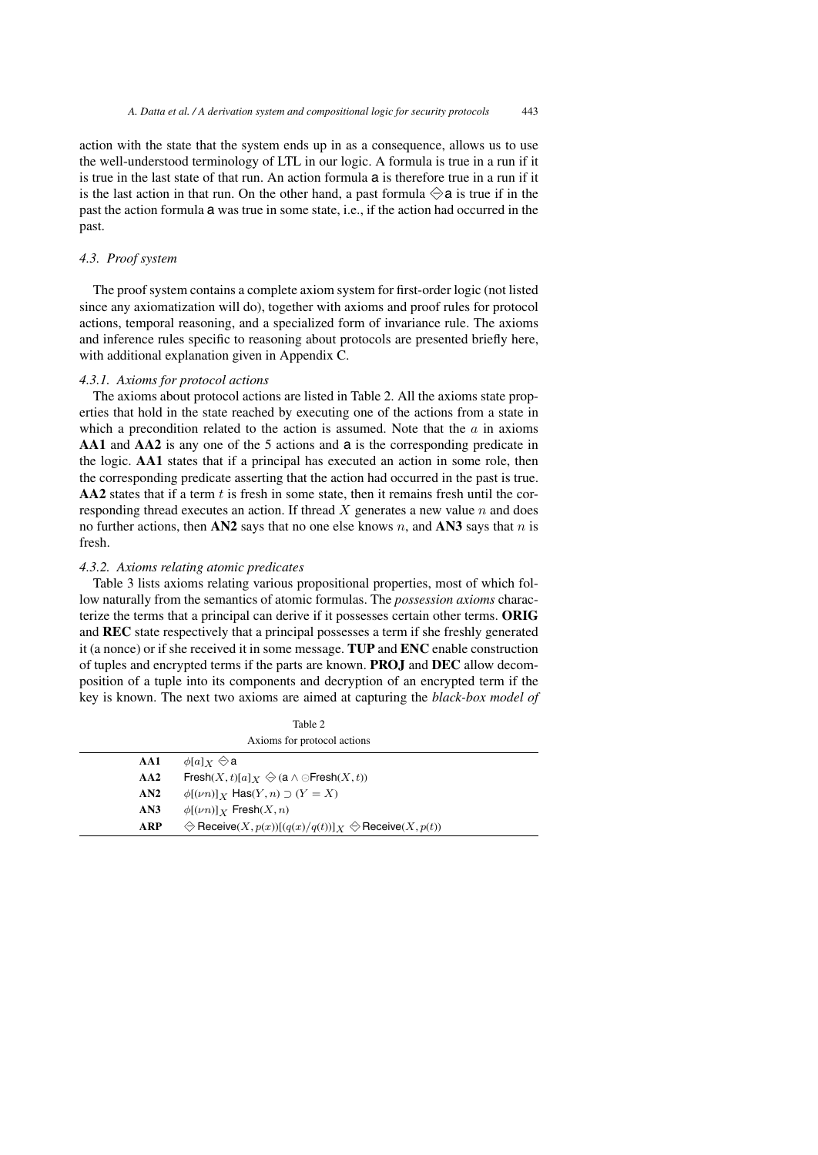action with the state that the system ends up in as a consequence, allows us to use the well-understood terminology of LTL in our logic. A formula is true in a run if it is true in the last state of that run. An action formula a is therefore true in a run if it is the last action in that run. On the other hand, a past formula  $\Diamond a$  is true if in the past the action formula a was true in some state, i.e., if the action had occurred in the past.

### *4.3. Proof system*

The proof system contains a complete axiom system for first-order logic (not listed since any axiomatization will do), together with axioms and proof rules for protocol actions, temporal reasoning, and a specialized form of invariance rule. The axioms and inference rules specific to reasoning about protocols are presented briefly here, with additional explanation given in Appendix C.

#### *4.3.1. Axioms for protocol actions*

The axioms about protocol actions are listed in Table 2. All the axioms state properties that hold in the state reached by executing one of the actions from a state in which a precondition related to the action is assumed. Note that the  $a$  in axioms **AA1** and **AA2** is any one of the 5 actions and a is the corresponding predicate in the logic. **AA1** states that if a principal has executed an action in some role, then the corresponding predicate asserting that the action had occurred in the past is true.  $AA2$  states that if a term  $t$  is fresh in some state, then it remains fresh until the corresponding thread executes an action. If thread  $X$  generates a new value  $n$  and does no further actions, then  $AN2$  says that no one else knows n, and  $AN3$  says that n is fresh.

#### *4.3.2. Axioms relating atomic predicates*

Table 3 lists axioms relating various propositional properties, most of which follow naturally from the semantics of atomic formulas. The *possession axioms* characterize the terms that a principal can derive if it possesses certain other terms. **ORIG** and **REC** state respectively that a principal possesses a term if she freshly generated it (a nonce) or if she received it in some message. **TUP** and **ENC** enable construction of tuples and encrypted terms if the parts are known. **PROJ** and **DEC** allow decomposition of a tuple into its components and decryption of an encrypted term if the key is known. The next two axioms are aimed at capturing the *black-box model of*

| Table 2                     |                                                                                          |  |
|-----------------------------|------------------------------------------------------------------------------------------|--|
| Axioms for protocol actions |                                                                                          |  |
| AA1                         | $\phi[a]_X \diamondsuit a$                                                               |  |
| AA2                         | Fresh $(X, t)[a]_X \diamondsuit (a \wedge \ominus$ Fresh $(X, t))$                       |  |
| AN2                         | $\phi$ [( <i>vn</i> )] $_X$ Has( <i>Y</i> , <i>n</i> ) $\supset$ ( <i>Y</i> = <i>X</i> ) |  |
| AN3                         | $\phi$ [( <i>vn</i> )] $\chi$ Fresh( <i>X</i> , <i>n</i> )                               |  |
| <b>ARP</b>                  | $\Diamond$ Receive $(X, p(x))[(q(x)/q(t))]$ <sub>X</sub> $\Diamond$ Receive $(X, p(t))$  |  |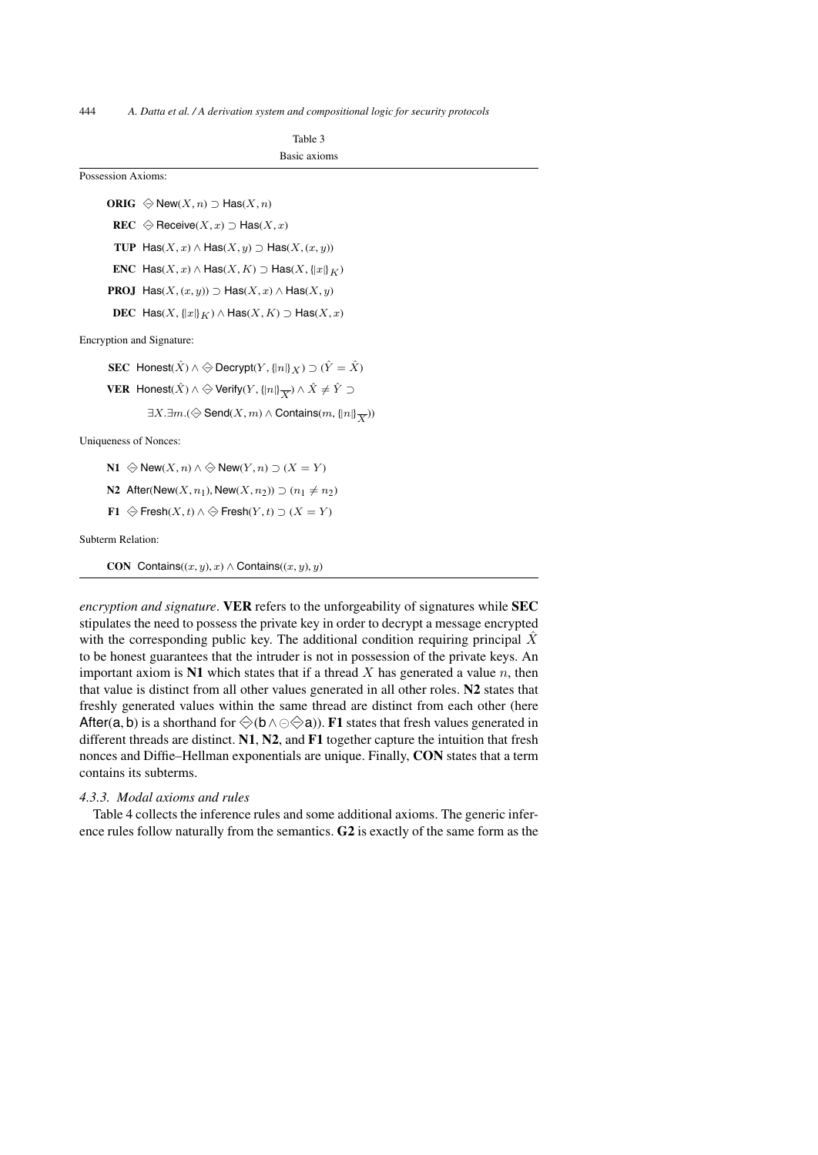444 *A. Datta et al. / A derivation system and compositional logic for security protocols*

| Table 3      |
|--------------|
| Basic axioms |

Possession Axioms:

**ORIG**  $\bigcirc$  New(*X*, *n*) ⊃ Has(*X*, *n*)

**REC**  $\triangle$  Receive(*X, x*) ⊃ Has(*X, x*)

**TUP**  $\text{Has}(X, x) \land \text{Has}(X, y) \supset \text{Has}(X, (x, y))$ 

**ENC** Has( $X, x$ ) ∧ Has( $X, K$ ) ⊃ Has( $X, \{x\}$  $K$ )

**PROJ** Has( $X$ ,  $(x, y)$ ) ⊃ Has( $X$ ,  $x$ ) ∧ Has( $X$ ,  $y$ )

**DEC** Has( $X$ ,  $\{[x]\}_K$ ) ∧ Has( $X$ ,  $K$ )  $\supset$  Has( $X$ ,  $x$ )

Encryption and Signature:

**SEC** Honest( $\hat{X}$ )  $\wedge \diamondsuit$  Decrypt(Y,  $\{|n\|_X}$ )  $\supset (\hat{Y} = \hat{X})$ 

**VER** Honest $(\hat{X}) \wedge \diamondsuit$  Verify $(Y, \{[n]\}\overline{X}) \wedge \hat{X} \neq \hat{Y} \supseteq Y$ 

 $\exists X. \exists m. (\diamondsuit \mathsf{Send}(X,m) \wedge \mathsf{contains}(m, \{|n|\}\overline{X}))$ 

Uniqueness of Nonces:

**N1**  $\Diamond$  New(*X*, *n*) ∧  $\Diamond$  New(*Y*, *n*) ⊃ (*X* = *Y*)

**N2** After(New( $X$ ,  $n_1$ ), New( $X$ ,  $n_2$ ))  $\supset (n_1 \neq n_2)$ 

**F1**  $\diamondsuit$  Fresh $(X,t) \wedge \diamondsuit$  Fresh $(Y,t) \supset (X = Y)$ 

Subterm Relation:

**CON** Contains $((x, y), x) \wedge$  Contains $((x, y), y)$ 

*encryption and signature*. **VER** refers to the unforgeability of signatures while **SEC** stipulates the need to possess the private key in order to decrypt a message encrypted with the corresponding public key. The additional condition requiring principal  $\hat{X}$ to be honest guarantees that the intruder is not in possession of the private keys. An important axiom is  $N1$  which states that if a thread X has generated a value n, then that value is distinct from all other values generated in all other roles. **N2** states that freshly generated values within the same thread are distinct from each other (here After(a, b) is a shorthand for  $\diamondsuit$  (b  $\land$   $\odot \diamondsuit$  a)). **F1** states that fresh values generated in different threads are distinct. **N1**, **N2**, and **F1** together capture the intuition that fresh nonces and Diffie–Hellman exponentials are unique. Finally, **CON** states that a term contains its subterms.

# *4.3.3. Modal axioms and rules*

Table 4 collects the inference rules and some additional axioms. The generic inference rules follow naturally from the semantics. **G2** is exactly of the same form as the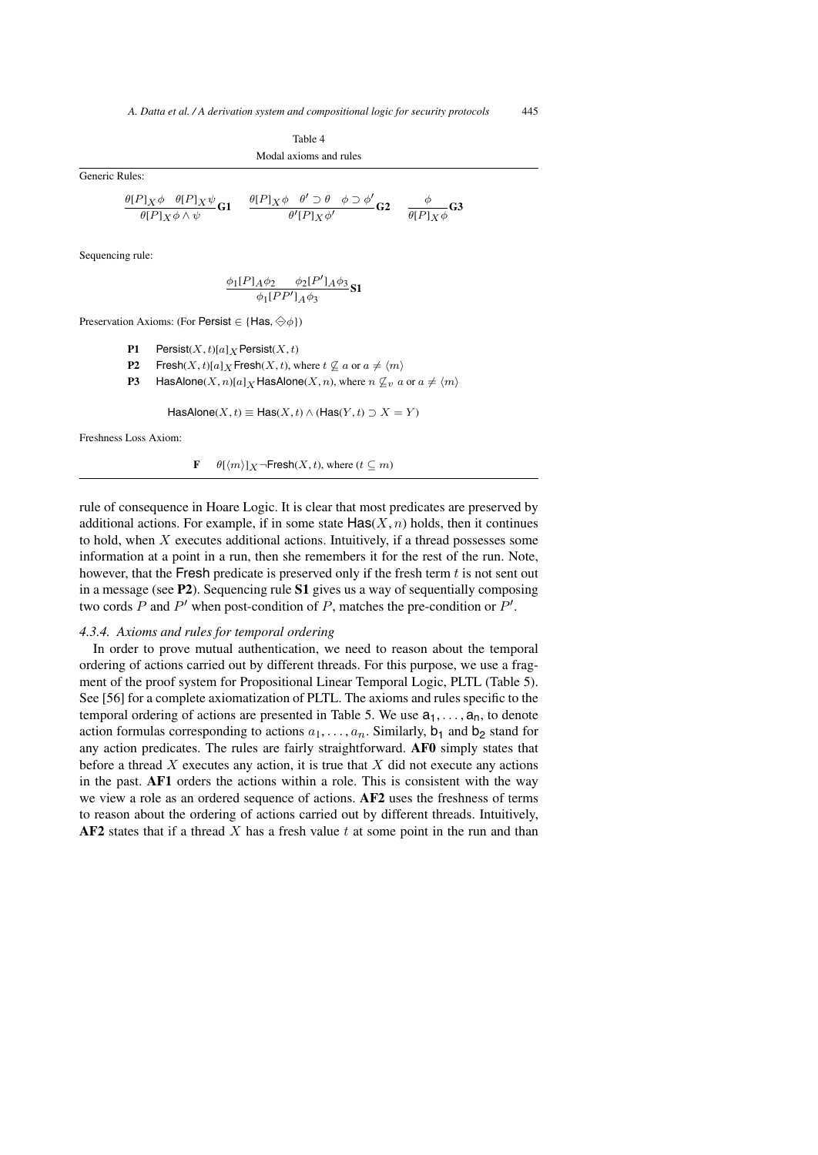| Table 4<br>Modal axioms and rules                                                 |                                                                                                               |                                     |  |
|-----------------------------------------------------------------------------------|---------------------------------------------------------------------------------------------------------------|-------------------------------------|--|
| Generic Rules:                                                                    |                                                                                                               |                                     |  |
| $\frac{\theta[P]_X \phi}{\theta[P]_X \psi}$ G1<br>$\theta[P]\times\phi\wedge\psi$ | $\theta[P]_X \phi \quad \theta' \supset \theta \quad \phi \supset \phi'_{\mathbf{G2}}$<br>$\theta'[P]_Y\phi'$ | – G3<br>$\theta[P]\overline{Y\phi}$ |  |

Sequencing rule:

$$
\frac{\phi_1[P]_A\phi_2 \qquad \phi_2[P']_A\phi_3}{\phi_1[PP']_A\phi_3}S1
$$

Preservation Axioms: (For Persist  $\in \{Has, \diamondsuit \phi\}$ )

**P1** Persist $(X, t)[a]$ <sub>X</sub> Persist $(X, t)$ 

**P2** Fresh $(X, t)[a]$ <sub>X</sub> Fresh $(X, t)$ , where  $t \nsubseteq a$  or  $a \neq \langle m \rangle$ 

**P3** HasAlone(X, n)[a]<sub>X</sub>HasAlone(X, n), where  $n \nsubseteq v$  a or  $a \neq \langle m \rangle$ 

HasAlone( $X, t$ )  $\equiv$  Has( $X, t$ )  $\wedge$  (Has( $Y, t$ )  $\supset X = Y$ )

Freshness Loss Axiom:

**F**  $\theta[\langle m \rangle]_X$   $\neg$ **Fresh** $(X, t)$ , where  $(t \subseteq m)$ 

rule of consequence in Hoare Logic. It is clear that most predicates are preserved by additional actions. For example, if in some state  $\text{Has}(X, n)$  holds, then it continues to hold, when  $X$  executes additional actions. Intuitively, if a thread possesses some information at a point in a run, then she remembers it for the rest of the run. Note, however, that the Fresh predicate is preserved only if the fresh term  $t$  is not sent out in a message (see **P2**). Sequencing rule **S1** gives us a way of sequentially composing two cords P and P' when post-condition of P, matches the pre-condition or  $P'$ .

#### *4.3.4. Axioms and rules for temporal ordering*

In order to prove mutual authentication, we need to reason about the temporal ordering of actions carried out by different threads. For this purpose, we use a fragment of the proof system for Propositional Linear Temporal Logic, PLTL (Table 5). See [56] for a complete axiomatization of PLTL. The axioms and rules specific to the temporal ordering of actions are presented in Table 5. We use  $a_1, \ldots, a_n$ , to denote action formulas corresponding to actions  $a_1, \ldots, a_n$ . Similarly,  $b_1$  and  $b_2$  stand for any action predicates. The rules are fairly straightforward. **AF0** simply states that before a thread  $X$  executes any action, it is true that  $X$  did not execute any actions in the past. **AF1** orders the actions within a role. This is consistent with the way we view a role as an ordered sequence of actions. **AF2** uses the freshness of terms to reason about the ordering of actions carried out by different threads. Intuitively,  $AF2$  states that if a thread  $X$  has a fresh value  $t$  at some point in the run and than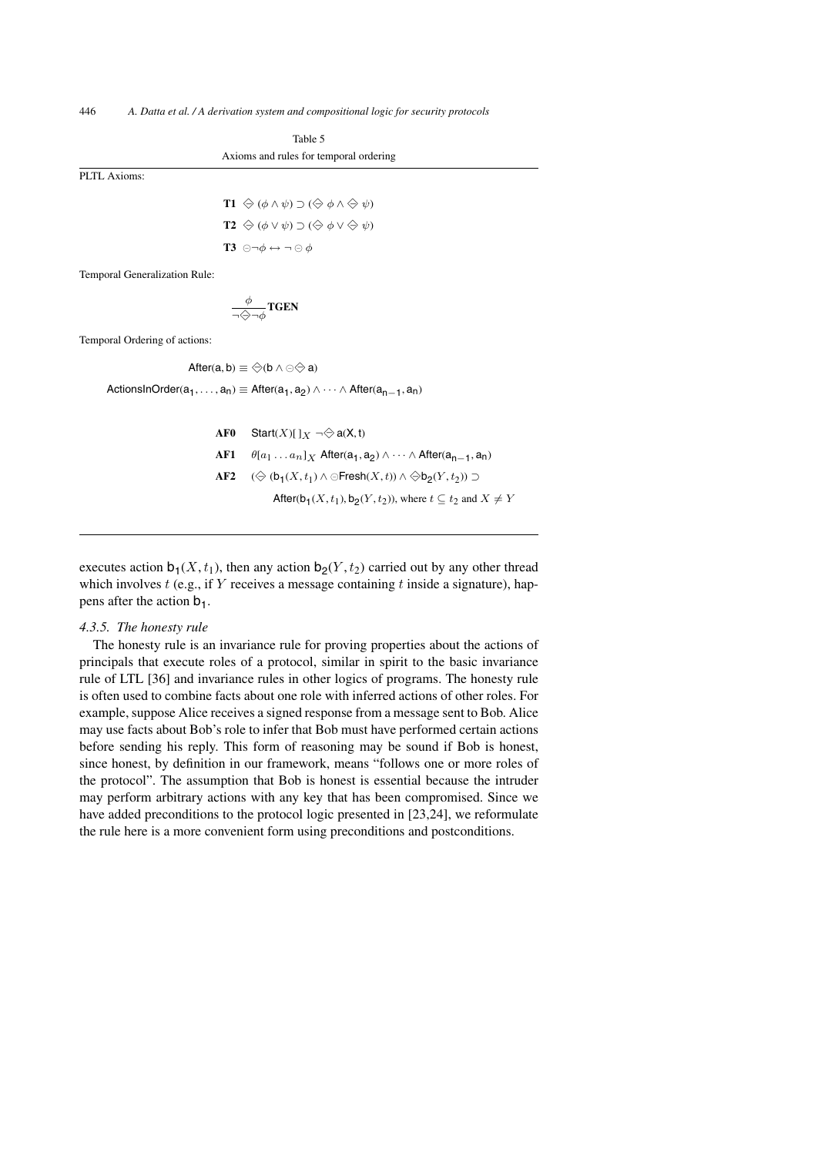| Table 5                                                                                                   |                                                                                                |  |  |
|-----------------------------------------------------------------------------------------------------------|------------------------------------------------------------------------------------------------|--|--|
|                                                                                                           | Axioms and rules for temporal ordering                                                         |  |  |
| <b>PLTL Axioms:</b>                                                                                       |                                                                                                |  |  |
|                                                                                                           | <b>T1</b> $\Diamond$ ( $\phi \land \psi$ ) $\supset$ ( $\Diamond$ $\phi \land \Diamond \psi$ ) |  |  |
|                                                                                                           | <b>T2</b> $\Diamond$ ( $\phi \lor \psi$ ) $\supset$ ( $\Diamond$ $\phi \lor \Diamond \psi$ )   |  |  |
|                                                                                                           | $T3 \oplus \neg \phi \leftrightarrow \neg \ominus \phi$                                        |  |  |
| Temporal Generalization Rule:                                                                             |                                                                                                |  |  |
|                                                                                                           | $\frac{\phi}{\neg \Leftrightarrow \neg A}$ TGEN                                                |  |  |
| Temporal Ordering of actions:                                                                             |                                                                                                |  |  |
| After(a, b) $\equiv \diamondsuit(b \land \ominus \diamondsuit a)$                                         |                                                                                                |  |  |
| ActionsInOrder( $a_1, \ldots, a_n$ ) = After( $a_1, a_2$ ) $\wedge \cdots \wedge$ After( $a_{n-1}, a_n$ ) |                                                                                                |  |  |
|                                                                                                           |                                                                                                |  |  |

**AF0** Start $(X)[]_X \neg \diamondsuit a(X, t)$ **AF1**  $\theta[a_1 \dots a_n]_X$  After( $a_1, a_2$ ) ∧  $\dots \wedge$  After( $a_{n-1}, a_n$ ) **AF2**  $(\diamondsuit$  (b<sub>1</sub>(X,t<sub>1</sub>) ∧  $\odot$  Fresh(X,t)) ∧  $\diamondsuit$  b<sub>2</sub>(Y,t<sub>2</sub>)) ⊃ After( $b_1(X, t_1)$ ,  $b_2(Y, t_2)$ ), where  $t \subseteq t_2$  and  $X \neq Y$ 

executes action  $b_1(X, t_1)$ , then any action  $b_2(Y, t_2)$  carried out by any other thread which involves  $t$  (e.g., if  $Y$  receives a message containing  $t$  inside a signature), happens after the action  $b_1$ .

# *4.3.5. The honesty rule*

The honesty rule is an invariance rule for proving properties about the actions of principals that execute roles of a protocol, similar in spirit to the basic invariance rule of LTL [36] and invariance rules in other logics of programs. The honesty rule is often used to combine facts about one role with inferred actions of other roles. For example, suppose Alice receives a signed response from a message sent to Bob. Alice may use facts about Bob's role to infer that Bob must have performed certain actions before sending his reply. This form of reasoning may be sound if Bob is honest, since honest, by definition in our framework, means "follows one or more roles of the protocol". The assumption that Bob is honest is essential because the intruder may perform arbitrary actions with any key that has been compromised. Since we have added preconditions to the protocol logic presented in [23,24], we reformulate the rule here is a more convenient form using preconditions and postconditions.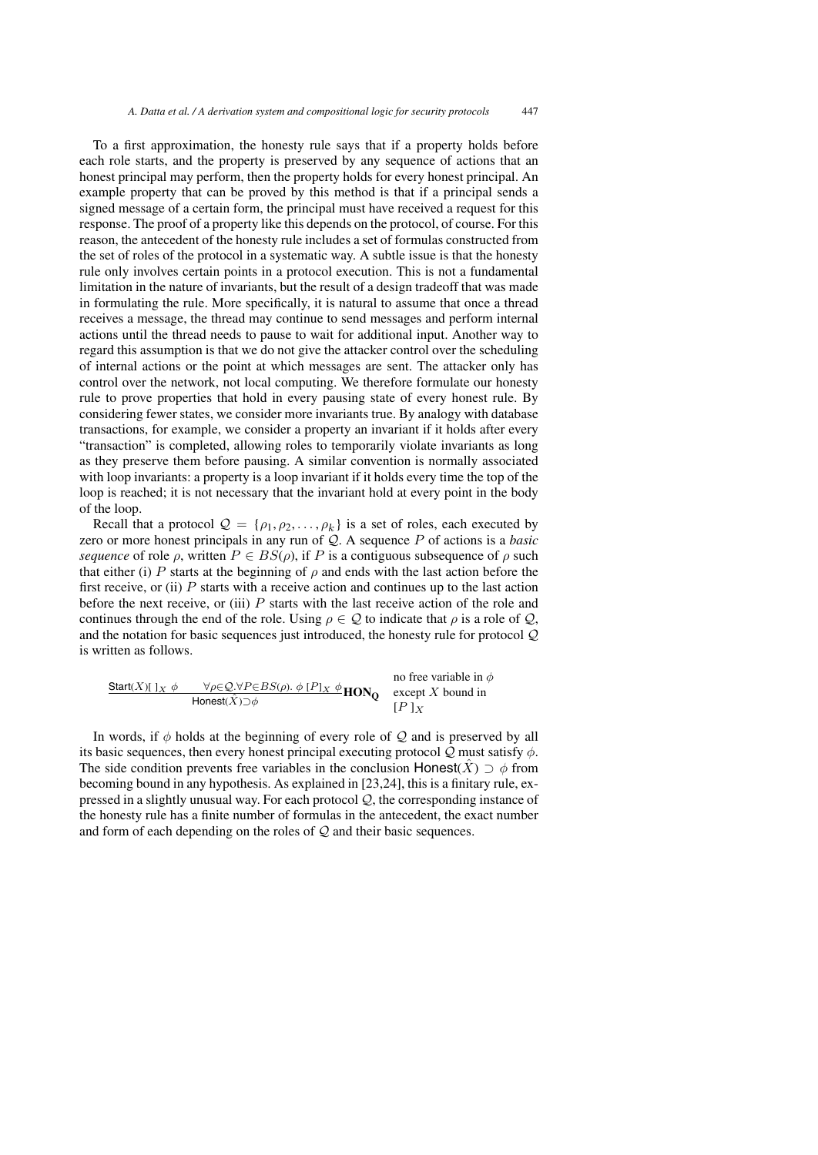To a first approximation, the honesty rule says that if a property holds before each role starts, and the property is preserved by any sequence of actions that an honest principal may perform, then the property holds for every honest principal. An example property that can be proved by this method is that if a principal sends a signed message of a certain form, the principal must have received a request for this response. The proof of a property like this depends on the protocol, of course. For this reason, the antecedent of the honesty rule includes a set of formulas constructed from the set of roles of the protocol in a systematic way. A subtle issue is that the honesty rule only involves certain points in a protocol execution. This is not a fundamental limitation in the nature of invariants, but the result of a design tradeoff that was made in formulating the rule. More specifically, it is natural to assume that once a thread receives a message, the thread may continue to send messages and perform internal actions until the thread needs to pause to wait for additional input. Another way to regard this assumption is that we do not give the attacker control over the scheduling of internal actions or the point at which messages are sent. The attacker only has control over the network, not local computing. We therefore formulate our honesty rule to prove properties that hold in every pausing state of every honest rule. By considering fewer states, we consider more invariants true. By analogy with database transactions, for example, we consider a property an invariant if it holds after every "transaction" is completed, allowing roles to temporarily violate invariants as long as they preserve them before pausing. A similar convention is normally associated with loop invariants: a property is a loop invariant if it holds every time the top of the loop is reached; it is not necessary that the invariant hold at every point in the body of the loop.

Recall that a protocol  $\mathcal{Q} = \{\rho_1, \rho_2, \dots, \rho_k\}$  is a set of roles, each executed by zero or more honest principals in any run of Q. A sequence P of actions is a *basic sequence* of role  $\rho$ , written  $P \in BS(\rho)$ , if P is a contiguous subsequence of  $\rho$  such that either (i) P starts at the beginning of  $\rho$  and ends with the last action before the first receive, or (ii)  $P$  starts with a receive action and continues up to the last action before the next receive, or (iii)  $P$  starts with the last receive action of the role and continues through the end of the role. Using  $\rho \in \mathcal{Q}$  to indicate that  $\rho$  is a role of  $\mathcal{Q}$ , and the notation for basic sequences just introduced, the honesty rule for protocol Q is written as follows.

| Start(X)[                          | $\chi \phi$                        | $\forall \rho \in \mathcal{Q}.\forall P \in BS(\rho).$ | $\phi$                             | $\text{PON}_{Q}$                   | no free variable in $\phi$         |                                    |                                    |                                    |                                    |                                    |                                    |                                    |                                    |                                    |                                    |                                    |                                    |                                    |                                    |                                    |                                    |                                    |                                    |                                    |          |
|------------------------------------|------------------------------------|--------------------------------------------------------|------------------------------------|------------------------------------|------------------------------------|------------------------------------|------------------------------------|------------------------------------|------------------------------------|------------------------------------|------------------------------------|------------------------------------|------------------------------------|------------------------------------|------------------------------------|------------------------------------|------------------------------------|------------------------------------|------------------------------------|------------------------------------|------------------------------------|------------------------------------|------------------------------------|------------------------------------|----------|
| Homest( $\hat{X}$ ) $\supset \phi$ | Homest( $\hat{X}$ ) $\supset \phi$ | Homest( $\hat{X}$ ) $\supset \phi$                     | Homest( $\hat{X}$ ) $\supset \phi$ | Homest( $\hat{X}$ ) $\supset \phi$ | Homest( $\hat{X}$ ) $\supset \phi$ | Homest( $\hat{X}$ ) $\supset \phi$ | Homest( $\hat{X}$ ) $\supset \phi$ | Homest( $\hat{X}$ ) $\supset \phi$ | Homest( $\hat{X}$ ) $\supset \phi$ | Homest( $\hat{X}$ ) $\supset \phi$ | Homest( $\hat{X}$ ) $\supset \phi$ | Homest( $\hat{X}$ ) $\supset \phi$ | Homest( $\hat{X}$ ) $\supset \phi$ | Homest( $\hat{X}$ ) $\supset \phi$ | Homest( $\hat{X}$ ) $\supset \phi$ | Homest( $\hat{X}$ ) $\supset \phi$ | Homist( $\hat{X}$ ) $\supset \phi$ | Homist( $\hat{X}$ ) $\supset \phi$ | Homist( $\hat{X}$ ) $\supset \phi$ | Homist( $\hat{X}$ ) $\supset \phi$ | Homist( $\hat{X}$ ) $\supset \phi$ | Homist( $\hat{X}$ ) $\supset \phi$ | Homist( $\hat{X}$ ) $\supset \phi$ | Homist( $\hat{X}$ ) $\supset \phi$ | Homist(< |

In words, if  $\phi$  holds at the beginning of every role of Q and is preserved by all its basic sequences, then every honest principal executing protocol  $Q$  must satisfy  $\phi$ . The side condition prevents free variables in the conclusion Honest(X)  $\supset \phi$  from becoming bound in any hypothesis. As explained in [23,24], this is a finitary rule, expressed in a slightly unusual way. For each protocol  $Q$ , the corresponding instance of the honesty rule has a finite number of formulas in the antecedent, the exact number and form of each depending on the roles of  $Q$  and their basic sequences.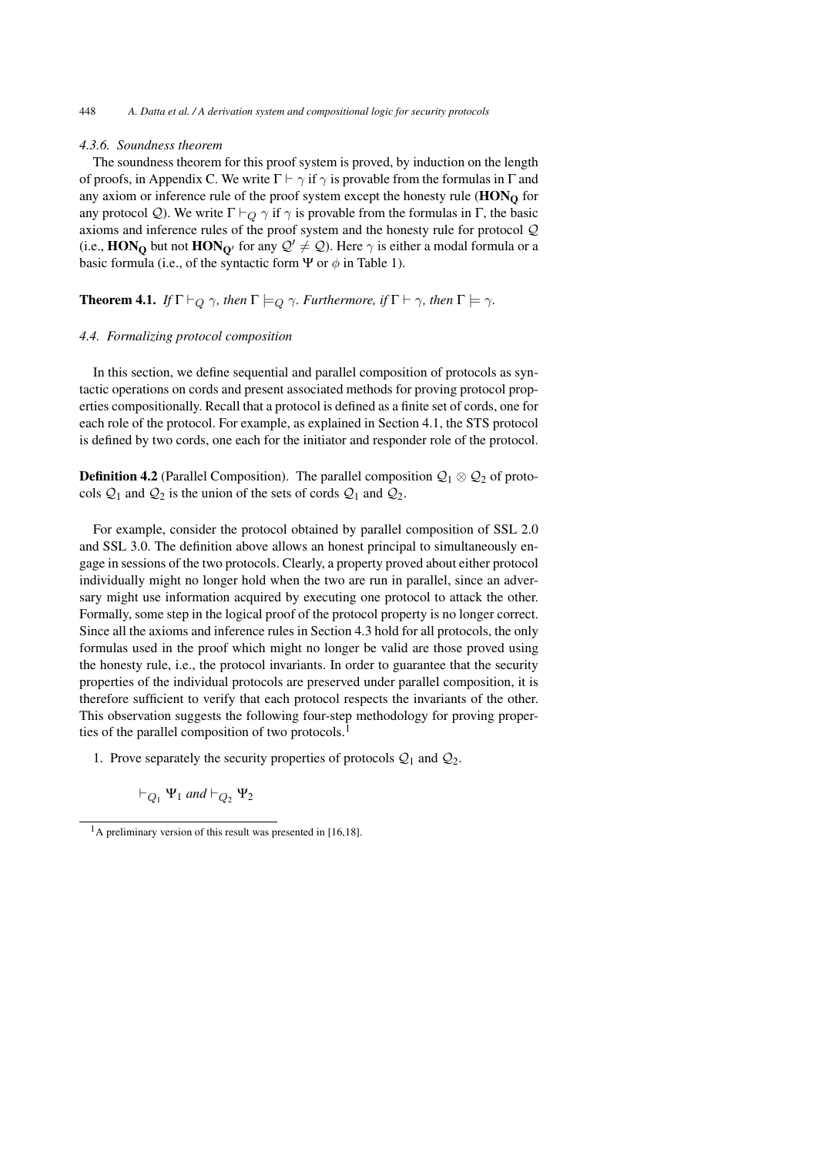#### *4.3.6. Soundness theorem*

The soundness theorem for this proof system is proved, by induction on the length of proofs, in Appendix C. We write  $\Gamma \vdash \gamma$  if  $\gamma$  is provable from the formulas in  $\Gamma$  and any axiom or inference rule of the proof system except the honesty rule (**HONQ** for any protocol Q). We write  $\Gamma \vdash_Q \gamma$  if  $\gamma$  is provable from the formulas in  $\Gamma$ , the basic axioms and inference rules of the proof system and the honesty rule for protocol Q (i.e.,  $\text{HON}_Q$  but not  $\text{HON}_{Q'}$  for any  $\mathcal{Q}' \neq \mathcal{Q}$ ). Here  $\gamma$  is either a modal formula or a basic formula (i.e., of the syntactic form  $\Psi$  or  $\phi$  in Table 1).

**Theorem 4.1.** *If*  $\Gamma \vdash_Q \gamma$ *, then*  $\Gamma \models_Q \gamma$ *. Furthermore, if*  $\Gamma \vdash \gamma$ *, then*  $\Gamma \models \gamma$ *.* 

# *4.4. Formalizing protocol composition*

In this section, we define sequential and parallel composition of protocols as syntactic operations on cords and present associated methods for proving protocol properties compositionally. Recall that a protocol is defined as a finite set of cords, one for each role of the protocol. For example, as explained in Section 4.1, the STS protocol is defined by two cords, one each for the initiator and responder role of the protocol.

**Definition 4.2** (Parallel Composition). The parallel composition  $Q_1 \otimes Q_2$  of protocols  $Q_1$  and  $Q_2$  is the union of the sets of cords  $Q_1$  and  $Q_2$ .

For example, consider the protocol obtained by parallel composition of SSL 2.0 and SSL 3.0. The definition above allows an honest principal to simultaneously engage in sessions of the two protocols. Clearly, a property proved about either protocol individually might no longer hold when the two are run in parallel, since an adversary might use information acquired by executing one protocol to attack the other. Formally, some step in the logical proof of the protocol property is no longer correct. Since all the axioms and inference rules in Section 4.3 hold for all protocols, the only formulas used in the proof which might no longer be valid are those proved using the honesty rule, i.e., the protocol invariants. In order to guarantee that the security properties of the individual protocols are preserved under parallel composition, it is therefore sufficient to verify that each protocol respects the invariants of the other. This observation suggests the following four-step methodology for proving properties of the parallel composition of two protocols.<sup>1</sup>

1. Prove separately the security properties of protocols  $Q_1$  and  $Q_2$ .

 $\vdash_{Q_1} \Psi_1$  and  $\vdash_{Q_2} \Psi_2$ 

<sup>&</sup>lt;sup>1</sup>A preliminary version of this result was presented in [16,18].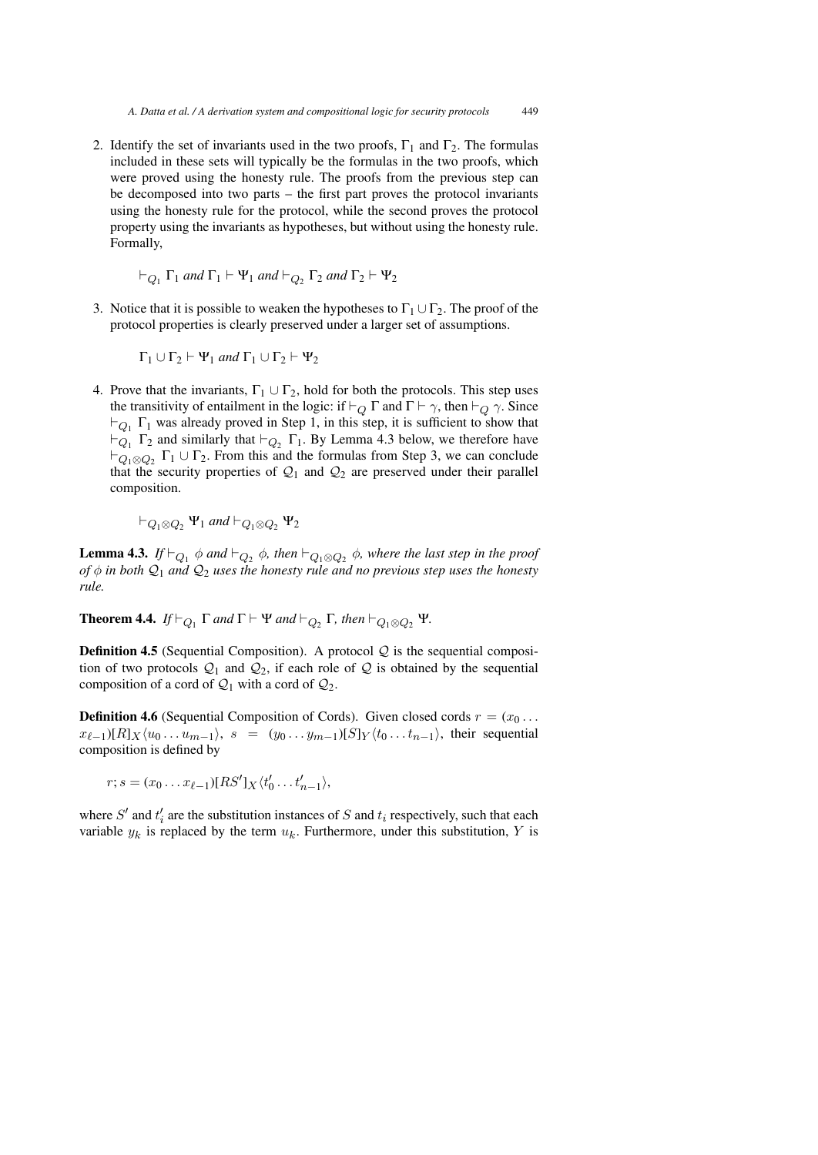2. Identify the set of invariants used in the two proofs,  $\Gamma_1$  and  $\Gamma_2$ . The formulas included in these sets will typically be the formulas in the two proofs, which were proved using the honesty rule. The proofs from the previous step can be decomposed into two parts – the first part proves the protocol invariants using the honesty rule for the protocol, while the second proves the protocol property using the invariants as hypotheses, but without using the honesty rule. Formally,

$$
\vdash_{Q_1} \Gamma_1 \text{ and } \Gamma_1 \vdash \Psi_1 \text{ and } \vdash_{Q_2} \Gamma_2 \text{ and } \Gamma_2 \vdash \Psi_2
$$

3. Notice that it is possible to weaken the hypotheses to  $\Gamma_1 \cup \Gamma_2$ . The proof of the protocol properties is clearly preserved under a larger set of assumptions.

$$
\Gamma_1 \cup \Gamma_2 \vdash \Psi_1 \text{ and } \Gamma_1 \cup \Gamma_2 \vdash \Psi_2
$$

4. Prove that the invariants,  $\Gamma_1 \cup \Gamma_2$ , hold for both the protocols. This step uses the transitivity of entailment in the logic: if  $\vdash_Q \Gamma$  and  $\Gamma \vdash \gamma$ , then  $\vdash_Q \gamma$ . Since  $\vdash_{Q_1} \Gamma_1$  was already proved in Step 1, in this step, it is sufficient to show that  $\vdash_{Q_1} \Gamma_2$  and similarly that  $\vdash_{Q_2} \Gamma_1$ . By Lemma 4.3 below, we therefore have  $\vdash_{Q_1 \otimes Q_2} \Gamma_1 \cup \Gamma_2$ . From this and the formulas from Step 3, we can conclude that the security properties of  $\mathcal{Q}_1$  and  $\mathcal{Q}_2$  are preserved under their parallel composition.

$$
\vdash_{Q_1 \otimes Q_2} \Psi_1 \text{ and } \vdash_{Q_1 \otimes Q_2} \Psi_2
$$

**Lemma 4.3.** *If*  $\vdash_{Q_1} \phi$  *and*  $\vdash_{Q_2} \phi$ *, then*  $\vdash_{Q_1 \otimes Q_2} \phi$ *, where the last step in the proof of*  $\phi$  *in both*  $\mathcal{Q}_1$  *and*  $\mathcal{Q}_2$  *uses the honesty rule and no previous step uses the honesty rule.*

**Theorem 4.4.** *If*  $\vdash_{Q_1} \Gamma$  *and*  $\Gamma \vdash \Psi$  *and*  $\vdash_{Q_2} \Gamma$ *, then*  $\vdash_{Q_1 \otimes Q_2} \Psi$ *.* 

**Definition 4.5** (Sequential Composition). A protocol  $Q$  is the sequential composition of two protocols  $\mathcal{Q}_1$  and  $\mathcal{Q}_2$ , if each role of  $\mathcal Q$  is obtained by the sequential composition of a cord of  $\mathcal{Q}_1$  with a cord of  $\mathcal{Q}_2$ .

**Definition 4.6** (Sequential Composition of Cords). Given closed cords  $r = (x_0 \dots$  $x_{\ell-1}[R]_X\langle u_0...u_{m-1}\rangle, s = (y_0...y_{m-1})[S]_Y\langle t_0...t_{n-1}\rangle$ , their sequential composition is defined by

$$
r; s = (x_0 \dots x_{\ell-1})[RS']_X \langle t'_0 \dots t'_{n-1} \rangle,
$$

where  $S'$  and  $t'_{i}$  are the substitution instances of S and  $t_{i}$  respectively, such that each variable  $y_k$  is replaced by the term  $u_k$ . Furthermore, under this substitution, Y is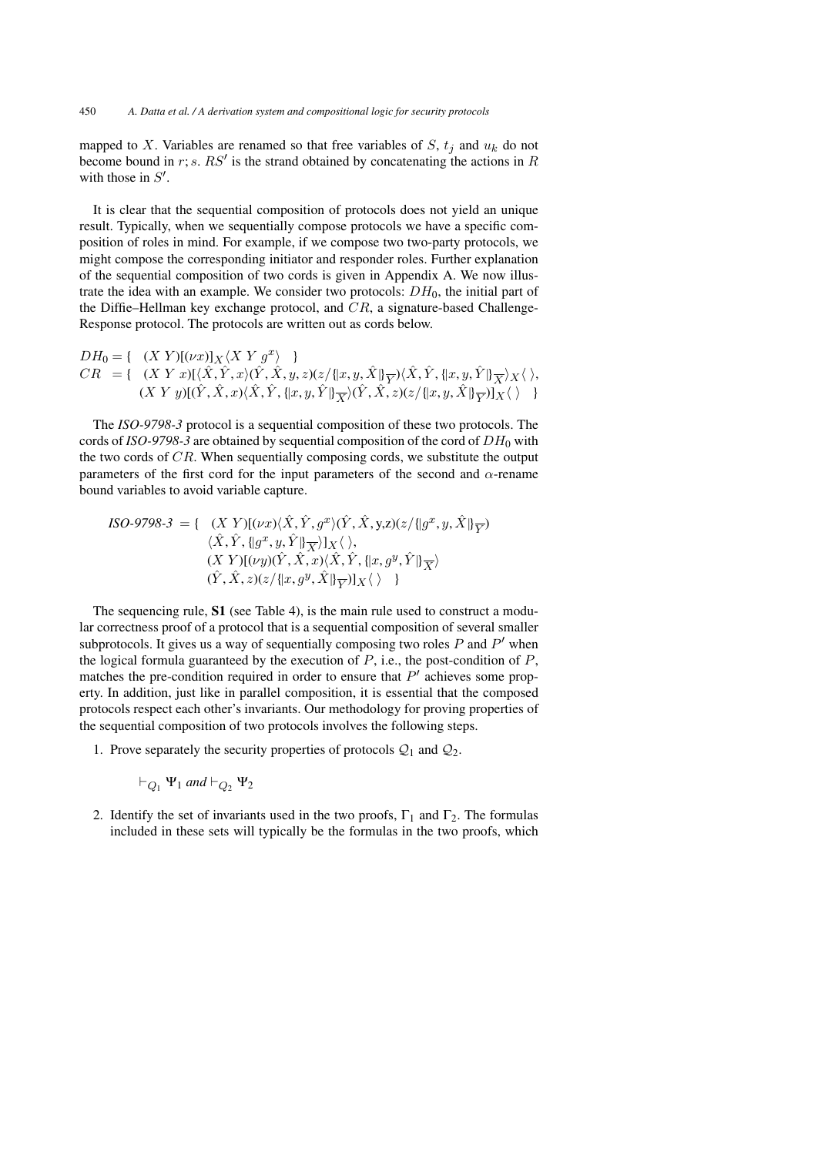mapped to X. Variables are renamed so that free variables of S,  $t_i$  and  $u_k$  do not become bound in r; s.  $RS'$  is the strand obtained by concatenating the actions in R with those in  $S'$ .

It is clear that the sequential composition of protocols does not yield an unique result. Typically, when we sequentially compose protocols we have a specific composition of roles in mind. For example, if we compose two two-party protocols, we might compose the corresponding initiator and responder roles. Further explanation of the sequential composition of two cords is given in Appendix A. We now illustrate the idea with an example. We consider two protocols:  $DH_0$ , the initial part of the Diffie–Hellman key exchange protocol, and  $CR$ , a signature-based Challenge-Response protocol. The protocols are written out as cords below.

$$
DH_0 = \{ (X Y)[(\nu x)]_X \langle X Y g^x \rangle \} CR = \{ (X Y x)[\langle \hat{X}, \hat{Y}, x \rangle(\hat{Y}, \hat{X}, y, z)(z/ \{ |x, y, \hat{X} \|}_{\overline{Y}}) \langle \hat{X}, \hat{Y}, \{ |x, y, \hat{Y} \|}_{\overline{X}} \rangle_X \langle \rangle, (X Y y)[(\hat{Y}, \hat{X}, x) \langle \hat{X}, \hat{Y}, \{ |x, y, \hat{Y} \|}_{\overline{X}} \rangle(\hat{Y}, \hat{X}, z)(z/ \{ |x, y, \hat{X} \|}_{\overline{Y}})]_X \langle \rangle \}
$$

The *ISO-9798-3* protocol is a sequential composition of these two protocols. The cords of  $ISO$ -9798-3 are obtained by sequential composition of the cord of  $DH<sub>0</sub>$  with the two cords of  $CR$ . When sequentially composing cords, we substitute the output parameters of the first cord for the input parameters of the second and  $\alpha$ -rename bound variables to avoid variable capture.

$$
ISO-9798-3 = \{ (X Y)[(\nu x)\langle \hat{X}, \hat{Y}, g^x \rangle(\hat{Y}, \hat{X}, y, z)(z/\Vert g^x, y, \hat{X} \Vert_{\overline{Y}}) \langle \hat{X}, \hat{Y}, \Vert g^x, y, \hat{Y} \Vert_{\overline{X}} \rangle]_X \langle \rangle, (X Y)[(\nu y)(\hat{Y}, \hat{X}, x)\langle \hat{X}, \hat{Y}, \Vert x, g^y, \hat{Y} \Vert_{\overline{X}} \rangle (\hat{Y}, \hat{X}, z)(z/\Vert x, g^y, \hat{X} \Vert_{\overline{Y}})]_X \langle \rangle \}
$$

The sequencing rule, **S1** (see Table 4), is the main rule used to construct a modular correctness proof of a protocol that is a sequential composition of several smaller subprotocols. It gives us a way of sequentially composing two roles  $P$  and  $P'$  when the logical formula guaranteed by the execution of  $P$ , i.e., the post-condition of  $P$ , matches the pre-condition required in order to ensure that  $P'$  achieves some property. In addition, just like in parallel composition, it is essential that the composed protocols respect each other's invariants. Our methodology for proving properties of the sequential composition of two protocols involves the following steps.

1. Prove separately the security properties of protocols  $\mathcal{Q}_1$  and  $\mathcal{Q}_2$ .

$$
\vdash_{Q_1} \Psi_1 \text{ and } \vdash_{Q_2} \Psi_2
$$

2. Identify the set of invariants used in the two proofs,  $\Gamma_1$  and  $\Gamma_2$ . The formulas included in these sets will typically be the formulas in the two proofs, which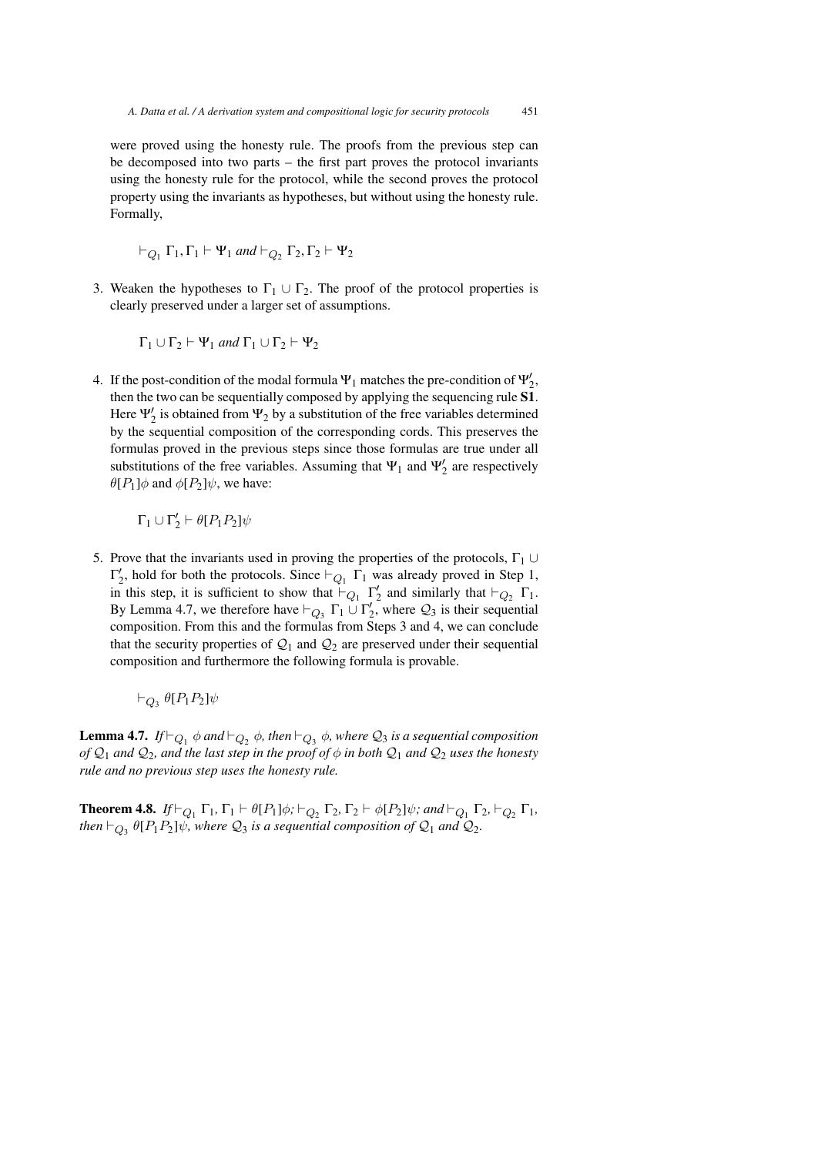were proved using the honesty rule. The proofs from the previous step can be decomposed into two parts – the first part proves the protocol invariants using the honesty rule for the protocol, while the second proves the protocol property using the invariants as hypotheses, but without using the honesty rule. Formally,

$$
\vdash_{Q_1} \Gamma_1, \Gamma_1 \vdash \Psi_1 \text{ and } \vdash_{Q_2} \Gamma_2, \Gamma_2 \vdash \Psi_2
$$

3. Weaken the hypotheses to  $\Gamma_1 \cup \Gamma_2$ . The proof of the protocol properties is clearly preserved under a larger set of assumptions.

$$
\Gamma_1 \cup \Gamma_2 \vdash \Psi_1 \text{ and } \Gamma_1 \cup \Gamma_2 \vdash \Psi_2
$$

4. If the post-condition of the modal formula  $\Psi_1$  matches the pre-condition of  $\Psi_2'$ , then the two can be sequentially composed by applying the sequencing rule **S1**. Here  $\Psi_2'$  is obtained from  $\Psi_2$  by a substitution of the free variables determined by the sequential composition of the corresponding cords. This preserves the formulas proved in the previous steps since those formulas are true under all substitutions of the free variables. Assuming that  $\Psi_1$  and  $\Psi_2'$  are respectively  $\theta[P_1]\phi$  and  $\phi[P_2]\psi$ , we have:

$$
\Gamma_1 \cup \Gamma'_2 \vdash \theta[P_1P_2]\psi
$$

5. Prove that the invariants used in proving the properties of the protocols,  $\Gamma_1 \cup$  $\Gamma'_2$ , hold for both the protocols. Since  $\vdash_{Q_1} \Gamma_1$  was already proved in Step 1, in this step, it is sufficient to show that  $\vdash_{Q_1} \Gamma'_2$  and similarly that  $\vdash_{Q_2} \Gamma_1$ . By Lemma 4.7, we therefore have  $\vdash_{Q_3} \Gamma_1 \cup \Gamma'_2$ , where  $Q_3$  is their sequential composition. From this and the formulas from Steps 3 and 4, we can conclude that the security properties of  $\mathcal{Q}_1$  and  $\mathcal{Q}_2$  are preserved under their sequential composition and furthermore the following formula is provable.

$$
\vdash_{Q_3} \theta[P_1P_2]\psi
$$

**Lemma 4.7.** *If* $\vdash_{Q_1} \phi$  *and* $\vdash_{Q_2} \phi$ *, then* $\vdash_{Q_3} \phi$ *, where*  $Q_3$  *is a sequential composition of*  $\mathcal{Q}_1$  *and*  $\mathcal{Q}_2$ *, and the last step in the proof of*  $\phi$  *in both*  $\mathcal{Q}_1$  *and*  $\mathcal{Q}_2$  *uses the honesty rule and no previous step uses the honesty rule.*

**Theorem 4.8.** *If*  $\vdash_{Q_1} \Gamma_1$ ,  $\Gamma_1 \vdash \theta[P_1]\phi$ ;  $\vdash_{Q_2} \Gamma_2$ ,  $\Gamma_2 \vdash \phi[P_2]\psi$ ; and  $\vdash_{Q_1} \Gamma_2$ ,  $\vdash_{Q_2} \Gamma_1$ , *then*  $\vdash_{Q_3} \theta[P_1P_2]\psi$ , where  $Q_3$  *is a sequential composition of*  $Q_1$  *and*  $Q_2$ *.*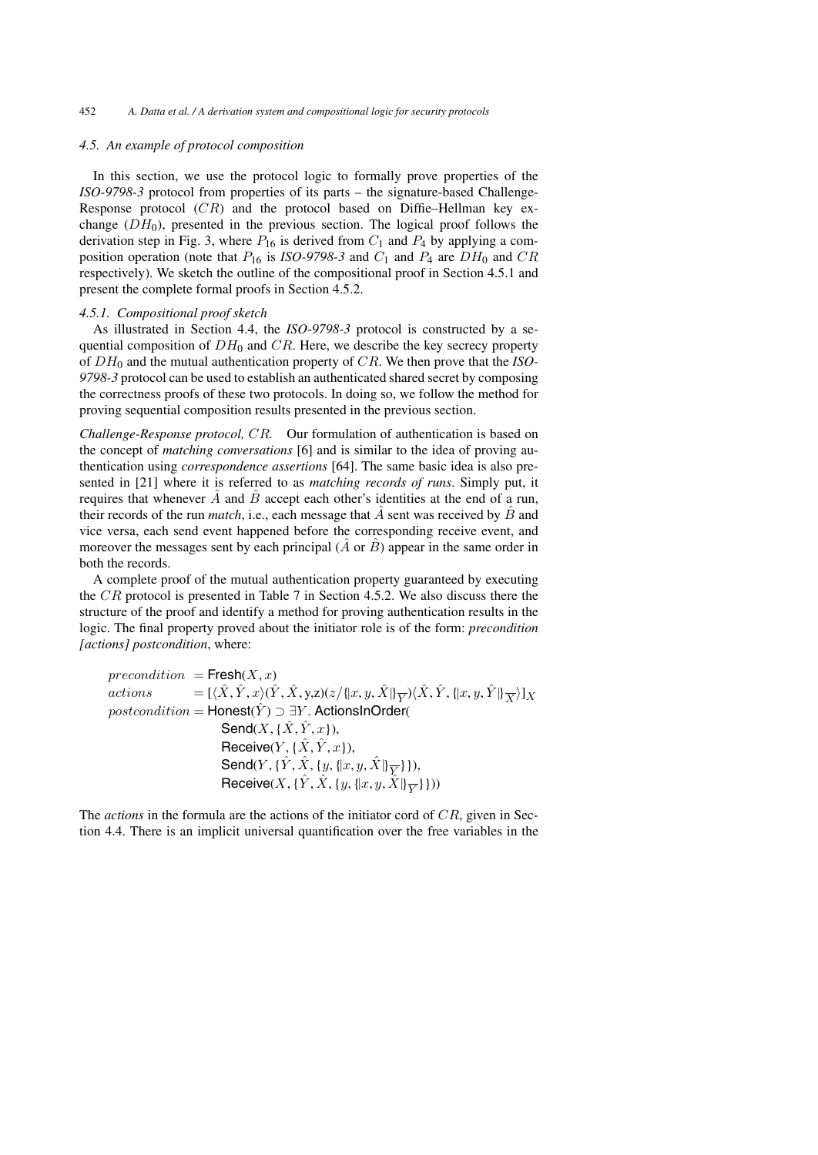#### *4.5. An example of protocol composition*

In this section, we use the protocol logic to formally prove properties of the *ISO-9798-3* protocol from properties of its parts – the signature-based Challenge-Response protocol  $(CR)$  and the protocol based on Diffie–Hellman key exchange  $(DH_0)$ , presented in the previous section. The logical proof follows the derivation step in Fig. 3, where  $P_{16}$  is derived from  $C_1$  and  $P_4$  by applying a composition operation (note that  $P_{16}$  is *ISO-9798-3* and  $C_1$  and  $P_4$  are  $DH_0$  and  $CR$ respectively). We sketch the outline of the compositional proof in Section 4.5.1 and present the complete formal proofs in Section 4.5.2.

### *4.5.1. Compositional proof sketch*

As illustrated in Section 4.4, the *ISO-9798-3* protocol is constructed by a sequential composition of  $DH_0$  and  $CR$ . Here, we describe the key secrecy property of DH<sup>0</sup> and the mutual authentication property of CR. We then prove that the *ISO-9798-3* protocol can be used to establish an authenticated shared secret by composing the correctness proofs of these two protocols. In doing so, we follow the method for proving sequential composition results presented in the previous section.

*Challenge-Response protocol,* CR*.* Our formulation of authentication is based on the concept of *matching conversations* [6] and is similar to the idea of proving authentication using *correspondence assertions* [64]. The same basic idea is also presented in [21] where it is referred to as *matching records of runs*. Simply put, it requires that whenever  $\hat{A}$  and  $\hat{B}$  accept each other's identities at the end of a run, their records of the run *match*, i.e., each message that  $\hat{A}$  sent was received by  $\hat{B}$  and vice versa, each send event happened before the corresponding receive event, and moreover the messages sent by each principal  $(\hat{A}$  or  $\hat{B})$  appear in the same order in both the records.

A complete proof of the mutual authentication property guaranteed by executing the CR protocol is presented in Table 7 in Section 4.5.2. We also discuss there the structure of the proof and identify a method for proving authentication results in the logic. The final property proved about the initiator role is of the form: *precondition [actions] postcondition*, where:

 $precondition =$ **Fresh** $(X, x)$  $\text{actions} = [\langle \hat{X}, \hat{Y}, x \rangle(\hat{Y}, \hat{X}, y, z)(z / \langle |x, y, \hat{X} | \overline{Y} \rangle \langle \hat{X}, \hat{Y}, \langle |x, y, \hat{Y} | \overline{Y} \rangle]_X]$  $postcondition =$ Honest $(\hat{Y}) \supset \exists Y$ . ActionsInOrder( Send $(X, {\hat{X}, \hat{Y}, x})$ ), Receive(Y, { $\hat{X}, \hat{Y}, x$ }), Send(Y, { $\hat{Y}, \hat{X}, \{y, \{x, y, \hat{X}\}\overline{Y}\}\$ ), Receive(X, { $\hat{Y}, \hat{X}, \{y, \{x, y, \hat{X}\}\overline{\nabla}\})$ ))

The *actions* in the formula are the actions of the initiator cord of CR, given in Section 4.4. There is an implicit universal quantification over the free variables in the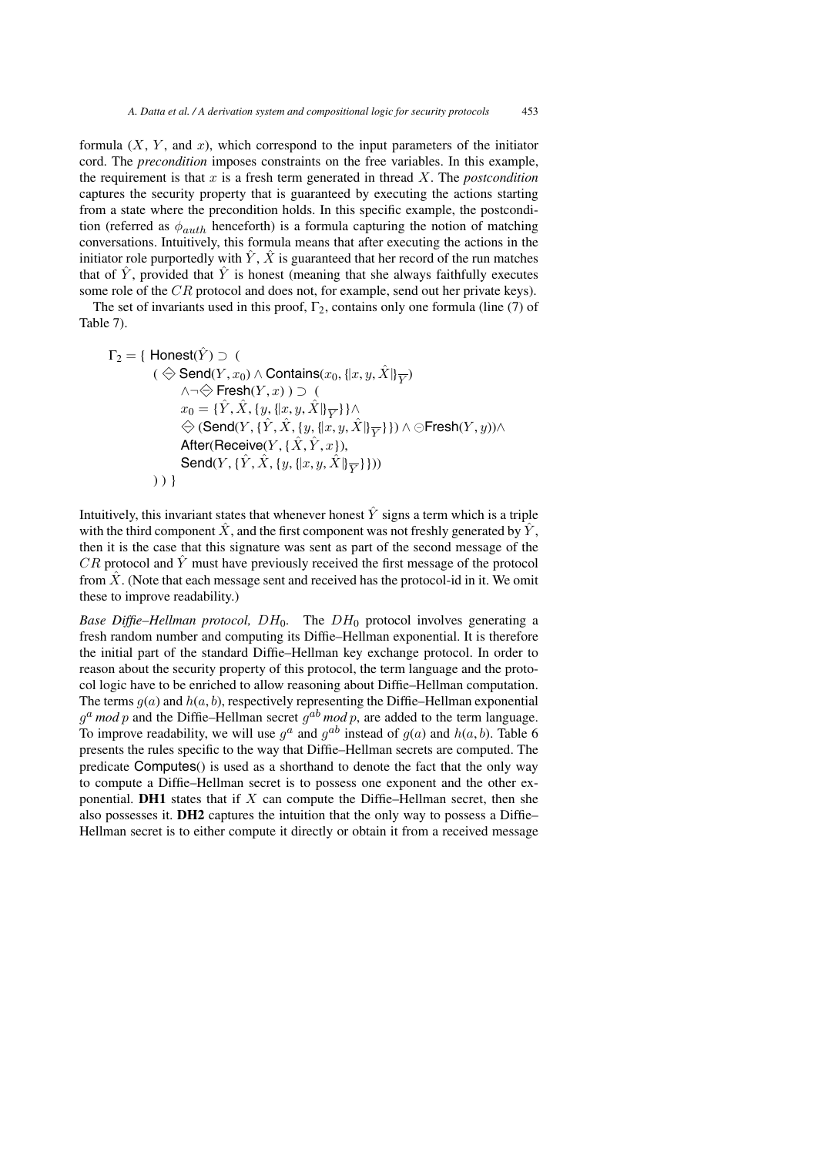formula  $(X, Y, \text{ and } x)$ , which correspond to the input parameters of the initiator cord. The *precondition* imposes constraints on the free variables. In this example, the requirement is that x is a fresh term generated in thread X. The *postcondition* captures the security property that is guaranteed by executing the actions starting from a state where the precondition holds. In this specific example, the postcondition (referred as  $\phi_{auth}$  henceforth) is a formula capturing the notion of matching conversations. Intuitively, this formula means that after executing the actions in the initiator role purportedly with  $\hat{Y}$ ,  $\hat{X}$  is guaranteed that her record of the run matches that of  $\hat{Y}$ , provided that  $\hat{Y}$  is honest (meaning that she always faithfully executes some role of the CR protocol and does not, for example, send out her private keys).

The set of invariants used in this proof,  $\Gamma_2$ , contains only one formula (line (7) of Table 7).

$$
\Gamma_2 = \{ \text{ Honest}(\hat{Y}) \supset (\text{Send}(Y, x_0) \land \text{contains}(x_0, \{|x, y, \hat{X}|\}_{\overline{Y}}) \newline \wedge \neg \diamondsuit \text{Fresh}(Y, x) ) \supset (\text{X000}) \quad x_0 = \{\hat{Y}, \hat{X}, \{y, \{|x, y, \hat{X}|\}_{\overline{Y}}\}\} \land \text{ } \diamondsuit (\text{Send}(Y, \{\hat{Y}, \hat{X}, \{y, \{|x, y, \hat{X}|\}_{\overline{Y}}\}\}) \land \text{ } \diamondsuit \text{Fresh}(Y, y)) \land \text{ After}( \text{Receive}(Y, \{\hat{X}, \hat{Y}, x\}), \text{Send}(Y, \{\hat{Y}, \hat{X}, \{y, \{|x, y, \hat{X}|\}_{\overline{Y}}\}\})) ) ) )
$$

Intuitively, this invariant states that whenever honest  $\hat{Y}$  signs a term which is a triple with the third component  $\hat{X}$ , and the first component was not freshly generated by  $\hat{Y}$ , then it is the case that this signature was sent as part of the second message of the  $CR$  protocol and  $\hat{Y}$  must have previously received the first message of the protocol from  $\hat{X}$ . (Note that each message sent and received has the protocol-id in it. We omit these to improve readability.)

*Base Diffie–Hellman protocol,*  $DH_0$ *.* The  $DH_0$  protocol involves generating a fresh random number and computing its Diffie–Hellman exponential. It is therefore the initial part of the standard Diffie–Hellman key exchange protocol. In order to reason about the security property of this protocol, the term language and the protocol logic have to be enriched to allow reasoning about Diffie–Hellman computation. The terms  $g(a)$  and  $h(a, b)$ , respectively representing the Diffie–Hellman exponential  $g^a$  mod p and the Diffie–Hellman secret  $g^{ab}$  mod p, are added to the term language. To improve readability, we will use  $g^a$  and  $g^{ab}$  instead of  $g(a)$  and  $h(a, b)$ . Table 6 presents the rules specific to the way that Diffie–Hellman secrets are computed. The predicate Computes() is used as a shorthand to denote the fact that the only way to compute a Diffie–Hellman secret is to possess one exponent and the other exponential. **DH1** states that if X can compute the Diffie–Hellman secret, then she also possesses it. **DH2** captures the intuition that the only way to possess a Diffie– Hellman secret is to either compute it directly or obtain it from a received message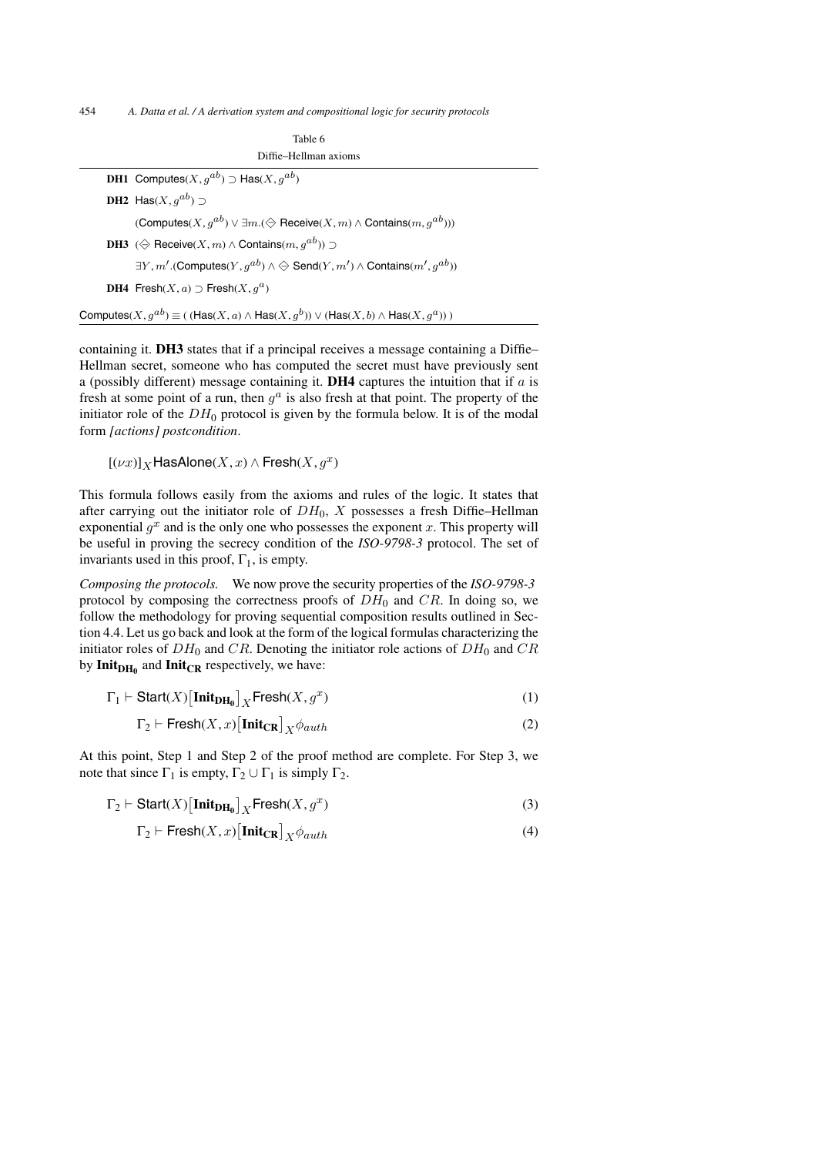454 *A. Datta et al. / A derivation system and compositional logic for security protocols*

| Table 6                                                                                                                             |
|-------------------------------------------------------------------------------------------------------------------------------------|
| Diffie-Hellman axioms                                                                                                               |
| <b>DH1</b> Computes(X, $q^{ab}$ ) $\supset$ Has(X, $q^{ab}$ )                                                                       |
| <b>DH2</b> Has( $X, q^{ab}$ ) $\supset$                                                                                             |
| (Computes(X, $q^{ab}$ ) $\vee \exists m. (\Leftrightarrow \text{Receive}(X, m) \wedge \text{contains}(m, q^{ab}))$ )                |
| <b>DH3</b> ( $\diamondsuit$ Receive( <i>X</i> , <i>m</i> ) $\wedge$ Contains( <i>m</i> , <i>q</i> <sup><i>ab</i></sup> )) $\supset$ |
| $\exists Y, m'.$ (Computes $(Y, g^{ab}) \wedge \Leftrightarrow$ Send $(Y, m') \wedge$ Contains $(m', g^{ab})$ )                     |
| <b>DH4</b> Fresh $(X, a)$ $\supset$ Fresh $(X, q^a)$                                                                                |
| Computes $(X, g^{ab}) \equiv ((\text{Has}(X, a) \land \text{Has}(X, g^b)) \lor (\text{Has}(X, b) \land \text{Has}(X, g^a)))$        |

containing it. **DH3** states that if a principal receives a message containing a Diffie– Hellman secret, someone who has computed the secret must have previously sent a (possibly different) message containing it. **DH4** captures the intuition that if a is fresh at some point of a run, then  $g^a$  is also fresh at that point. The property of the initiator role of the  $DH_0$  protocol is given by the formula below. It is of the modal form *[actions] postcondition*.

 $[(\nu x)]_X$ HasAlone $(X, x) \wedge$  Fresh $(X, g^x)$ 

This formula follows easily from the axioms and rules of the logic. It states that after carrying out the initiator role of  $DH_0$ , X possesses a fresh Diffie–Hellman exponential  $g^x$  and is the only one who possesses the exponent x. This property will be useful in proving the secrecy condition of the *ISO-9798-3* protocol. The set of invariants used in this proof,  $\Gamma_1$ , is empty.

*Composing the protocols.* We now prove the security properties of the *ISO-9798-3* protocol by composing the correctness proofs of  $DH_0$  and  $CR$ . In doing so, we follow the methodology for proving sequential composition results outlined in Section 4.4. Let us go back and look at the form of the logical formulas characterizing the initiator roles of  $DH_0$  and CR. Denoting the initiator role actions of  $DH_0$  and CR by  $Init_{DH_0}$  and  $Init_{CR}$  respectively, we have:

 $\Gamma_1 \vdash \text{Start}(X) [\text{Init}_{\text{DH}_0}] \bigg]_X \text{Fresh}(X, g^x)$  (1)

$$
\Gamma_2 \vdash \mathsf{Fresh}(X, x) [\mathbf{Init}_{\mathbf{CR}}] \underset{X}{\sim} \phi_{auth} \tag{2}
$$

At this point, Step 1 and Step 2 of the proof method are complete. For Step 3, we note that since  $\Gamma_1$  is empty,  $\Gamma_2 \cup \Gamma_1$  is simply  $\Gamma_2$ .

$$
\Gamma_2 \vdash \mathsf{Start}(X) [\mathsf{Init}_{\mathsf{DH}_0}]_X \mathsf{Fresh}(X, g^x) \tag{3}
$$

$$
\Gamma_2 \vdash \mathsf{Fresh}(X, x) [\mathbf{Init}_{\mathbf{CR}}] \underset{X}{\sim} \phi_{auth} \tag{4}
$$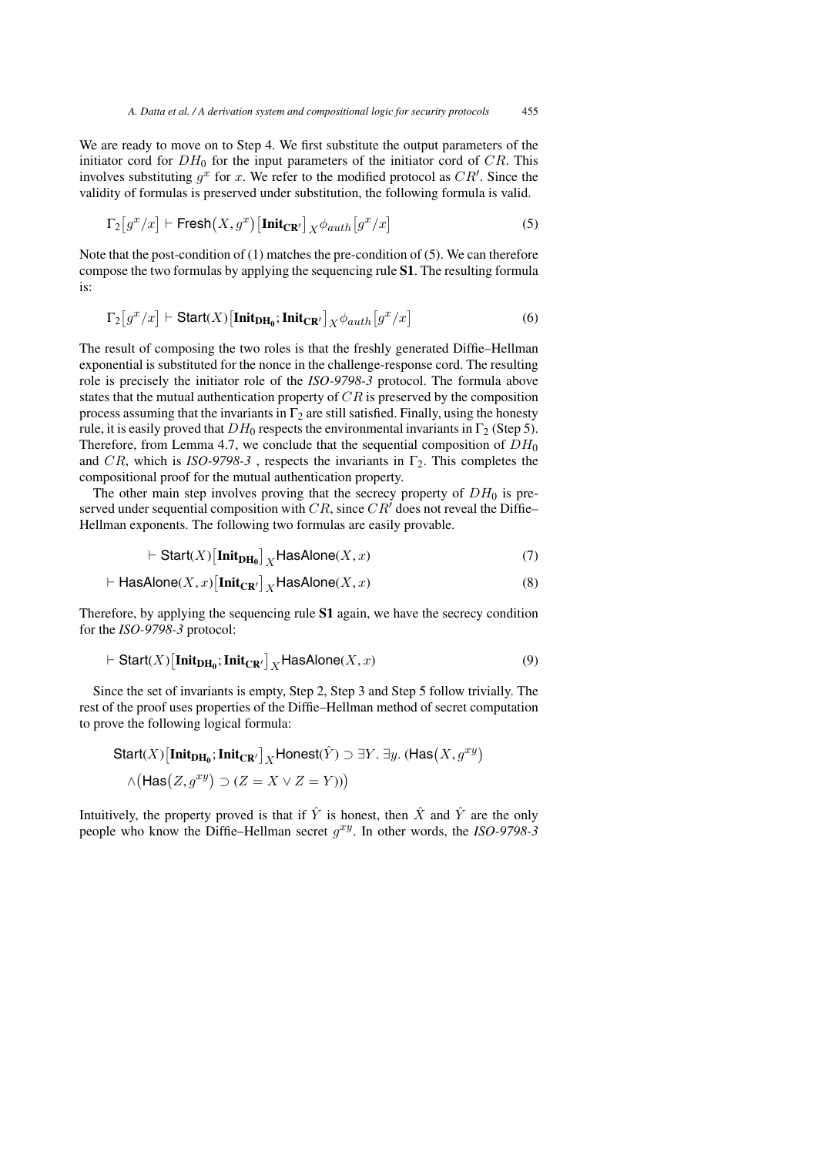We are ready to move on to Step 4. We first substitute the output parameters of the initiator cord for  $DH_0$  for the input parameters of the initiator cord of CR. This involves substituting  $g^x$  for x. We refer to the modified protocol as  $CR'$ . Since the validity of formulas is preserved under substitution, the following formula is valid.

$$
\Gamma_2[g^x/x] \vdash \mathsf{Fresh}\big(X, g^x\big) \big[\mathbf{Init}_{\mathbf{CR}'}\big]_X \phi_{auth}\big[g^x/x\big] \tag{5}
$$

Note that the post-condition of (1) matches the pre-condition of (5). We can therefore compose the two formulas by applying the sequencing rule **S1**. The resulting formula is:

$$
\Gamma_2[g^x/x] \vdash \mathsf{Start}(X) [\mathsf{Init}_{\mathsf{DH}_0}; \mathsf{Init}_{\mathsf{CR}'}] \big] \times \phi_{auth}[g^x/x] \tag{6}
$$

The result of composing the two roles is that the freshly generated Diffie–Hellman exponential is substituted for the nonce in the challenge-response cord. The resulting role is precisely the initiator role of the *ISO-9798-3* protocol. The formula above states that the mutual authentication property of  $CR$  is preserved by the composition process assuming that the invariants in  $\Gamma_2$  are still satisfied. Finally, using the honesty rule, it is easily proved that  $DH_0$  respects the environmental invariants in  $\Gamma_2$  (Step 5). Therefore, from Lemma 4.7, we conclude that the sequential composition of  $DH_0$ and CR, which is *ISO-9798-3*, respects the invariants in  $\Gamma_2$ . This completes the compositional proof for the mutual authentication property.

The other main step involves proving that the secrecy property of  $DH_0$  is preserved under sequential composition with  $CR$ , since  $CR'$  does not reveal the Diffie– Hellman exponents. The following two formulas are easily provable.

$$
\vdash \mathsf{Start}(X) [\mathsf{Init}_{\mathsf{DH}_0}]_X \mathsf{HasAlone}(X, x) \tag{7}
$$

$$
\vdash \mathsf{HasAlone}(X, x) [\mathsf{Init}_{\mathsf{CR}'}]_X \mathsf{HasAlone}(X, x) \tag{8}
$$

Therefore, by applying the sequencing rule **S1** again, we have the secrecy condition for the *ISO-9798-3* protocol:

$$
\vdash \mathsf{Start}(X) [\mathsf{Init}_{\mathsf{DH}_0}; \mathsf{Init}_{\mathsf{CR}'}] \big| X \mathsf{HasAlone}(X, x) \tag{9}
$$

Since the set of invariants is empty, Step 2, Step 3 and Step 5 follow trivially. The rest of the proof uses properties of the Diffie–Hellman method of secret computation to prove the following logical formula:

Start(X) 
$$
[\text{Init}_{\text{DH}_0}; \text{Init}_{\text{CR}'}]_X
$$
Honest( $\hat{Y}$ )  $\supset \exists Y. \exists y. (\text{Has}(X, g^{xy})$   
  $\wedge (\text{Has}(Z, g^{xy}) \supset (Z = X \vee Z = Y)))$ 

Intuitively, the property proved is that if  $\hat{Y}$  is honest, then  $\hat{X}$  and  $\hat{Y}$  are the only people who know the Diffie–Hellman secret  $g^{xy}$ . In other words, the *ISO-9798-3*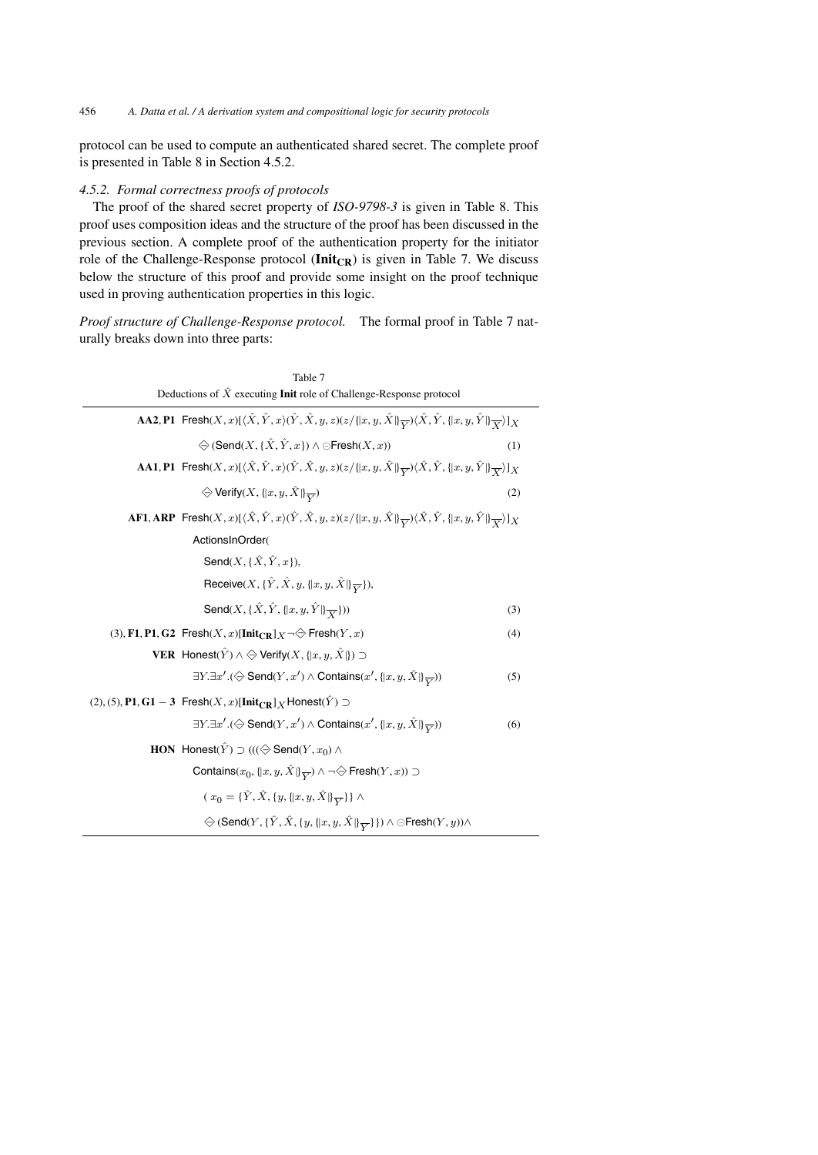protocol can be used to compute an authenticated shared secret. The complete proof is presented in Table 8 in Section 4.5.2.

# *4.5.2. Formal correctness proofs of protocols*

The proof of the shared secret property of *ISO-9798-3* is given in Table 8. This proof uses composition ideas and the structure of the proof has been discussed in the previous section. A complete proof of the authentication property for the initiator role of the Challenge-Response protocol (Init<sub>CR</sub>) is given in Table 7. We discuss below the structure of this proof and provide some insight on the proof technique used in proving authentication properties in this logic.

*Proof structure of Challenge-Response protocol.* The formal proof in Table 7 naturally breaks down into three parts:

| Table 7<br>Deductions of $\hat{X}$ executing $\mathbf{Init}$ role of Challenge-Response protocol |                                                                                                                                                                                                                  |     |
|--------------------------------------------------------------------------------------------------|------------------------------------------------------------------------------------------------------------------------------------------------------------------------------------------------------------------|-----|
|                                                                                                  | <b>AA2, P1</b> Fresh $(X, x)$ [ $\langle \hat{X}, \hat{Y}, x \rangle$ $(\hat{Y}, \hat{X}, y, z)$ $(z/\ x, y, \hat{X}\ _{\overline{Y}})\langle \hat{X}, \hat{Y}, \ x, y, \hat{Y}\ _{\overline{X}})\ _X$           |     |
|                                                                                                  | $\Diamond$ (Send(X, { $\hat{X}$ , $\hat{Y}$ , x}) $\land$ $\ominus$ Fresh(X, x))                                                                                                                                 | (1) |
|                                                                                                  | <b>AA1, P1</b> Fresh $(X, x) [\langle \hat{X}, \hat{Y}, x \rangle(\hat{Y}, \hat{X}, y, z) (z/\ x, y, \hat{X}\ _{\overline{Y}}) \langle \hat{X}, \hat{Y}, \ x, y, \hat{Y}\ _{\overline{X}}) ]_X$                  |     |
|                                                                                                  | $\diamondsuit$ Verify $(X, \{x, y, \hat{X}\}\overline{\nabla})$                                                                                                                                                  | (2) |
|                                                                                                  | <b>AF1, ARP</b> Fresh $(X, x)$ [ $\langle \hat{X}, \hat{Y}, x \rangle$ $(\hat{Y}, \hat{X}, y, z)$ $(z/\ x, y, \hat{X}\ _{\overline{Y}})\langle \hat{X}, \hat{Y}, \ x, y, \hat{Y}\ _{\overline{X}}\rangle$ ] $_X$ |     |
|                                                                                                  | ActionsInOrder(                                                                                                                                                                                                  |     |
|                                                                                                  | Send $(X, \{\hat{X}, \hat{Y}, x\})$                                                                                                                                                                              |     |
|                                                                                                  | Receive $(X, \{\hat{Y}, \hat{X}, y, \ x, y, \hat{X}\ _{\overline{Y}}\}),$                                                                                                                                        |     |
|                                                                                                  | Send $(X, \{\hat{X}, \hat{Y}, \{x, y, \hat{Y}\}\overline{Y}\})$                                                                                                                                                  | (3) |
|                                                                                                  | (3), F1, P1, G2 Fresh $(X, x)$ [Init <sub>CR</sub> ] $_X \neg \diamondsuit$ Fresh $(Y, x)$                                                                                                                       | (4) |
|                                                                                                  | <b>VER</b> Honest( $\hat{Y}$ ) $\land \Leftrightarrow$ Verify(X, { x, y, X} ) $\supset$                                                                                                                          |     |
|                                                                                                  | $\exists Y. \exists x'. (\diamondsuit \mathsf{Send}(Y, x') \land \mathsf{contains}(x', \{  x, y, \hat{X}   \}, Y))$                                                                                              | (5) |
|                                                                                                  | (2), (5), P1, G1 - 3 Fresh $(X, x)$ [Init $_{CR}$ ] $_X$ Honest( $\hat{Y}$ ) $\supset$                                                                                                                           |     |
|                                                                                                  | $\exists Y. \exists x'. (\diamondsuit \mathsf{Send}(Y, x') \land \mathsf{contains}(x', \{  x, y, \hat{X}   \}, Y))$                                                                                              | (6) |
|                                                                                                  | <b>HON</b> Honest( $\hat{Y}$ ) $\supset$ ((( $\diamondsuit$ Send( $Y, x_0$ ) $\wedge$                                                                                                                            |     |
|                                                                                                  | Contains $(x_0, \{  x, y, \hat{X}  \}_{\overline{Y}}) \wedge \neg \diamondsuit$ Fresh $(Y, x)$ ) $\supset$                                                                                                       |     |
|                                                                                                  | $(x_0 = \{\hat{Y}, \hat{X}, \{y, \ x, y, \hat{X}\}\overline{\nabla}\}\}\$                                                                                                                                        |     |
|                                                                                                  | $\hat{\diamondsuit}$ (Send( $Y, \{\hat{Y}, \hat{X}, \{y, \{  x, y, \hat{X} \}\overline{\nabla}}\}) \wedge \ominus \mathsf{Fresh}(Y, y)) \wedge$                                                                  |     |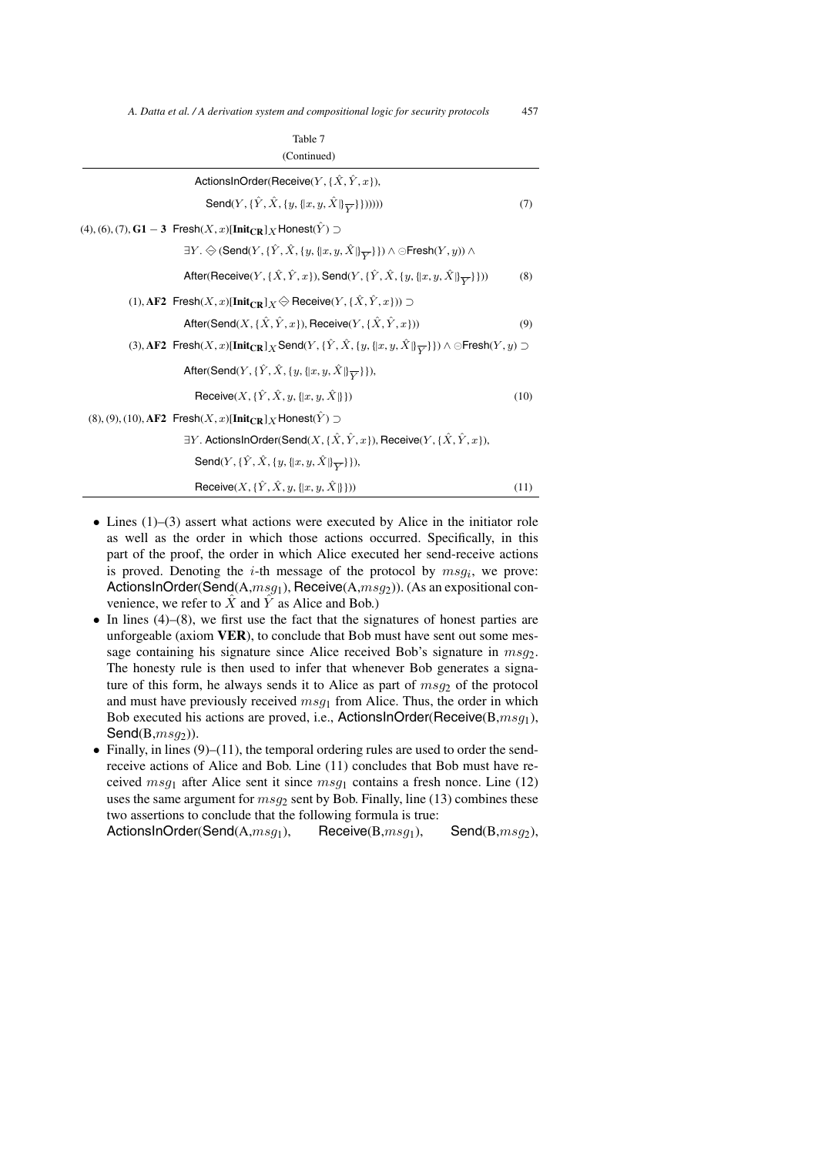| Table 7<br>(Continued)                                                                                                                                                                |      |
|---------------------------------------------------------------------------------------------------------------------------------------------------------------------------------------|------|
| ActionsInOrder(Receive(Y, { $\hat{X}, \hat{Y}, x$ }),                                                                                                                                 |      |
| Send $(Y, \{\hat{Y}, \hat{X}, \{y, \{x, y, \hat{X}\}\}\})$ )))))                                                                                                                      | (7)  |
| (4), (6), (7), G1 - 3 Fresh $(X, x)$ [Init $_{CR}$ ] $_X$ Honest $(\hat{Y}) \supset$                                                                                                  |      |
| $\exists Y. \bigcircled{\sim} (\mathsf{Send}(Y, \{\hat{Y}, \hat{X}, \{y, \{x, y, \hat{X}\} \}_{\overline{Y}}\})) \wedge \ominus \mathsf{Fresh}(Y, y)) \wedge$                         |      |
| After(Receive(Y, { $\hat{X}, \hat{Y}, x$ }), Send(Y, { $\hat{Y}, \hat{X}, \{y, \{x, y, \hat{X}\}\overline{\mathbf{Y}}\})$ )                                                           | (8)  |
| (1), AF2 Fresh $(X, x)$ [Init $_{CR}$ ] $_X \diamondsuit$ Receive $(Y, \{\hat{X}, \hat{Y}, x\})$ ]                                                                                    |      |
| After(Send(X, { $\hat{X}$ , $\hat{Y}$ , x}), Receive(Y, { $\hat{X}$ , $\hat{Y}$ , x}))                                                                                                | (9)  |
| (3), AF2 Fresh $(X, x)$ [Init $_{\mathbb{C}\mathbb{R}}$ ] $_X$ Send $(Y, \{\hat{Y}, \hat{X}, \{y, \{x, y, \hat{X}\}\vert_{\overline{Y}}\})$ ) $\wedge \ominus$ Fresh $(Y, y) \supset$ |      |
| After(Send(Y, { $\hat{Y}$ , $\hat{X}$ , { $y$ , { x, $y$ , $\hat{X}$  } $\frac{1}{\nabla}$ }),                                                                                        |      |
| Receive $(X, \{\hat{Y}, \hat{X}, y, \ x, y, \hat{X}\}\)$                                                                                                                              | (10) |
| (8), (9), (10), AF2 Fresh $(X, x)$ [Init <sub>CR</sub> ] $_X$ Honest( $\hat{Y}$ ) $\supset$                                                                                           |      |
| $\exists Y.$ ActionsInOrder(Send(X, { $\hat{X}, \hat{Y}, x$ }), Receive(Y, { $\hat{X}, \hat{Y}, x$ }),                                                                                |      |
| Send $(Y, \{\hat{Y}, \hat{X}, \{y, \{x, y, \hat{X}\}\}\overline{Y}}\})$                                                                                                               |      |
| Receive $(X, \{\hat{Y}, \hat{X}, y, \ x, y, \hat{X}\}\})$                                                                                                                             | (11) |

- Lines  $(1)$ – $(3)$  assert what actions were executed by Alice in the initiator role as well as the order in which those actions occurred. Specifically, in this part of the proof, the order in which Alice executed her send-receive actions is proved. Denoting the *i*-th message of the protocol by  $msg_i$ , we prove: ActionsInOrder(Send(A, $msg_1$ ), Receive(A, $msg_2$ )). (As an expositional convenience, we refer to  $\overline{X}$  and  $\overline{Y}$  as Alice and Bob.)
- In lines  $(4)$ – $(8)$ , we first use the fact that the signatures of honest parties are unforgeable (axiom **VER**), to conclude that Bob must have sent out some message containing his signature since Alice received Bob's signature in  $msg_2$ . The honesty rule is then used to infer that whenever Bob generates a signature of this form, he always sends it to Alice as part of  $msg_2$  of the protocol and must have previously received  $msg_1$  from Alice. Thus, the order in which Bob executed his actions are proved, i.e., ActionsInOrder(Receive $(B, msg<sub>1</sub>)$ , Send $(B,msg<sub>2</sub>)$ ).
- Finally, in lines  $(9)$ – $(11)$ , the temporal ordering rules are used to order the sendreceive actions of Alice and Bob. Line (11) concludes that Bob must have received  $msg_1$  after Alice sent it since  $msg_1$  contains a fresh nonce. Line (12) uses the same argument for  $msg_2$  sent by Bob. Finally, line (13) combines these two assertions to conclude that the following formula is true:

ActionsInOrder(Send(A, $msg_1$ ), Receive(B, $msg_1$ ), Send(B, $msg_2$ ),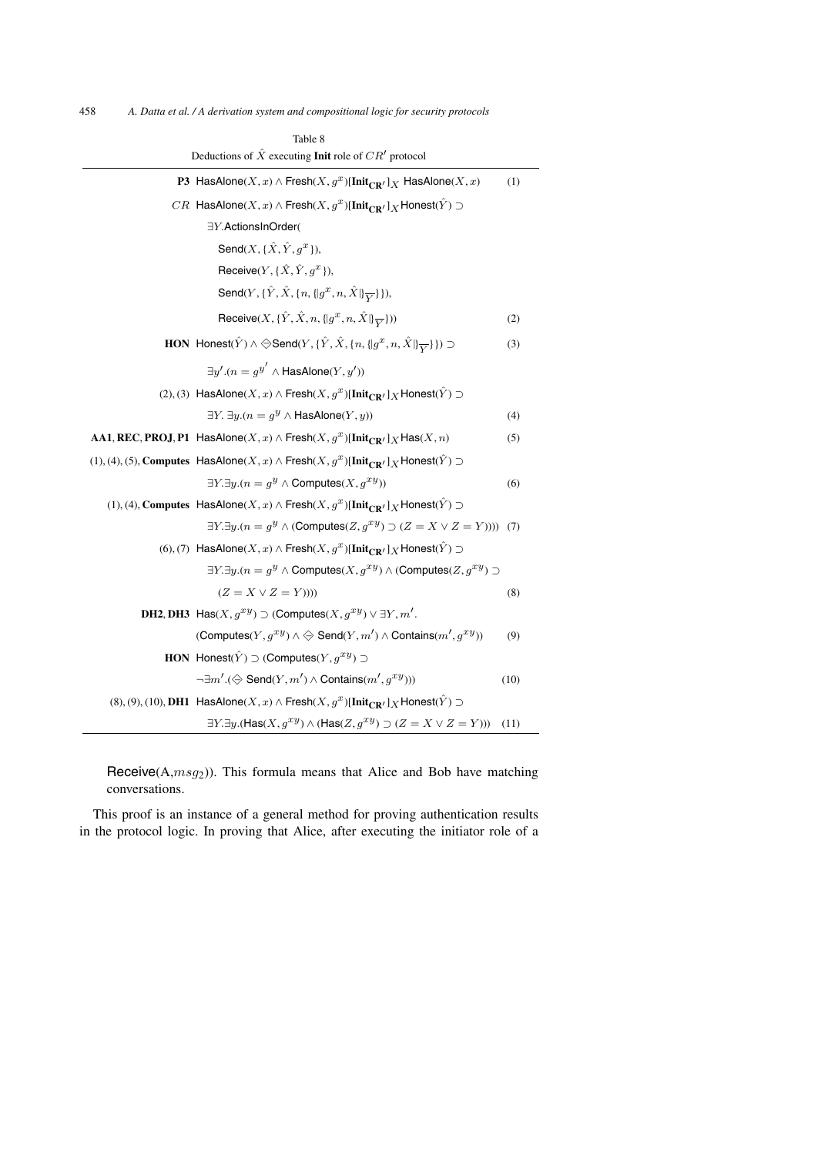458 *A. Datta et al. / A derivation system and compositional logic for security protocols*

| Table 8<br>Deductions of $\hat{X}$ executing Init role of $CR'$ protocol |                                                                                                                                                                                   |      |
|--------------------------------------------------------------------------|-----------------------------------------------------------------------------------------------------------------------------------------------------------------------------------|------|
|                                                                          | <b>P3</b> HasAlone( <i>X</i> , <i>x</i> ) $\wedge$ Fresh( <i>X</i> , <i>g<sup>x</sup></i> )[Init <sub>CR</sub> <sub>'</sub> ] <sub><i>X</i></sub> HasAlone( <i>X</i> , <i>x</i> ) | (1)  |
|                                                                          | $CR$ HasAlone $(X, x) \wedge$ Fresh $(X, g^x)$ [Init $_{CR'}$ ] $_X$ Honest $(\hat{Y}) \supset$                                                                                   |      |
|                                                                          | EY.ActionsInOrder(                                                                                                                                                                |      |
|                                                                          | Send $(X, \{\hat{X}, \hat{Y}, q^x\})$ ,                                                                                                                                           |      |
|                                                                          | Receive $(Y, \{\hat{X}, \hat{Y}, q^x\})$ ,                                                                                                                                        |      |
|                                                                          | Send(Y, { $\hat{Y}, \hat{X}, \{n, \{g^x, n, \hat{X}\}\overline{\nabla}\}\)$ ),                                                                                                    |      |
|                                                                          | Receive $(X, \{\hat{Y}, \hat{X}, n, \ g^x, n, \hat{X}\ _{\overline{Y}}\}))$                                                                                                       | (2)  |
|                                                                          | <b>HON</b> Honest( $\hat{Y}$ ) $\land \bigcirc$ Send( $Y$ , { $\hat{Y}$ , $\hat{X}$ , { $n$ , { $ g^x, n$ , $\hat{X}$ } $\ket{\overline{\nabla}}$ }) $\supset$                    | (3)  |
|                                                                          | $\exists y'.(n = g^{y'} \land \textsf{HasAlone}(Y, y'))$                                                                                                                          |      |
|                                                                          | (2), (3) HasAlone(X, x) $\wedge$ Fresh(X, $g^x$ )[Init <sub>CR'</sub> ] <sub>X</sub> Honest( $\hat{Y}$ ) $\supset$                                                                |      |
|                                                                          | $\exists Y. \exists y. (n = g^y \land \text{HasAlone}(Y, y))$                                                                                                                     | (4)  |
|                                                                          | <b>AA1, REC, PROJ, P1</b> HasAlone( <i>X</i> , <i>x</i> ) $\wedge$ Fresh( <i>X</i> , <i>g<sup>x</sup></i> )[Init <sub>CR</sub> /] <sub><i>X</i></sub> Has( <i>X</i> , <i>n</i> )  | (5)  |
|                                                                          | (1), (4), (5), Computes HasAlone( $X, x$ ) $\wedge$ Fresh( $X, g^x$ )[Init <sub>CR'</sub> ] <sub>X</sub> Honest( $\hat{Y}$ ) $\supset$                                            |      |
|                                                                          | $\exists Y. \exists y. (n = g^y \land \text{Computes}(X, g^{xy}))$                                                                                                                | (6)  |
|                                                                          | (1), (4), Computes HasAlone( $X, x$ ) $\wedge$ Fresh( $X, g^x$ )[Init <sub>CR'</sub> ] <sub>X</sub> Honest( $\hat{Y}$ ) $\supset$                                                 |      |
|                                                                          | $\exists Y. \exists y. (n = g^y \land (Computes(Z, g^{xy}) \supset (Z = X \lor Z = Y))))$ (7)                                                                                     |      |
|                                                                          | (6), (7) HasAlone(X, x) $\wedge$ Fresh(X, $g^x$ )[Init <sub>CR'</sub> ] <sub>X</sub> Honest( $\hat{Y}$ ) $\supset$                                                                |      |
|                                                                          | $\exists Y. \exists y. (n = g^y \land \textsf{Computes}(X, g^{xy}) \land (\textsf{Computes}(Z, g^{xy}) \supset$                                                                   |      |
|                                                                          | $(Z = X \vee Z = Y)))$                                                                                                                                                            | (8)  |
|                                                                          | <b>DH2, DH3</b> Has( $X, g^{xy}$ ) $\supset$ (Computes( $X, g^{xy}$ ) $\vee \exists Y, m'$ .                                                                                      |      |
|                                                                          | (Computes(Y, $g^{xy}$ ) $\wedge \Leftrightarrow$ Send(Y, m') $\wedge$ Contains(m', $g^{xy}$ ))                                                                                    | (9)  |
|                                                                          | <b>HON</b> Honest( $\hat{Y}$ ) $\supset$ (Computes( $Y, g^{xy}$ ) $\supset$                                                                                                       |      |
|                                                                          | $\neg \exists m'. (\diamondsuit \; \mathsf{Send}(Y, m') \land \mathsf{contains}(m', g^{xy})))$                                                                                    | (10) |
|                                                                          | (8), (9), (10), DH1 HasAlone(X, x) $\wedge$ Fresh(X, $g^x$ )[Init <sub>CR'</sub> ] <sub>X</sub> Honest( $\hat{Y}$ ) $\supset$                                                     |      |
|                                                                          | $\exists Y. \exists y.$ (Has $(X, g^{xy}) \wedge$ (Has $(Z, g^{xy}) \supset (Z = X \vee Z = Y))$ )                                                                                | (11) |

Receive $(A, msg_2)$ ). This formula means that Alice and Bob have matching conversations.

This proof is an instance of a general method for proving authentication results in the protocol logic. In proving that Alice, after executing the initiator role of a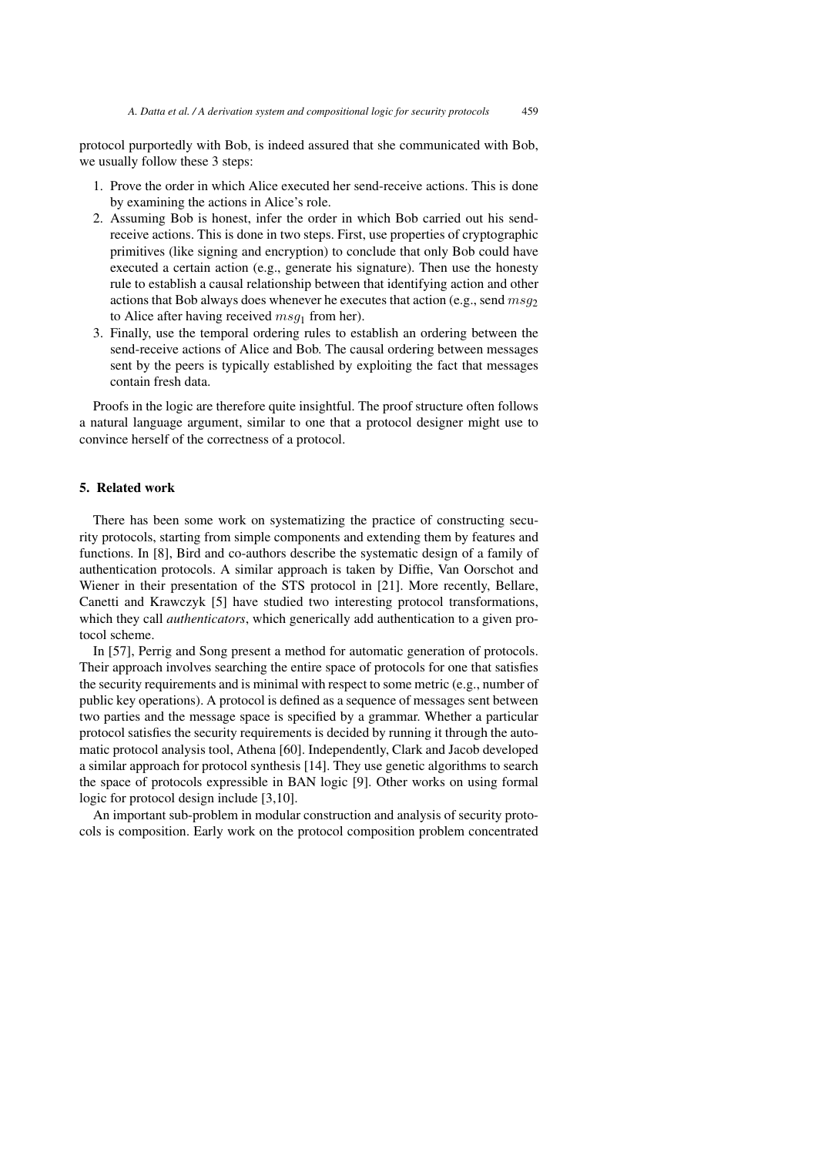protocol purportedly with Bob, is indeed assured that she communicated with Bob, we usually follow these 3 steps:

- 1. Prove the order in which Alice executed her send-receive actions. This is done by examining the actions in Alice's role.
- 2. Assuming Bob is honest, infer the order in which Bob carried out his sendreceive actions. This is done in two steps. First, use properties of cryptographic primitives (like signing and encryption) to conclude that only Bob could have executed a certain action (e.g., generate his signature). Then use the honesty rule to establish a causal relationship between that identifying action and other actions that Bob always does whenever he executes that action (e.g., send  $mso_2$ ) to Alice after having received  $msg_1$  from her).
- 3. Finally, use the temporal ordering rules to establish an ordering between the send-receive actions of Alice and Bob. The causal ordering between messages sent by the peers is typically established by exploiting the fact that messages contain fresh data.

Proofs in the logic are therefore quite insightful. The proof structure often follows a natural language argument, similar to one that a protocol designer might use to convince herself of the correctness of a protocol.

### **5. Related work**

There has been some work on systematizing the practice of constructing security protocols, starting from simple components and extending them by features and functions. In [8], Bird and co-authors describe the systematic design of a family of authentication protocols. A similar approach is taken by Diffie, Van Oorschot and Wiener in their presentation of the STS protocol in [21]. More recently, Bellare, Canetti and Krawczyk [5] have studied two interesting protocol transformations, which they call *authenticators*, which generically add authentication to a given protocol scheme.

In [57], Perrig and Song present a method for automatic generation of protocols. Their approach involves searching the entire space of protocols for one that satisfies the security requirements and is minimal with respect to some metric (e.g., number of public key operations). A protocol is defined as a sequence of messages sent between two parties and the message space is specified by a grammar. Whether a particular protocol satisfies the security requirements is decided by running it through the automatic protocol analysis tool, Athena [60]. Independently, Clark and Jacob developed a similar approach for protocol synthesis [14]. They use genetic algorithms to search the space of protocols expressible in BAN logic [9]. Other works on using formal logic for protocol design include [3,10].

An important sub-problem in modular construction and analysis of security protocols is composition. Early work on the protocol composition problem concentrated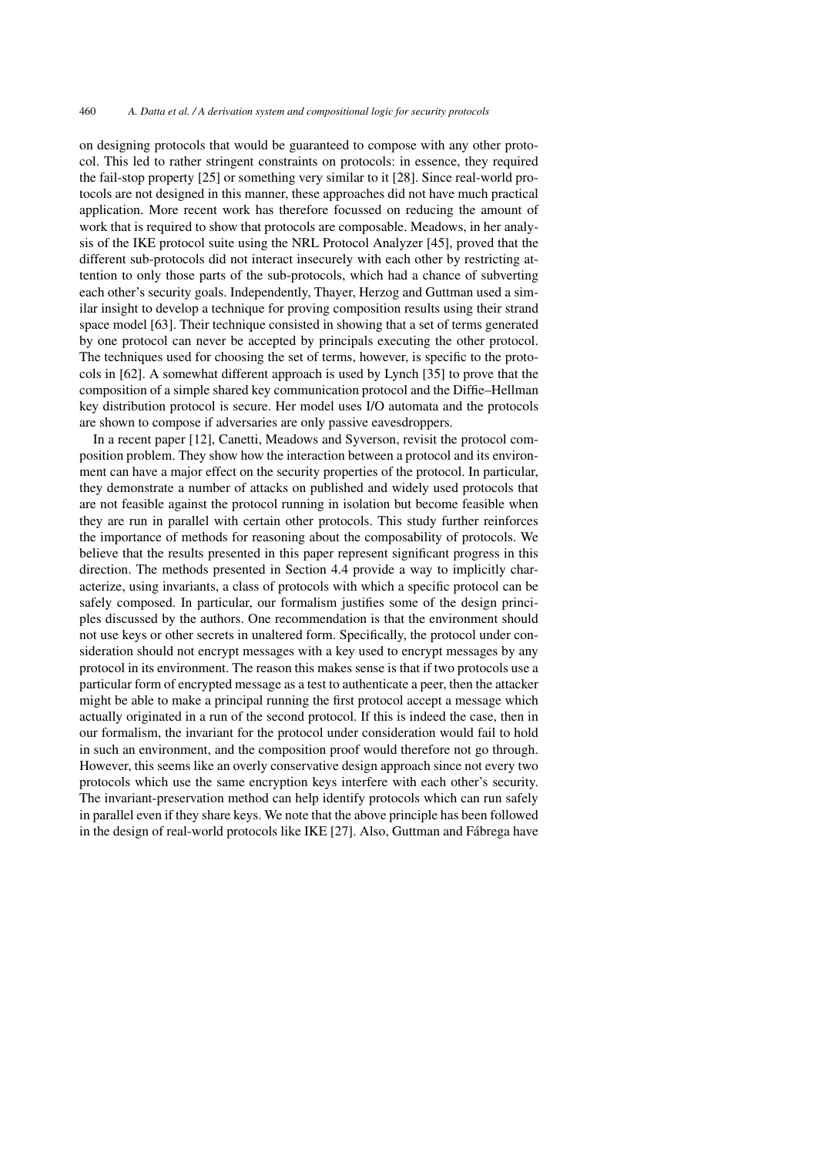#### 460 *A. Datta et al. / A derivation system and compositional logic for security protocols*

on designing protocols that would be guaranteed to compose with any other protocol. This led to rather stringent constraints on protocols: in essence, they required the fail-stop property [25] or something very similar to it [28]. Since real-world protocols are not designed in this manner, these approaches did not have much practical application. More recent work has therefore focussed on reducing the amount of work that is required to show that protocols are composable. Meadows, in her analysis of the IKE protocol suite using the NRL Protocol Analyzer [45], proved that the different sub-protocols did not interact insecurely with each other by restricting attention to only those parts of the sub-protocols, which had a chance of subverting each other's security goals. Independently, Thayer, Herzog and Guttman used a similar insight to develop a technique for proving composition results using their strand space model [63]. Their technique consisted in showing that a set of terms generated by one protocol can never be accepted by principals executing the other protocol. The techniques used for choosing the set of terms, however, is specific to the protocols in [62]. A somewhat different approach is used by Lynch [35] to prove that the composition of a simple shared key communication protocol and the Diffie–Hellman key distribution protocol is secure. Her model uses I/O automata and the protocols are shown to compose if adversaries are only passive eavesdroppers.

In a recent paper [12], Canetti, Meadows and Syverson, revisit the protocol composition problem. They show how the interaction between a protocol and its environment can have a major effect on the security properties of the protocol. In particular, they demonstrate a number of attacks on published and widely used protocols that are not feasible against the protocol running in isolation but become feasible when they are run in parallel with certain other protocols. This study further reinforces the importance of methods for reasoning about the composability of protocols. We believe that the results presented in this paper represent significant progress in this direction. The methods presented in Section 4.4 provide a way to implicitly characterize, using invariants, a class of protocols with which a specific protocol can be safely composed. In particular, our formalism justifies some of the design principles discussed by the authors. One recommendation is that the environment should not use keys or other secrets in unaltered form. Specifically, the protocol under consideration should not encrypt messages with a key used to encrypt messages by any protocol in its environment. The reason this makes sense is that if two protocols use a particular form of encrypted message as a test to authenticate a peer, then the attacker might be able to make a principal running the first protocol accept a message which actually originated in a run of the second protocol. If this is indeed the case, then in our formalism, the invariant for the protocol under consideration would fail to hold in such an environment, and the composition proof would therefore not go through. However, this seems like an overly conservative design approach since not every two protocols which use the same encryption keys interfere with each other's security. The invariant-preservation method can help identify protocols which can run safely in parallel even if they share keys. We note that the above principle has been followed in the design of real-world protocols like IKE [27]. Also, Guttman and Fábrega have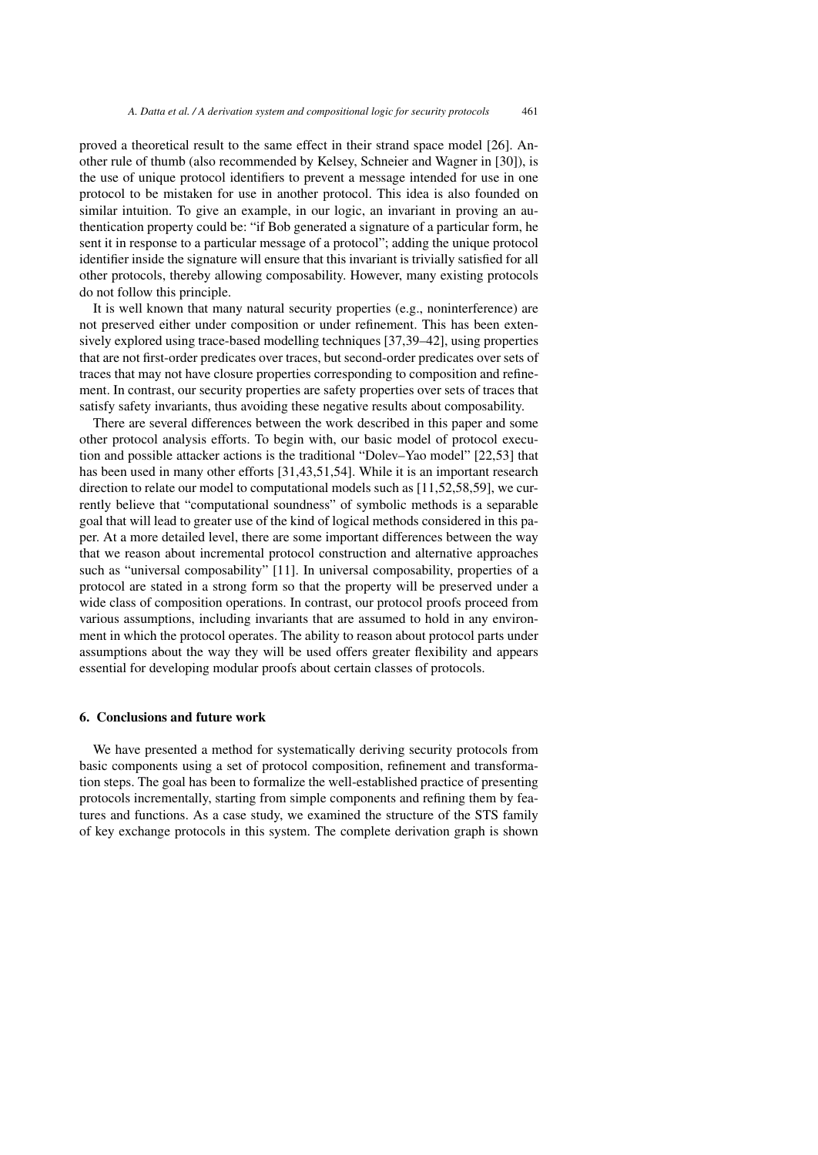proved a theoretical result to the same effect in their strand space model [26]. Another rule of thumb (also recommended by Kelsey, Schneier and Wagner in [30]), is the use of unique protocol identifiers to prevent a message intended for use in one protocol to be mistaken for use in another protocol. This idea is also founded on similar intuition. To give an example, in our logic, an invariant in proving an authentication property could be: "if Bob generated a signature of a particular form, he sent it in response to a particular message of a protocol"; adding the unique protocol identifier inside the signature will ensure that this invariant is trivially satisfied for all other protocols, thereby allowing composability. However, many existing protocols do not follow this principle.

It is well known that many natural security properties (e.g., noninterference) are not preserved either under composition or under refinement. This has been extensively explored using trace-based modelling techniques [37,39–42], using properties that are not first-order predicates over traces, but second-order predicates over sets of traces that may not have closure properties corresponding to composition and refinement. In contrast, our security properties are safety properties over sets of traces that satisfy safety invariants, thus avoiding these negative results about composability.

There are several differences between the work described in this paper and some other protocol analysis efforts. To begin with, our basic model of protocol execution and possible attacker actions is the traditional "Dolev–Yao model" [22,53] that has been used in many other efforts [31,43,51,54]. While it is an important research direction to relate our model to computational models such as [11,52,58,59], we currently believe that "computational soundness" of symbolic methods is a separable goal that will lead to greater use of the kind of logical methods considered in this paper. At a more detailed level, there are some important differences between the way that we reason about incremental protocol construction and alternative approaches such as "universal composability" [11]. In universal composability, properties of a protocol are stated in a strong form so that the property will be preserved under a wide class of composition operations. In contrast, our protocol proofs proceed from various assumptions, including invariants that are assumed to hold in any environment in which the protocol operates. The ability to reason about protocol parts under assumptions about the way they will be used offers greater flexibility and appears essential for developing modular proofs about certain classes of protocols.

# **6. Conclusions and future work**

We have presented a method for systematically deriving security protocols from basic components using a set of protocol composition, refinement and transformation steps. The goal has been to formalize the well-established practice of presenting protocols incrementally, starting from simple components and refining them by features and functions. As a case study, we examined the structure of the STS family of key exchange protocols in this system. The complete derivation graph is shown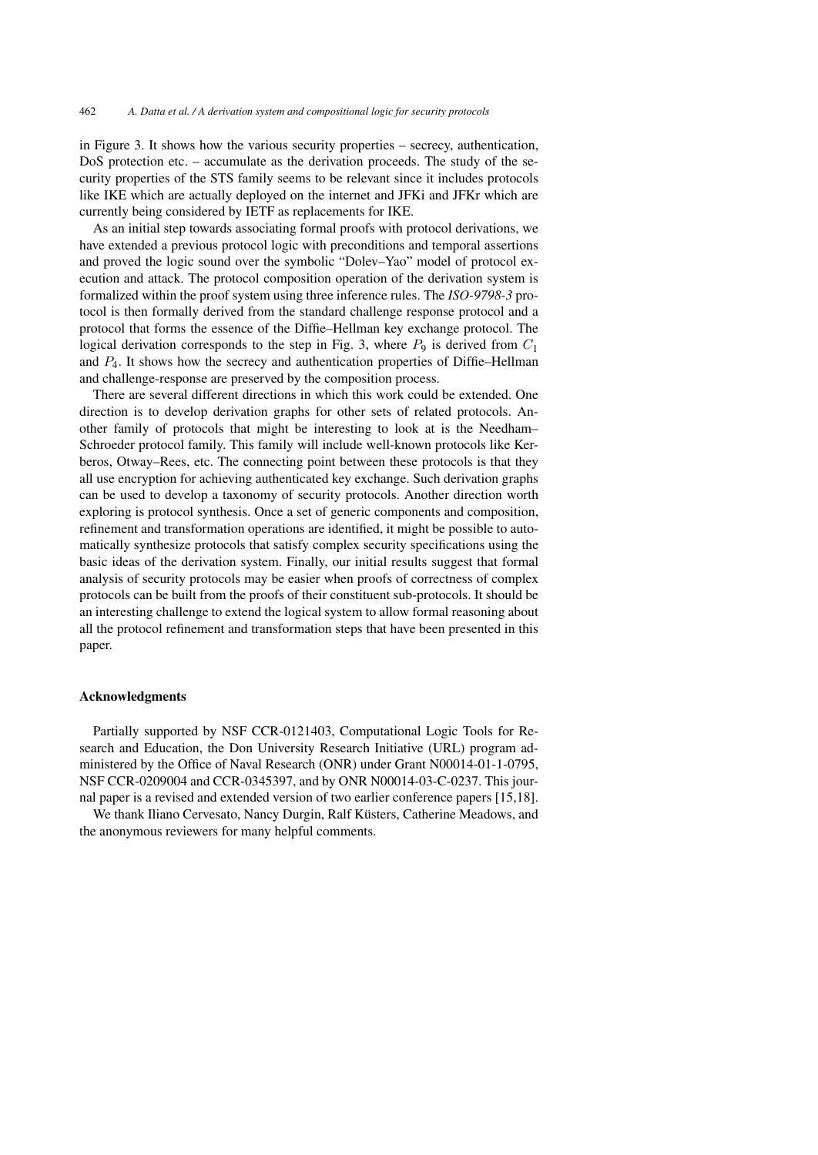in Figure 3. It shows how the various security properties – secrecy, authentication, DoS protection etc. – accumulate as the derivation proceeds. The study of the security properties of the STS family seems to be relevant since it includes protocols like IKE which are actually deployed on the internet and JFKi and JFKr which are currently being considered by IETF as replacements for IKE.

As an initial step towards associating formal proofs with protocol derivations, we have extended a previous protocol logic with preconditions and temporal assertions and proved the logic sound over the symbolic "Dolev–Yao" model of protocol execution and attack. The protocol composition operation of the derivation system is formalized within the proof system using three inference rules. The *ISO-9798-3* protocol is then formally derived from the standard challenge response protocol and a protocol that forms the essence of the Diffie–Hellman key exchange protocol. The logical derivation corresponds to the step in Fig. 3, where  $P_9$  is derived from  $C_1$ and  $P_4$ . It shows how the secrecy and authentication properties of Diffie–Hellman and challenge-response are preserved by the composition process.

There are several different directions in which this work could be extended. One direction is to develop derivation graphs for other sets of related protocols. Another family of protocols that might be interesting to look at is the Needham– Schroeder protocol family. This family will include well-known protocols like Kerberos, Otway–Rees, etc. The connecting point between these protocols is that they all use encryption for achieving authenticated key exchange. Such derivation graphs can be used to develop a taxonomy of security protocols. Another direction worth exploring is protocol synthesis. Once a set of generic components and composition, refinement and transformation operations are identified, it might be possible to automatically synthesize protocols that satisfy complex security specifications using the basic ideas of the derivation system. Finally, our initial results suggest that formal analysis of security protocols may be easier when proofs of correctness of complex protocols can be built from the proofs of their constituent sub-protocols. It should be an interesting challenge to extend the logical system to allow formal reasoning about all the protocol refinement and transformation steps that have been presented in this paper.

### **Acknowledgments**

Partially supported by NSF CCR-0121403, Computational Logic Tools for Research and Education, the Don University Research Initiative (URL) program administered by the Office of Naval Research (ONR) under Grant N00014-01-1-0795, NSF CCR-0209004 and CCR-0345397, and by ONR N00014-03-C-0237. This journal paper is a revised and extended version of two earlier conference papers [15,18].

We thank Iliano Cervesato, Nancy Durgin, Ralf Küsters, Catherine Meadows, and the anonymous reviewers for many helpful comments.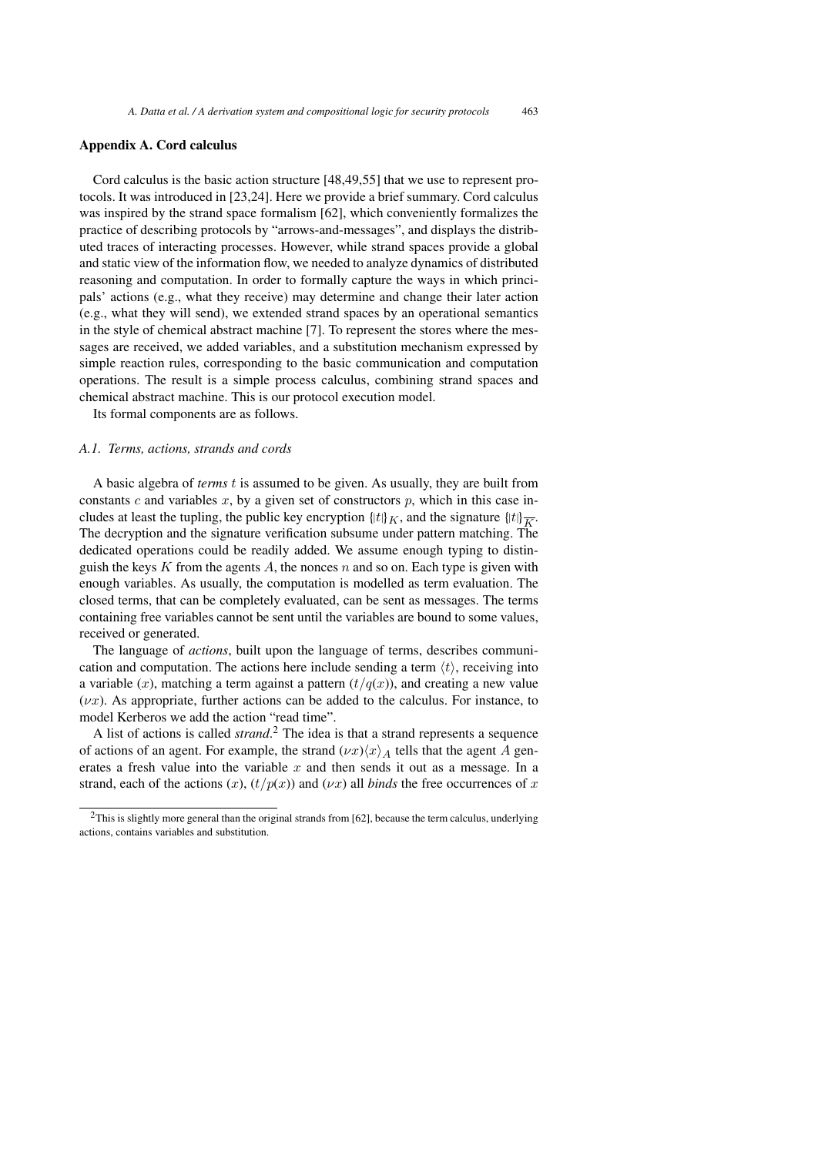#### **Appendix A. Cord calculus**

Cord calculus is the basic action structure [48,49,55] that we use to represent protocols. It was introduced in [23,24]. Here we provide a brief summary. Cord calculus was inspired by the strand space formalism [62], which conveniently formalizes the practice of describing protocols by "arrows-and-messages", and displays the distributed traces of interacting processes. However, while strand spaces provide a global and static view of the information flow, we needed to analyze dynamics of distributed reasoning and computation. In order to formally capture the ways in which principals' actions (e.g., what they receive) may determine and change their later action (e.g., what they will send), we extended strand spaces by an operational semantics in the style of chemical abstract machine [7]. To represent the stores where the messages are received, we added variables, and a substitution mechanism expressed by simple reaction rules, corresponding to the basic communication and computation operations. The result is a simple process calculus, combining strand spaces and chemical abstract machine. This is our protocol execution model.

Its formal components are as follows.

#### *A.1. Terms, actions, strands and cords*

A basic algebra of *terms* t is assumed to be given. As usually, they are built from constants  $c$  and variables  $x$ , by a given set of constructors  $p$ , which in this case includes at least the tupling, the public key encryption  $\{ |t| \}_K$ , and the signature  $\{ |t| \}_K$ . The decryption and the signature verification subsume under pattern matching. The dedicated operations could be readily added. We assume enough typing to distinguish the keys  $K$  from the agents  $A$ , the nonces  $n$  and so on. Each type is given with enough variables. As usually, the computation is modelled as term evaluation. The closed terms, that can be completely evaluated, can be sent as messages. The terms containing free variables cannot be sent until the variables are bound to some values, received or generated.

The language of *actions*, built upon the language of terms, describes communication and computation. The actions here include sending a term  $\langle t \rangle$ , receiving into a variable  $(x)$ , matching a term against a pattern  $(t/q(x))$ , and creating a new value  $(\nu x)$ . As appropriate, further actions can be added to the calculus. For instance, to model Kerberos we add the action "read time".

A list of actions is called *strand*. <sup>2</sup> The idea is that a strand represents a sequence of actions of an agent. For example, the strand  $(\nu x)\langle x\rangle_A$  tells that the agent A generates a fresh value into the variable  $x$  and then sends it out as a message. In a strand, each of the actions  $(x)$ ,  $(t/p(x))$  and  $(\nu x)$  all *binds* the free occurrences of x

<sup>&</sup>lt;sup>2</sup>This is slightly more general than the original strands from [62], because the term calculus, underlying actions, contains variables and substitution.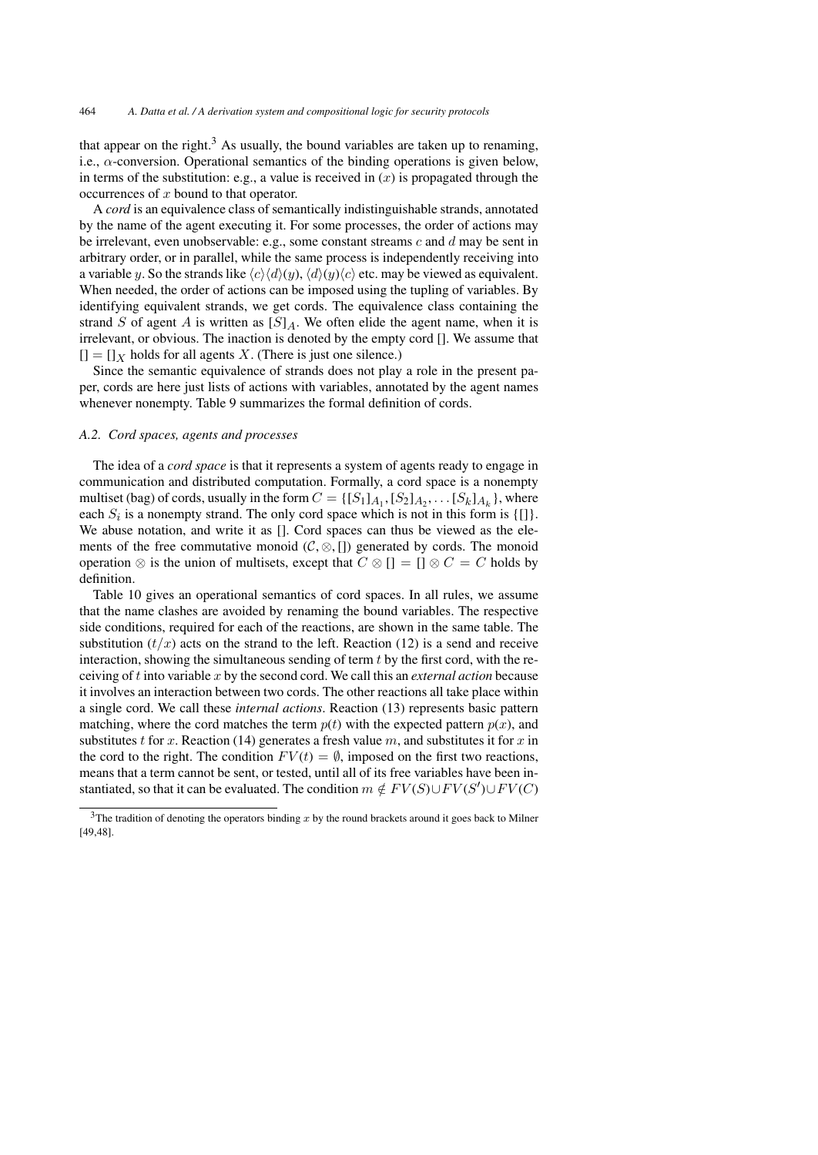that appear on the right.<sup>3</sup> As usually, the bound variables are taken up to renaming, i.e.,  $\alpha$ -conversion. Operational semantics of the binding operations is given below, in terms of the substitution: e.g., a value is received in  $(x)$  is propagated through the occurrences of  $x$  bound to that operator.

A *cord* is an equivalence class of semantically indistinguishable strands, annotated by the name of the agent executing it. For some processes, the order of actions may be irrelevant, even unobservable: e.g., some constant streams  $c$  and  $d$  may be sent in arbitrary order, or in parallel, while the same process is independently receiving into a variable y. So the strands like  $\langle c \rangle \langle d \rangle \langle y \rangle$ ,  $\langle d \rangle \langle y \rangle \langle c \rangle$  etc. may be viewed as equivalent. When needed, the order of actions can be imposed using the tupling of variables. By identifying equivalent strands, we get cords. The equivalence class containing the strand S of agent A is written as  $[S]_A$ . We often elide the agent name, when it is irrelevant, or obvious. The inaction is denoted by the empty cord []. We assume that  $[$  =  $[]$ <sub>X</sub> holds for all agents X. (There is just one silence.)

Since the semantic equivalence of strands does not play a role in the present paper, cords are here just lists of actions with variables, annotated by the agent names whenever nonempty. Table 9 summarizes the formal definition of cords.

### *A.2. Cord spaces, agents and processes*

The idea of a *cord space* is that it represents a system of agents ready to engage in communication and distributed computation. Formally, a cord space is a nonempty multiset (bag) of cords, usually in the form  $C = \{ [S_1]_{A_1}, [S_2]_{A_2}, \dots [S_k]_{A_k} \}$ , where each  $S_i$  is a nonempty strand. The only cord space which is not in this form is {[]}. We abuse notation, and write it as []. Cord spaces can thus be viewed as the elements of the free commutative monoid  $(C, \otimes, []$  generated by cords. The monoid operation  $\otimes$  is the union of multisets, except that  $C \otimes [ ] = [ ] \otimes C = C$  holds by definition.

Table 10 gives an operational semantics of cord spaces. In all rules, we assume that the name clashes are avoided by renaming the bound variables. The respective side conditions, required for each of the reactions, are shown in the same table. The substitution  $(t/x)$  acts on the strand to the left. Reaction (12) is a send and receive interaction, showing the simultaneous sending of term  $t$  by the first cord, with the receiving of t into variable x by the second cord. We call this an *external action* because it involves an interaction between two cords. The other reactions all take place within a single cord. We call these *internal actions*. Reaction (13) represents basic pattern matching, where the cord matches the term  $p(t)$  with the expected pattern  $p(x)$ , and substitutes  $t$  for  $x$ . Reaction (14) generates a fresh value  $m$ , and substitutes it for  $x$  in the cord to the right. The condition  $F V(t) = \emptyset$ , imposed on the first two reactions, means that a term cannot be sent, or tested, until all of its free variables have been instantiated, so that it can be evaluated. The condition  $m \notin FV(S) \cup FV(S') \cup FV(C)$ 

<sup>&</sup>lt;sup>3</sup>The tradition of denoting the operators binding  $x$  by the round brackets around it goes back to Milner [49,48].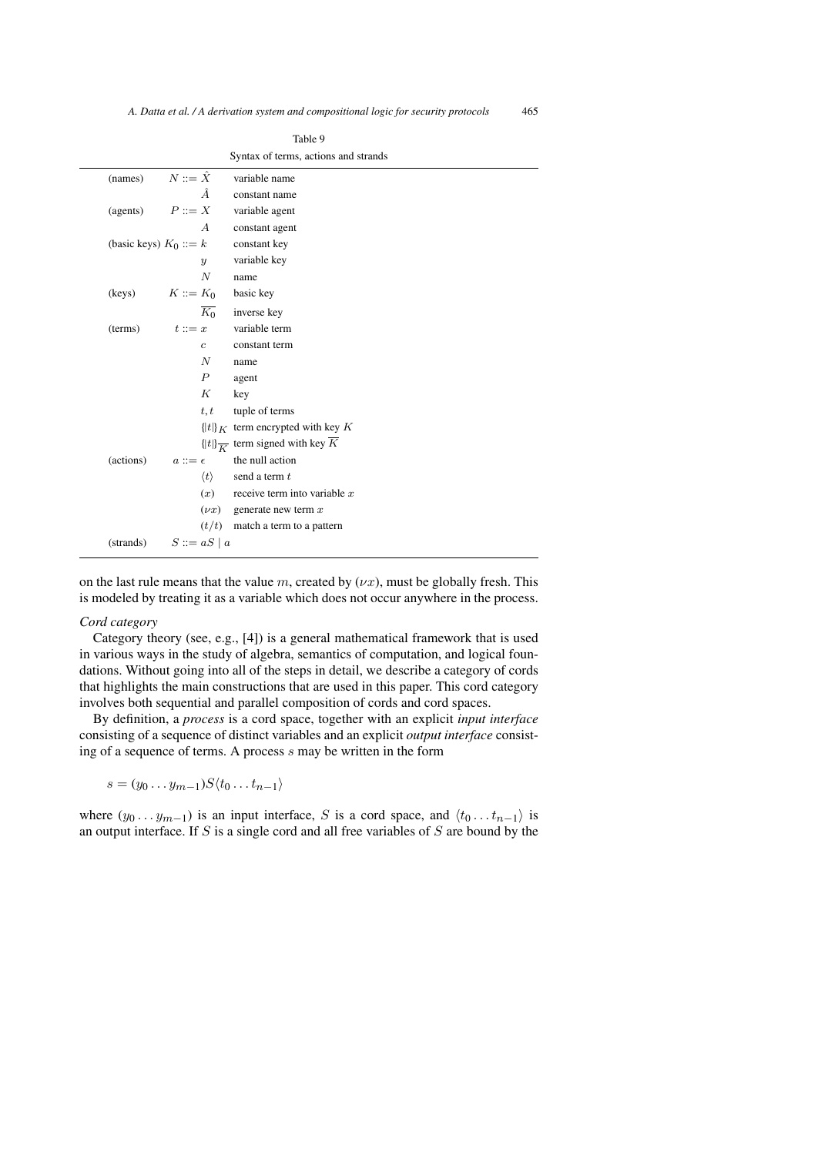|           |                          | Symax of terms, actions and straines                      |
|-----------|--------------------------|-----------------------------------------------------------|
|           | (names) $N ::= \hat{X}$  | variable name                                             |
|           | Â                        | constant name                                             |
|           | (agents) $P ::= X$       | variable agent                                            |
|           | $\overline{A}$           | constant agent                                            |
|           | (basic keys) $K_0 ::= k$ | constant key                                              |
|           | $\boldsymbol{y}$         | variable key                                              |
|           | $\boldsymbol{N}$         | name                                                      |
|           | (keys) $K ::= K_0$       | basic key                                                 |
|           | $K_0$                    | inverse key                                               |
|           | (terms) $t ::= x$        | variable term                                             |
|           | $\boldsymbol{c}$         | constant term                                             |
|           | $\boldsymbol{N}$         | name                                                      |
|           | $\boldsymbol{P}$         | agent                                                     |
|           | $K_{\rm}$                | key                                                       |
|           | t, t                     | tuple of terms                                            |
|           |                          | $\{  t  \}_{K}$ term encrypted with key K                 |
|           |                          | $\{ t \}\overline{K}$ term signed with key $\overline{K}$ |
| (actions) | $a ::= \epsilon$         | the null action                                           |
|           | $\langle t \rangle$      | send a term t                                             |
|           |                          | $(x)$ receive term into variable x                        |
|           |                          | $(\nu x)$ generate new term x                             |
|           | (t/t)                    | match a term to a pattern                                 |
| (strands) | $S ::= aS \mid a$        |                                                           |

Table 9 Syntax of terms, actions and strands

on the last rule means that the value  $m$ , created by  $(\nu x)$ , must be globally fresh. This is modeled by treating it as a variable which does not occur anywhere in the process.

# *Cord category*

Category theory (see, e.g., [4]) is a general mathematical framework that is used in various ways in the study of algebra, semantics of computation, and logical foundations. Without going into all of the steps in detail, we describe a category of cords that highlights the main constructions that are used in this paper. This cord category involves both sequential and parallel composition of cords and cord spaces.

By definition, a *process* is a cord space, together with an explicit *input interface* consisting of a sequence of distinct variables and an explicit *output interface* consisting of a sequence of terms. A process s may be written in the form

$$
s=(y_0 \ldots y_{m-1})S\langle t_0 \ldots t_{n-1} \rangle
$$

where  $(y_0 \dots y_{m-1})$  is an input interface, S is a cord space, and  $\langle t_0 \dots t_{n-1} \rangle$  is an output interface. If  $S$  is a single cord and all free variables of  $S$  are bound by the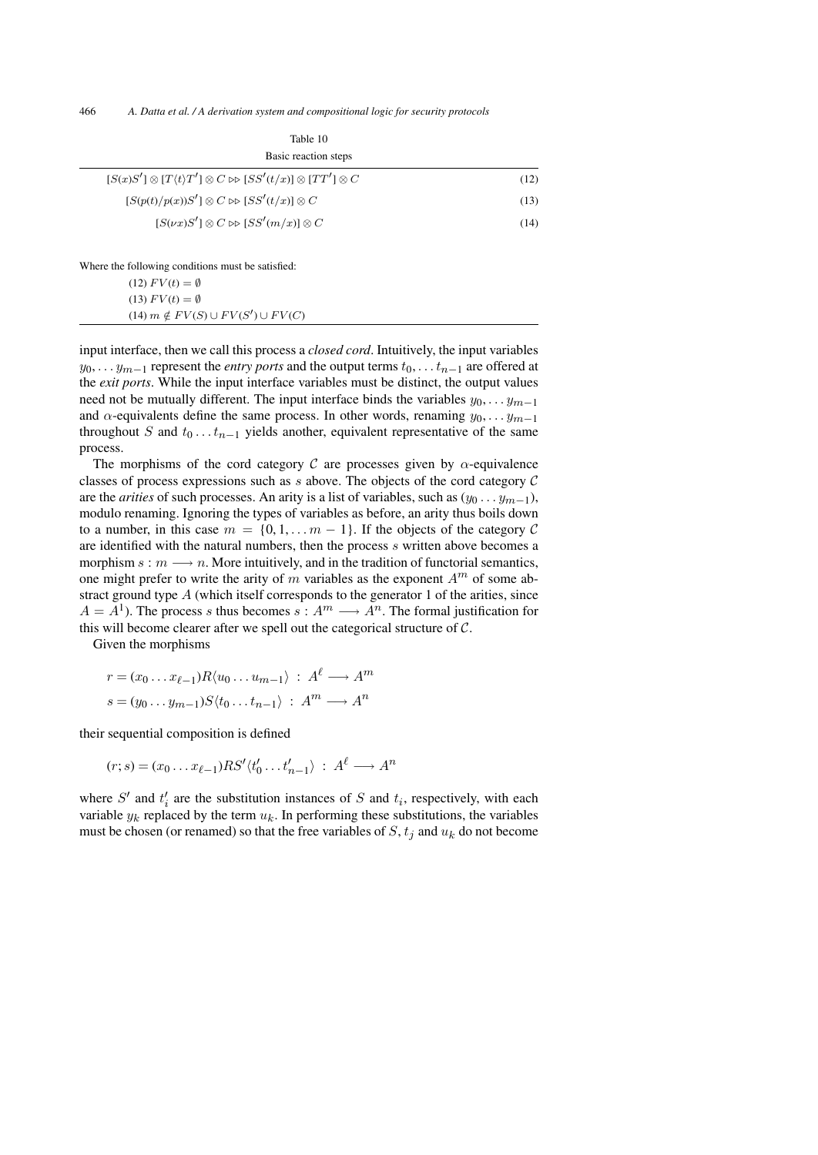466 *A. Datta et al. / A derivation system and compositional logic for security protocols*

| Table 10                                                                         |      |
|----------------------------------------------------------------------------------|------|
| Basic reaction steps                                                             |      |
| $[S(x)S'] \otimes [T(t)T'] \otimes C \bowtie [SS'(t/x)] \otimes [TT'] \otimes C$ | (12) |
| $[S(p(t)/p(x))S'] \otimes C \bowtie [SS'(t/x)] \otimes C$                        | (13) |
| $[S(\nu x)S'] \otimes C \bowtie [SS'(m/x)] \otimes C$                            | (14) |
| Where the following conditions must be satisfied:                                |      |
| $(12) FV(t) = \emptyset$                                                         |      |
| $(13) FV(t) = \emptyset$                                                         |      |
| $(14)$ $m \notin FV(S) \cup FV(S') \cup FV(C)$                                   |      |

input interface, then we call this process a *closed cord*. Intuitively, the input variables  $y_0, \ldots y_{m-1}$  represent the *entry ports* and the output terms  $t_0, \ldots t_{n-1}$  are offered at the *exit ports*. While the input interface variables must be distinct, the output values need not be mutually different. The input interface binds the variables  $y_0, \ldots y_{m-1}$ and  $\alpha$ -equivalents define the same process. In other words, renaming  $y_0, \ldots y_{m-1}$ throughout S and  $t_0 \ldots t_{n-1}$  yields another, equivalent representative of the same process.

The morphisms of the cord category C are processes given by  $\alpha$ -equivalence classes of process expressions such as s above. The objects of the cord category  $\mathcal C$ are the *arities* of such processes. An arity is a list of variables, such as  $(y_0 \dots y_{m-1})$ , modulo renaming. Ignoring the types of variables as before, an arity thus boils down to a number, in this case  $m = \{0, 1, \ldots m - 1\}$ . If the objects of the category C are identified with the natural numbers, then the process s written above becomes a morphism  $s : m \longrightarrow n$ . More intuitively, and in the tradition of functorial semantics, one might prefer to write the arity of m variables as the exponent  $A<sup>m</sup>$  of some abstract ground type  $A$  (which itself corresponds to the generator 1 of the arities, since  $A = A<sup>1</sup>$ ). The process s thus becomes  $s : A<sup>m</sup> \longrightarrow A<sup>n</sup>$ . The formal justification for this will become clearer after we spell out the categorical structure of  $C$ .

Given the morphisms

$$
r = (x_0 \dots x_{\ell-1})R\langle u_0 \dots u_{m-1} \rangle : A^{\ell} \longrightarrow A^m
$$
  

$$
s = (y_0 \dots y_{m-1})S\langle t_0 \dots t_{n-1} \rangle : A^m \longrightarrow A^n
$$

their sequential composition is defined

$$
(r;s) = (x_0 \dots x_{\ell-1})RS'\langle t'_0 \dots t'_{n-1} \rangle : A^{\ell} \longrightarrow A^n
$$

where  $S'$  and  $t'_i$  are the substitution instances of S and  $t_i$ , respectively, with each variable  $y_k$  replaced by the term  $u_k$ . In performing these substitutions, the variables must be chosen (or renamed) so that the free variables of  $S$ ,  $t_j$  and  $u_k$  do not become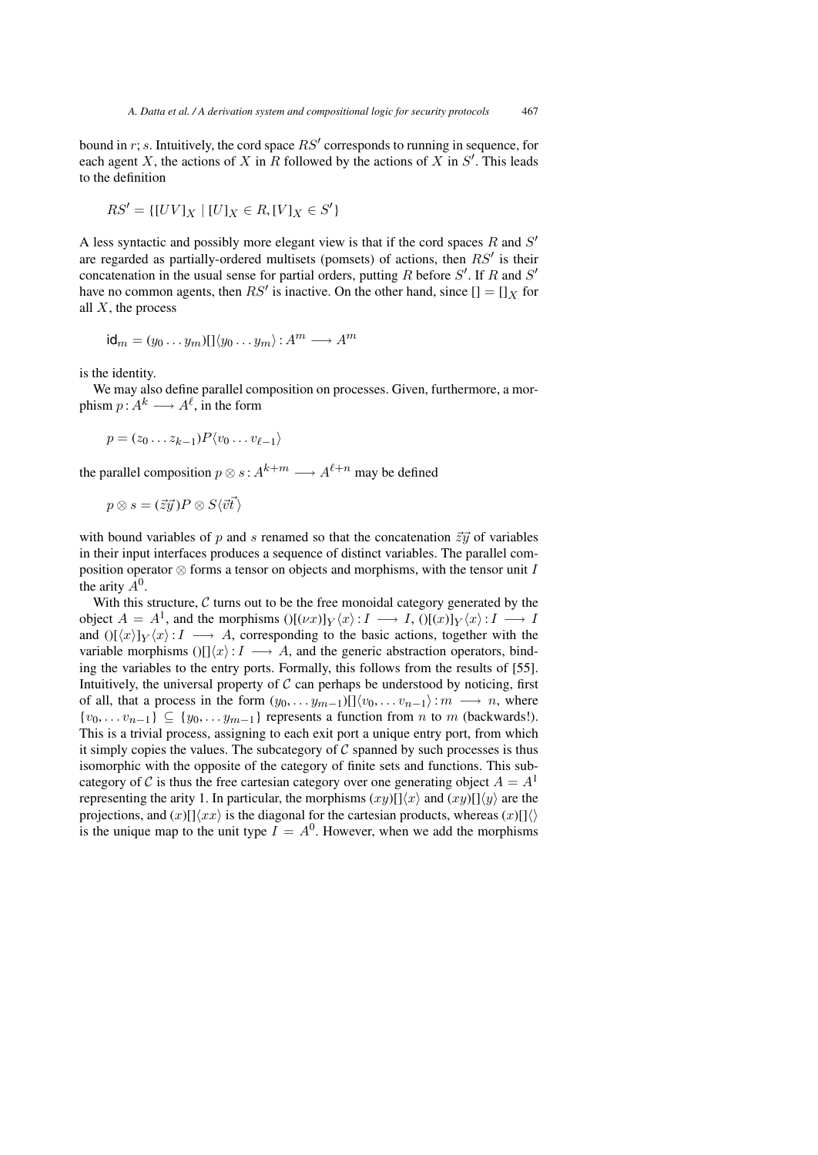bound in r; s. Intuitively, the cord space  $RS'$  corresponds to running in sequence, for each agent X, the actions of X in R followed by the actions of X in  $S'$ . This leads to the definition

$$
RS' = \{ [UV]_X \mid [U]_X \in R, [V]_X \in S' \}
$$

A less syntactic and possibly more elegant view is that if the cord spaces  $R$  and  $S'$ are regarded as partially-ordered multisets (pomsets) of actions, then  $RS'$  is their concatenation in the usual sense for partial orders, putting R before  $S'$ . If R and  $S'$ have no common agents, then  $RS'$  is inactive. On the other hand, since  $[] = []_X$  for all  $X$ , the process

$$
id_m = (y_0 \dots y_m) []\langle y_0 \dots y_m \rangle : A^m \longrightarrow A^m
$$

is the identity.

We may also define parallel composition on processes. Given, furthermore, a morphism  $p: A^k \longrightarrow A^{\ell}$ , in the form

$$
p = (z_0 \dots z_{k-1}) P \langle v_0 \dots v_{\ell-1} \rangle
$$

the parallel composition  $p \otimes s : A^{k+m} \longrightarrow A^{\ell+n}$  may be defined

$$
p\otimes s=(\vec{z}\vec{y})P\otimes S\langle \vec{v}\vec{t}\rangle
$$

with bound variables of p and s renamed so that the concatenation  $\vec{z} \vec{y}$  of variables in their input interfaces produces a sequence of distinct variables. The parallel composition operator  $\otimes$  forms a tensor on objects and morphisms, with the tensor unit I the arity  $A^0$ .

With this structure,  $C$  turns out to be the free monoidal category generated by the object  $A = A^1$ , and the morphisms  $( [(\nu x)]_Y \langle x \rangle : I \longrightarrow I$ ,  $( [x]_Y \langle x \rangle : I \longrightarrow I$ and  $(|\langle x \rangle| \vee \langle x \rangle : I \longrightarrow A$ , corresponding to the basic actions, together with the variable morphisms  $(0)[\langle x \rangle : I \longrightarrow A$ , and the generic abstraction operators, binding the variables to the entry ports. Formally, this follows from the results of [55]. Intuitively, the universal property of  $C$  can perhaps be understood by noticing, first of all, that a process in the form  $(y_0, \ldots y_{m-1})$ [] $\langle v_0, \ldots v_{n-1} \rangle : m \longrightarrow n$ , where  $\{v_0, \ldots v_{n-1}\} \subseteq \{y_0, \ldots y_{m-1}\}\$  represents a function from n to m (backwards!). This is a trivial process, assigning to each exit port a unique entry port, from which it simply copies the values. The subcategory of  $\mathcal C$  spanned by such processes is thus isomorphic with the opposite of the category of finite sets and functions. This subcategory of C is thus the free cartesian category over one generating object  $A = A<sup>1</sup>$ representing the arity 1. In particular, the morphisms  $(xy)[\langle x \rangle$  and  $(xy)[\langle y \rangle]$  are the projections, and  $(x)[\langle xx \rangle]$  is the diagonal for the cartesian products, whereas  $(x)[\langle \rangle]$ is the unique map to the unit type  $I = A^0$ . However, when we add the morphisms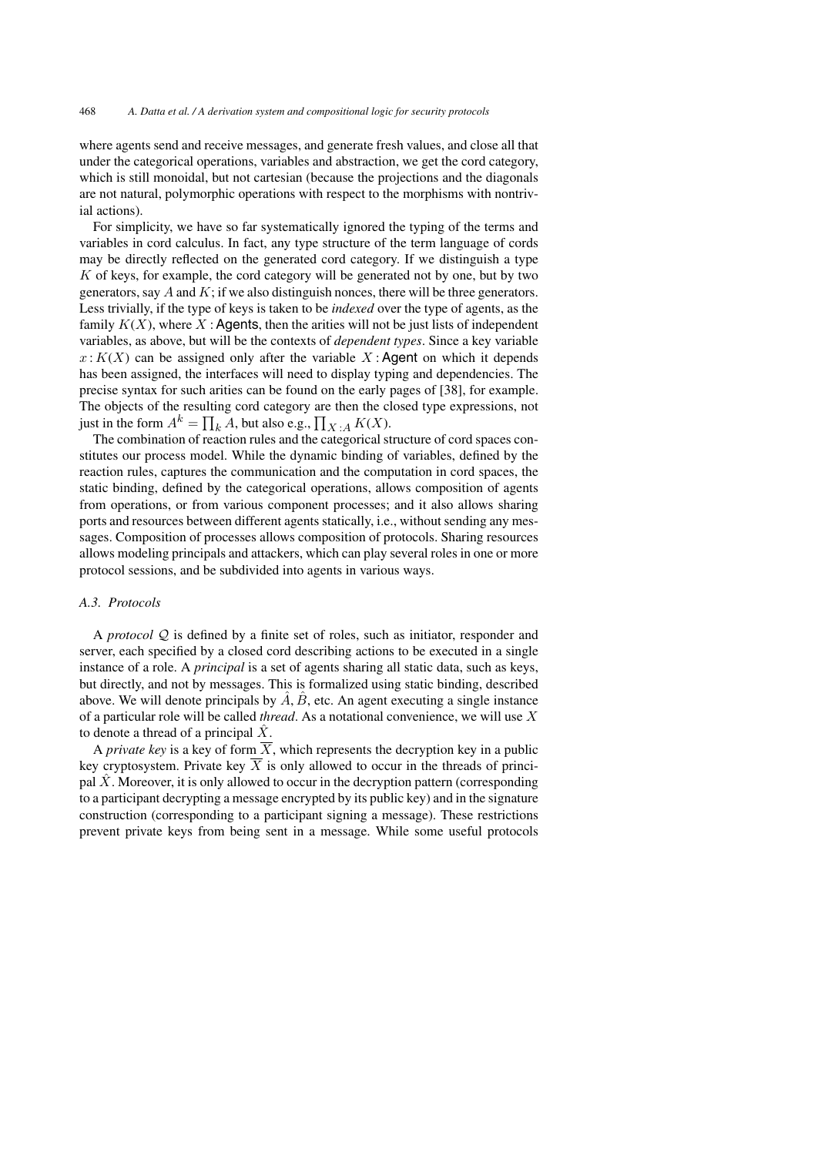#### 468 *A. Datta et al. / A derivation system and compositional logic for security protocols*

where agents send and receive messages, and generate fresh values, and close all that under the categorical operations, variables and abstraction, we get the cord category, which is still monoidal, but not cartesian (because the projections and the diagonals are not natural, polymorphic operations with respect to the morphisms with nontrivial actions).

For simplicity, we have so far systematically ignored the typing of the terms and variables in cord calculus. In fact, any type structure of the term language of cords may be directly reflected on the generated cord category. If we distinguish a type  $K$  of keys, for example, the cord category will be generated not by one, but by two generators, say  $A$  and  $K$ ; if we also distinguish nonces, there will be three generators. Less trivially, if the type of keys is taken to be *indexed* over the type of agents, as the family  $K(X)$ , where X : Agents, then the arities will not be just lists of independent variables, as above, but will be the contexts of *dependent types*. Since a key variable  $x: K(X)$  can be assigned only after the variable X: Agent on which it depends has been assigned, the interfaces will need to display typing and dependencies. The precise syntax for such arities can be found on the early pages of [38], for example. The objects of the resulting cord category are then the closed type expressions, not just in the form  $A^k = \prod_k A$ , but also e.g.,  $\prod_{X:A} K(X)$ .

The combination of reaction rules and the categorical structure of cord spaces constitutes our process model. While the dynamic binding of variables, defined by the reaction rules, captures the communication and the computation in cord spaces, the static binding, defined by the categorical operations, allows composition of agents from operations, or from various component processes; and it also allows sharing ports and resources between different agents statically, i.e., without sending any messages. Composition of processes allows composition of protocols. Sharing resources allows modeling principals and attackers, which can play several roles in one or more protocol sessions, and be subdivided into agents in various ways.

# *A.3. Protocols*

A *protocol* Q is defined by a finite set of roles, such as initiator, responder and server, each specified by a closed cord describing actions to be executed in a single instance of a role. A *principal* is a set of agents sharing all static data, such as keys, but directly, and not by messages. This is formalized using static binding, described above. We will denote principals by  $\hat{A}$ ,  $\hat{B}$ , etc. An agent executing a single instance of a particular role will be called *thread*. As a notational convenience, we will use X to denote a thread of a principal  $\hat{X}$ .

A *private key* is a key of form  $\overline{X}$ , which represents the decryption key in a public key cryptosystem. Private key  $\overline{X}$  is only allowed to occur in the threads of principal  $\hat{X}$ . Moreover, it is only allowed to occur in the decryption pattern (corresponding to a participant decrypting a message encrypted by its public key) and in the signature construction (corresponding to a participant signing a message). These restrictions prevent private keys from being sent in a message. While some useful protocols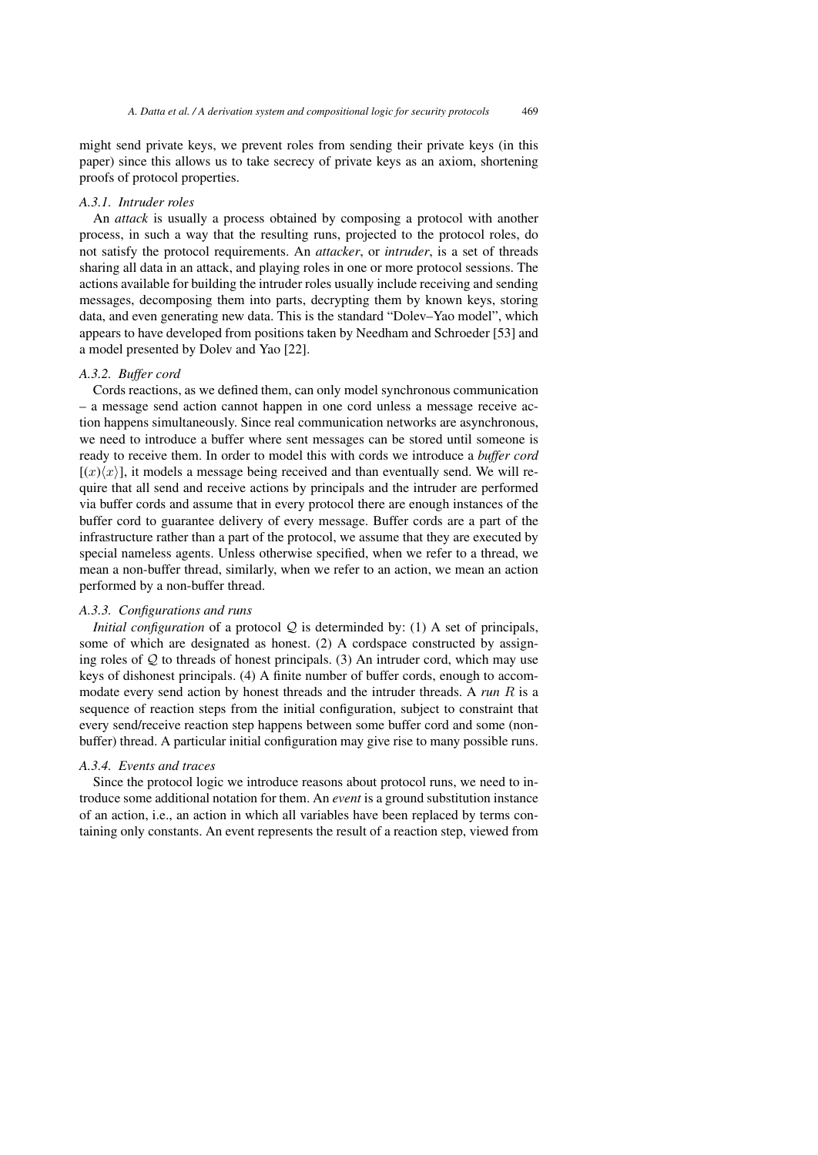might send private keys, we prevent roles from sending their private keys (in this paper) since this allows us to take secrecy of private keys as an axiom, shortening proofs of protocol properties.

#### *A.3.1. Intruder roles*

An *attack* is usually a process obtained by composing a protocol with another process, in such a way that the resulting runs, projected to the protocol roles, do not satisfy the protocol requirements. An *attacker*, or *intruder*, is a set of threads sharing all data in an attack, and playing roles in one or more protocol sessions. The actions available for building the intruder roles usually include receiving and sending messages, decomposing them into parts, decrypting them by known keys, storing data, and even generating new data. This is the standard "Dolev–Yao model", which appears to have developed from positions taken by Needham and Schroeder [53] and a model presented by Dolev and Yao [22].

### *A.3.2. Buffer cord*

Cords reactions, as we defined them, can only model synchronous communication – a message send action cannot happen in one cord unless a message receive action happens simultaneously. Since real communication networks are asynchronous, we need to introduce a buffer where sent messages can be stored until someone is ready to receive them. In order to model this with cords we introduce a *buffer cord*  $[(x)(x)]$ , it models a message being received and than eventually send. We will require that all send and receive actions by principals and the intruder are performed via buffer cords and assume that in every protocol there are enough instances of the buffer cord to guarantee delivery of every message. Buffer cords are a part of the infrastructure rather than a part of the protocol, we assume that they are executed by special nameless agents. Unless otherwise specified, when we refer to a thread, we mean a non-buffer thread, similarly, when we refer to an action, we mean an action performed by a non-buffer thread.

#### *A.3.3. Configurations and runs*

*Initial configuration* of a protocol *Q* is determinded by: (1) A set of principals, some of which are designated as honest. (2) A cordspace constructed by assigning roles of  $Q$  to threads of honest principals. (3) An intruder cord, which may use keys of dishonest principals. (4) A finite number of buffer cords, enough to accommodate every send action by honest threads and the intruder threads. A *run* R is a sequence of reaction steps from the initial configuration, subject to constraint that every send/receive reaction step happens between some buffer cord and some (nonbuffer) thread. A particular initial configuration may give rise to many possible runs.

#### *A.3.4. Events and traces*

Since the protocol logic we introduce reasons about protocol runs, we need to introduce some additional notation for them. An *event* is a ground substitution instance of an action, i.e., an action in which all variables have been replaced by terms containing only constants. An event represents the result of a reaction step, viewed from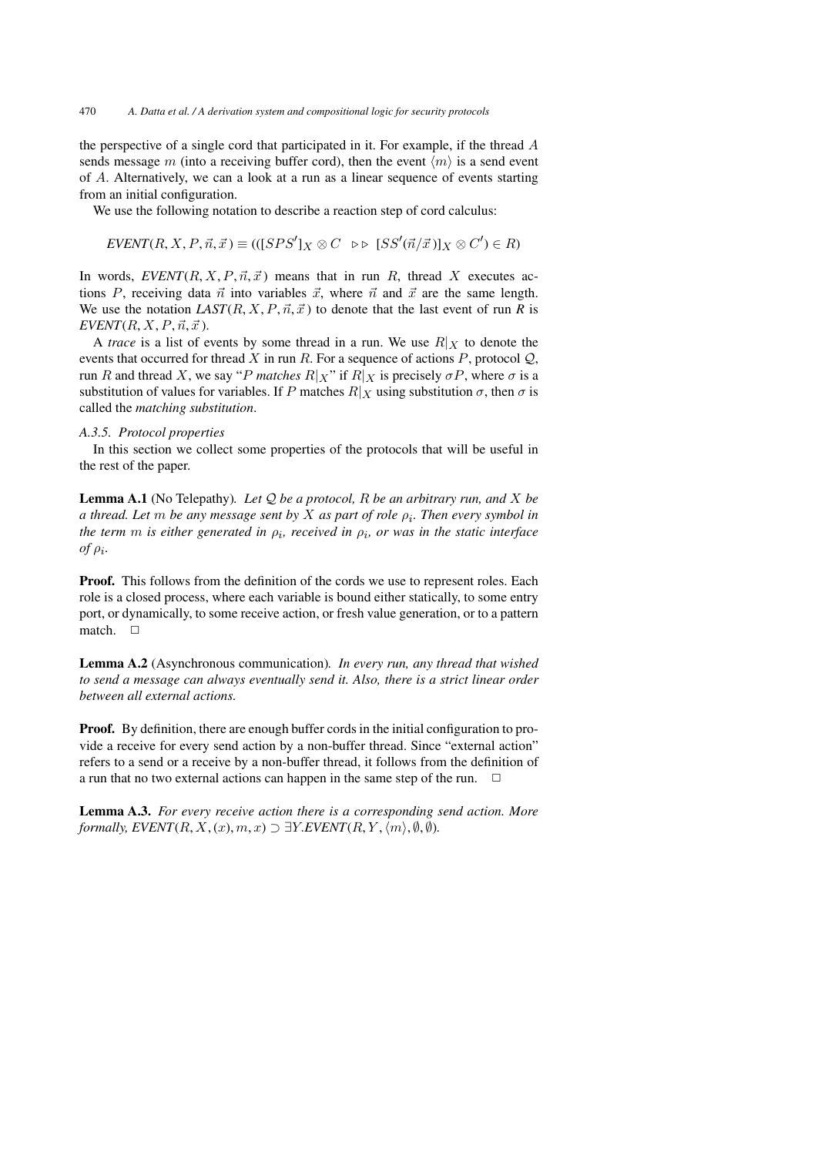the perspective of a single cord that participated in it. For example, if the thread A sends message m (into a receiving buffer cord), then the event  $\langle m \rangle$  is a send event of A. Alternatively, we can a look at a run as a linear sequence of events starting from an initial configuration.

We use the following notation to describe a reaction step of cord calculus:

$$
EVENT(R, X, P, \vec{n}, \vec{x}) \equiv (([SPS']_X \otimes C \ \triangleright \triangleright [SS'(\vec{n}/\vec{x})]_X \otimes C') \in R)
$$

In words,  $EVENT(R, X, P, \vec{n}, \vec{x})$  means that in run R, thread X executes actions P, receiving data  $\vec{n}$  into variables  $\vec{x}$ , where  $\vec{n}$  and  $\vec{x}$  are the same length. We use the notation  $LAST(R, X, P, \vec{n}, \vec{x})$  to denote that the last event of run *R* is  $EVENT(R, X, P, \vec{n}, \vec{x}).$ 

A *trace* is a list of events by some thread in a run. We use  $R|_X$  to denote the events that occurred for thread  $X$  in run  $R$ . For a sequence of actions  $P$ , protocol  $Q$ , run R and thread X, we say "P matches  $R|_X$ " if  $R|_X$  is precisely  $\sigma P$ , where  $\sigma$  is a substitution of values for variables. If P matches  $R|_X$  using substitution  $\sigma$ , then  $\sigma$  is called the *matching substitution*.

#### *A.3.5. Protocol properties*

In this section we collect some properties of the protocols that will be useful in the rest of the paper.

**Lemma A.1** (No Telepathy)*. Let* Q *be a protocol,* R *be an arbitrary run, and* X *be a thread. Let* m *be any message sent by* X *as part of role* ρi*. Then every symbol in the term m is either generated in*  $\rho_i$ *, received in*  $\rho_i$ *, or was in the static interface*  $of$   $\rho_i$ *.* 

**Proof.** This follows from the definition of the cords we use to represent roles. Each role is a closed process, where each variable is bound either statically, to some entry port, or dynamically, to some receive action, or fresh value generation, or to a pattern match.  $\square$ 

**Lemma A.2** (Asynchronous communication)*. In every run, any thread that wished to send a message can always eventually send it. Also, there is a strict linear order between all external actions.*

**Proof.** By definition, there are enough buffer cords in the initial configuration to provide a receive for every send action by a non-buffer thread. Since "external action" refers to a send or a receive by a non-buffer thread, it follows from the definition of a run that no two external actions can happen in the same step of the run.  $\Box$ 

**Lemma A.3.** *For every receive action there is a corresponding send action. More formally, EVENT*( $R, X, (x), m, x$ )  $\supset \exists Y. EVENT(R, Y, \langle m \rangle, \emptyset, \emptyset)$ *.*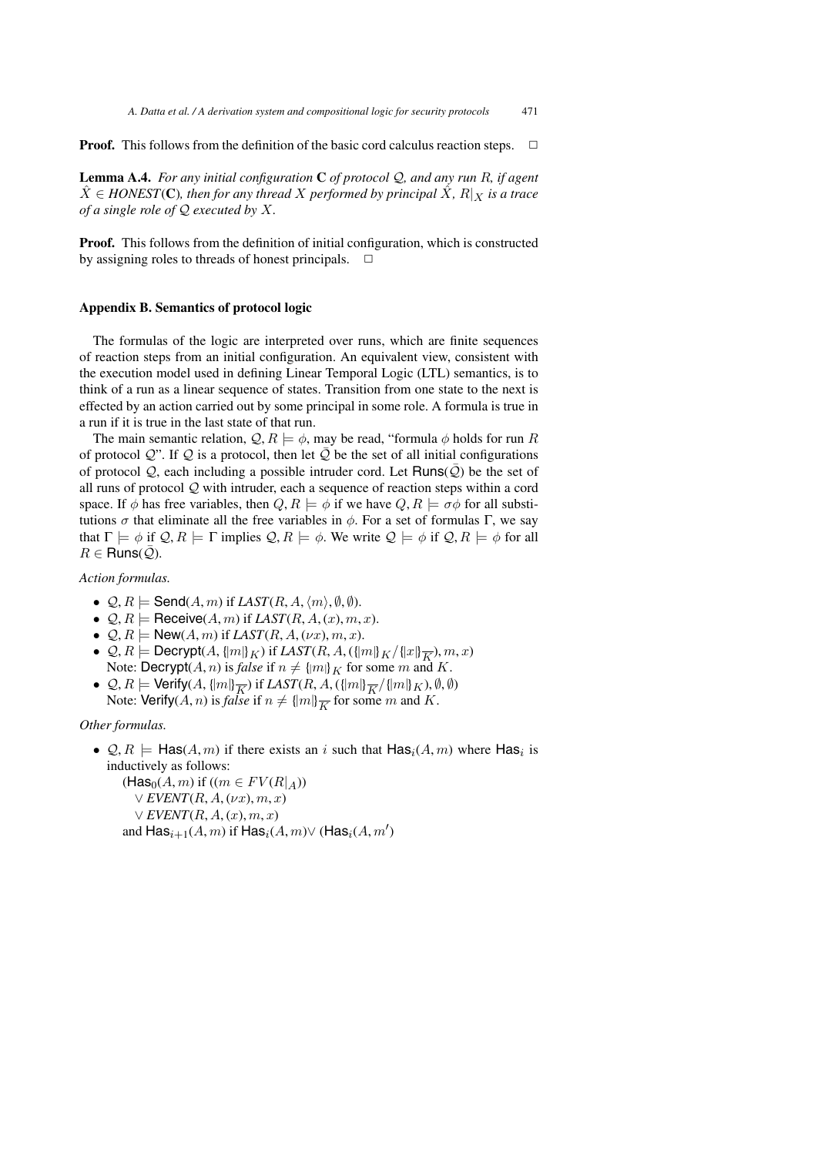**Proof.** This follows from the definition of the basic cord calculus reaction steps.  $\Box$ 

**Lemma A.4.** *For any initial configuration* **C** *of protocol* Q*, and any run* R*, if agent*  $\hat{X} \in HONEST(\mathbb{C})$ , then for any thread X performed by principal  $\hat{X}$ ,  $R|_X$  is a trace *of a single role of* Q *executed by* X*.*

**Proof.** This follows from the definition of initial configuration, which is constructed by assigning roles to threads of honest principals.  $\Box$ 

# **Appendix B. Semantics of protocol logic**

The formulas of the logic are interpreted over runs, which are finite sequences of reaction steps from an initial configuration. An equivalent view, consistent with the execution model used in defining Linear Temporal Logic (LTL) semantics, is to think of a run as a linear sequence of states. Transition from one state to the next is effected by an action carried out by some principal in some role. A formula is true in a run if it is true in the last state of that run.

The main semantic relation,  $\mathcal{Q}, R \models \phi$ , may be read, "formula  $\phi$  holds for run R of protocol  $Q$ ". If  $Q$  is a protocol, then let  $\overline{Q}$  be the set of all initial configurations of protocol  $Q$ , each including a possible intruder cord. Let  $\textsf{Runs}(\bar{Q})$  be the set of all runs of protocol  $Q$  with intruder, each a sequence of reaction steps within a cord space. If  $\phi$  has free variables, then  $Q, R \models \phi$  if we have  $Q, R \models \sigma \phi$  for all substitutions  $\sigma$  that eliminate all the free variables in  $\phi$ . For a set of formulas Γ, we say that  $\Gamma \models \phi$  if  $\mathcal{Q}, R \models \Gamma$  implies  $\mathcal{Q}, R \models \phi$ . We write  $\mathcal{Q} \models \phi$  if  $\mathcal{Q}, R \models \phi$  for all  $R \in$  Runs( $\bar{Q}$ ).

*Action formulas.*

- $Q, R \models \mathsf{Send}(A, m)$  if  $LAST(R, A, \langle m \rangle, \emptyset, \emptyset)$ .
- $Q, R \models$  **Receive** $(A, m)$  if *LAST* $(R, A, (x), m, x)$ .
- $Q, R \models \mathsf{New}(A, m)$  if  $LAST(R, A, (\nu x), m, x)$ .
- $Q, R \models \text{Decrypt}(A, \{m\}_K)$  if  $LAST(R, A, (\{m\}_K/\{x\}_K), m, x)$ Note:  $\text{Decrypt}(A, n)$  is *false* if  $n \neq \{m\}_{K}$  for some m and K.
- $Q, R \models$  Verify(A,  $\{m\}$ <sub>K</sub>) if *LAST*(R, A,  $(\{m\}$ <sub>K</sub> $)/\{m\}$ <sub>K</sub> $)$ , Ø, Ø) Note: Verify(A, n) is *false* if  $n \neq \{m\}$ <sub>K</sub> for some m and K.

#### *Other formulas.*

•  $Q, R \models Has(A, m)$  if there exists an i such that  $Has_i(A, m)$  where  $Has_i$  is inductively as follows:

(Has<sub>0</sub> $(A, m)$  if  $((m \in FV(R|_A))$  $\vee$  *EVENT*(*R*, *A*, ( $\nu$ *x*), *m*, *x*)  $\vee$  *EVENT*(*R*, *A*, (*x*), *m*, *x*) and  $\mathsf{Has}_{i+1}(A,m)$  if  $\mathsf{Has}_i(A,m) \lor (\mathsf{Has}_i(A,m')$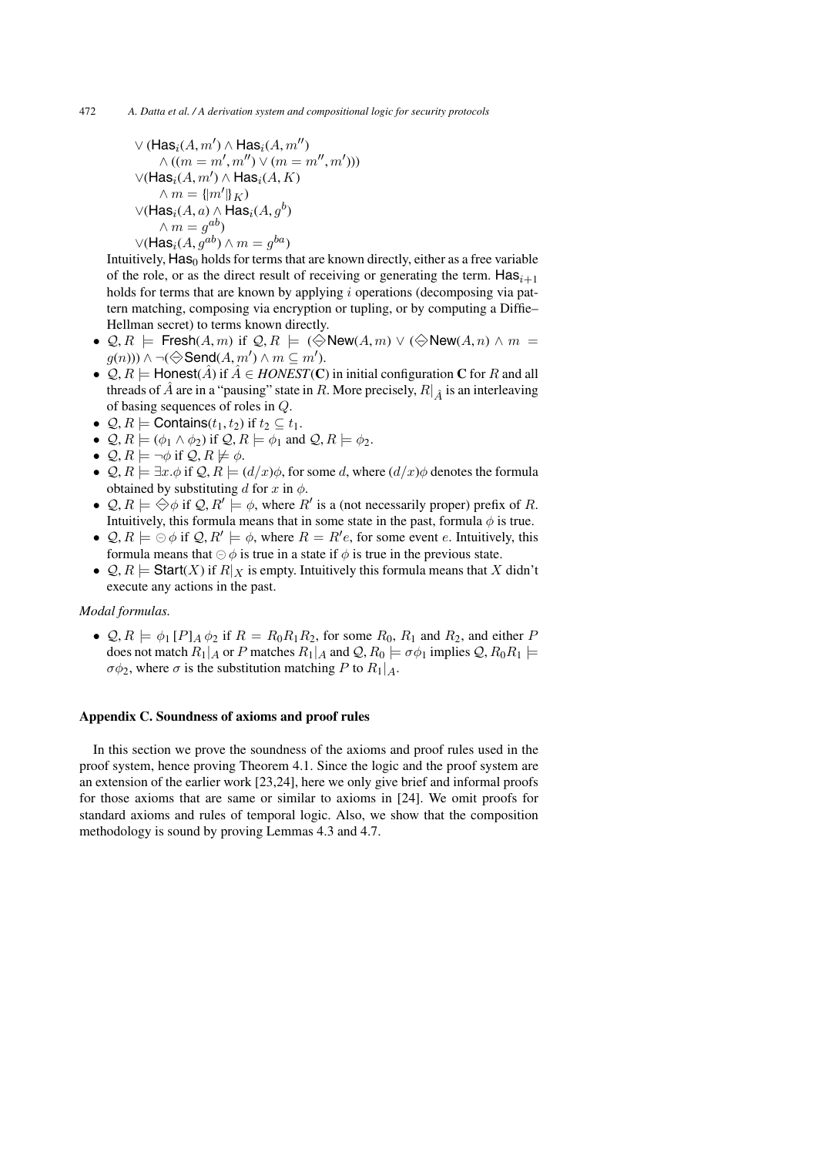$$
\lor (\text{Has}_i(A, m') \land \text{Has}_i(A, m'')
$$
  
\n
$$
\land ((m = m', m'') \lor (m = m'', m')))
$$
  
\n
$$
\lor (\text{Has}_i(A, m') \land \text{Has}_i(A, K)
$$
  
\n
$$
\land m = \{|m'\|_K\}
$$
  
\n
$$
\lor (\text{Has}_i(A, a) \land \text{Has}_i(A, g^b)
$$
  
\n
$$
\land m = g^{ab})
$$
  
\n
$$
\lor (\text{Has}_i(A, g^{ab}) \land m = g^{ba})
$$

Intuitively,  $\mathsf{Has}_0$  holds for terms that are known directly, either as a free variable of the role, or as the direct result of receiving or generating the term.  $\text{Has}_{i+1}$ holds for terms that are known by applying  $i$  operations (decomposing via pattern matching, composing via encryption or tupling, or by computing a Diffie– Hellman secret) to terms known directly.

- $\mathcal{Q}, R \models$  Fresh $(A, m)$  if  $\mathcal{Q}, R \models (\diamondsuit \mathsf{New}(A, m) \vee (\diamondsuit \mathsf{New}(A, n) \wedge m =$  $g(n))$ )  $\wedge \neg (\diamondsuit$  Send $(A, m') \wedge m \subseteq m'$ ).
- $\mathcal{Q}, R \models$  **Honest**( $\hat{A}$ ) if  $\hat{A} \in HONEST(\mathbb{C})$  in initial configuration **C** for R and all threads of  $\hat{A}$  are in a "pausing" state in R. More precisely,  $R|_{\hat{A}}$  is an interleaving of basing sequences of roles in Q.
- $Q, R \models$  Contains $(t_1, t_2)$  if  $t_2 \subseteq t_1$ .
- $Q, R \models (\phi_1 \land \phi_2)$  if  $Q, R \models \phi_1$  and  $Q, R \models \phi_2$ .
- $\mathcal{Q}, R \models \neg \phi$  if  $\mathcal{Q}, R \not\models \phi$ .
- Q,  $R \models \exists x.\phi$  if  $Q, R \models (d/x)\phi$ , for some d, where  $(d/x)\phi$  denotes the formula obtained by substituting d for x in  $\phi$ .
- $Q, R \models \Diamond \phi$  if  $Q, R' \models \phi$ , where  $R'$  is a (not necessarily proper) prefix of R. Intuitively, this formula means that in some state in the past, formula  $\phi$  is true.
- $\mathcal{Q}, R \models \Theta \phi$  if  $\mathcal{Q}, R' \models \phi$ , where  $R = R'e$ , for some event e. Intuitively, this formula means that  $\Theta$   $\phi$  is true in a state if  $\phi$  is true in the previous state.
- $\mathcal{Q}, R \models$  Start(X) if  $R|_X$  is empty. Intuitively this formula means that X didn't execute any actions in the past.

# *Modal formulas.*

•  $\mathcal{Q}, R \models \phi_1[P]_A \phi_2$  if  $R = R_0R_1R_2$ , for some  $R_0, R_1$  and  $R_2$ , and either P does not match  $R_1|_A$  or P matches  $R_1|_A$  and  $\mathcal{Q}, R_0 \models \sigma \phi_1$  implies  $\mathcal{Q}, R_0R_1 \models$  $\sigma\phi_2$ , where  $\sigma$  is the substitution matching P to  $R_1|_A$ .

# **Appendix C. Soundness of axioms and proof rules**

In this section we prove the soundness of the axioms and proof rules used in the proof system, hence proving Theorem 4.1. Since the logic and the proof system are an extension of the earlier work [23,24], here we only give brief and informal proofs for those axioms that are same or similar to axioms in [24]. We omit proofs for standard axioms and rules of temporal logic. Also, we show that the composition methodology is sound by proving Lemmas 4.3 and 4.7.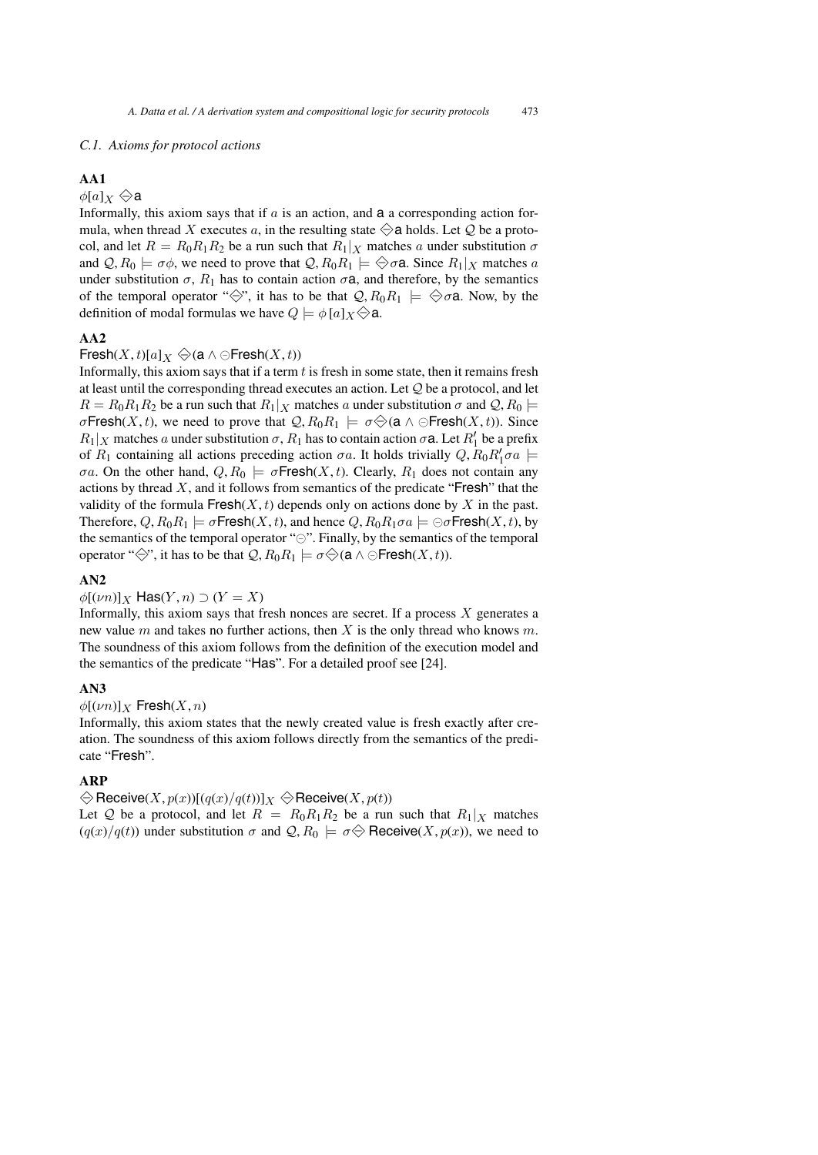#### *C.1. Axioms for protocol actions*

# **AA1**

 $\phi[a]_X \diamondsuit$ a

Informally, this axiom says that if  $a$  is an action, and  $a$  a corresponding action formula, when thread X executes a, in the resulting state  $\Diamond a$  holds. Let Q be a protocol, and let  $R = R_0R_1R_2$  be a run such that  $R_1|_X$  matches a under substitution  $\sigma$ and  $\mathcal{Q}, R_0 \models \sigma \phi$ , we need to prove that  $\mathcal{Q}, R_0 R_1 \models \bigcirc \sigma \mathbf{a}$ . Since  $R_1|_X$  matches a under substitution  $\sigma$ ,  $R_1$  has to contain action  $\sigma$ **a**, and therefore, by the semantics of the temporal operator " $\langle \rangle$ ", it has to be that  $\mathcal{Q}, R_0R_1 \models \diamondsuit \sigma$ **a**. Now, by the definition of modal formulas we have  $Q \models \phi[a]_X \diamondsuit a$ .

# **AA2**

# Fresh $(X,t)[a]_X \diamondsuit$ (a  $\wedge \ominus$ Fresh $(X,t)$ )

Informally, this axiom says that if a term  $t$  is fresh in some state, then it remains fresh at least until the corresponding thread executes an action. Let  $Q$  be a protocol, and let  $R = R_0R_1R_2$  be a run such that  $R_1|_X$  matches a under substitution  $\sigma$  and  $\mathcal{Q}, R_0 \models$ σFresh(X, t), we need to prove that  $Q, R_0R_1 \models \sigma \, \diamondsuit$  (a  $\wedge \odot$ Fresh(X, t)). Since  $R_1|_X$  matches a under substitution  $\sigma$ ,  $R_1$  has to contain action  $\sigma$ **a**. Let  $R'_1$  be a prefix of  $R_1$  containing all actions preceding action  $\sigma a$ . It holds trivially  $Q, R_0 R'_1 \sigma a \models$ σa. On the other hand,  $Q, R_0 \models \sigma$ Fresh $(X, t)$ . Clearly,  $R_1$  does not contain any actions by thread  $X$ , and it follows from semantics of the predicate "Fresh" that the validity of the formula  $\mathsf{Fresh}(X,t)$  depends only on actions done by X in the past. Therefore,  $Q, R_0R_1 \models \sigma$  Fresh $(X, t)$ , and hence  $Q, R_0R_1\sigma a \models \Theta \sigma$  Fresh $(X, t)$ , by the semantics of the temporal operator " $\odot$ ". Finally, by the semantics of the temporal operator " $\iff$ ", it has to be that  $\mathcal{Q}, R_0R_1 \models \sigma \diamondsuit (a \land \ominus \text{Fresh}(X, t)).$ 

# **AN2**

 $\phi[(\nu n)]_X$  Has(Y, n)  $\supset$  (Y = X)

Informally, this axiom says that fresh nonces are secret. If a process  $X$  generates a new value m and takes no further actions, then X is the only thread who knows m. The soundness of this axiom follows from the definition of the execution model and the semantics of the predicate "Has". For a detailed proof see [24].

# **AN3**

 $\phi[(\nu n)]_X$  Fresh $(X, n)$ 

Informally, this axiom states that the newly created value is fresh exactly after creation. The soundness of this axiom follows directly from the semantics of the predicate "Fresh".

# **ARP**

# $\bigotimes$  Receive $(X, p(x))[(q(x)/q(t))]$  $\bigotimes$  Receive $(X, p(t))$

Let Q be a protocol, and let  $R = R_0R_1R_2$  be a run such that  $R_1|_X$  matches  $(q(x)/q(t))$  under substitution  $\sigma$  and  $\mathcal{Q}, R_0 \models \sigma \diamondsuit$  Receive $(X, p(x))$ , we need to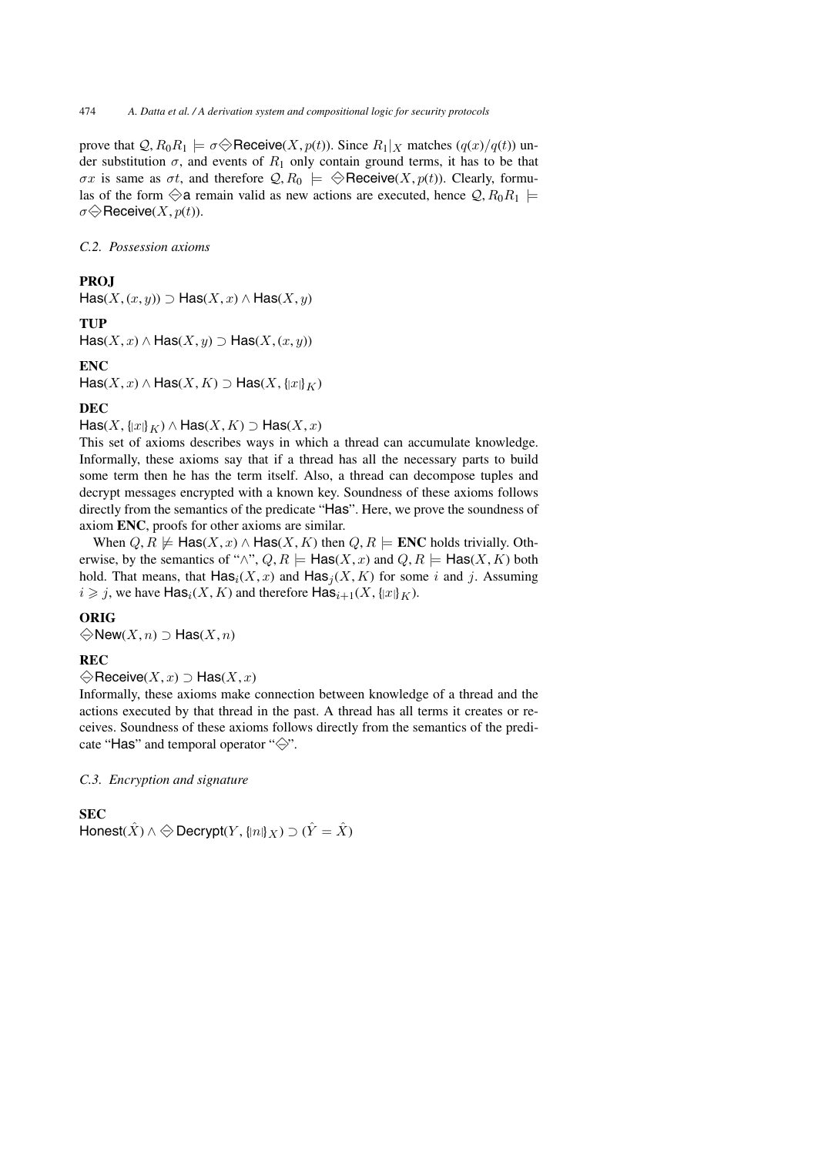prove that  $Q, R_0R_1 \models \sigma \diamondsuit$  Receive(X,  $p(t)$ ). Since  $R_1|_X$  matches  $(q(x)/q(t))$  under substitution  $\sigma$ , and events of  $R_1$  only contain ground terms, it has to be that  $\sigma x$  is same as  $\sigma t$ , and therefore  $\mathcal{Q}, R_0 \models \bigcirc \exists$  Receive(X,  $p(t)$ ). Clearly, formulas of the form  $\Diamond a$  remain valid as new actions are executed, hence  $\mathcal{Q}, R_0R_1 \models$  $\sigma \diamondsuit$ Receive $(X, p(t))$ .

*C.2. Possession axioms*

# **PROJ**

 $\textsf{Has}(X, (x, y)) \supset \textsf{Has}(X, x) \wedge \textsf{Has}(X, y)$ 

# **TUP**

 $\textsf{Has}(X, x) \land \textsf{Has}(X, y) \supset \textsf{Has}(X, (x, y))$ 

# **ENC**

 $\textsf{Has}(X, x) \land \textsf{Has}(X, K) \supset \textsf{Has}(X, \{ |x| \}_K)$ 

## **DEC**

 $\textsf{Has}(X, \{x\}|_K) \wedge \textsf{Has}(X, K) \supset \textsf{Has}(X, x)$ 

This set of axioms describes ways in which a thread can accumulate knowledge. Informally, these axioms say that if a thread has all the necessary parts to build some term then he has the term itself. Also, a thread can decompose tuples and decrypt messages encrypted with a known key. Soundness of these axioms follows directly from the semantics of the predicate "Has". Here, we prove the soundness of axiom **ENC**, proofs for other axioms are similar.

When  $Q, R \not\models \text{Has}(X, x) \land \text{Has}(X, K)$  then  $Q, R \models \text{ENC}$  holds trivially. Otherwise, by the semantics of " $\wedge$ ",  $Q, R \models$  Has $(X, x)$  and  $Q, R \models$  Has $(X, K)$  both hold. That means, that  $\textsf{Has}_i(X, x)$  and  $\textsf{Has}_i(X, K)$  for some i and j. Assuming  $i \geq j$ , we have  $\textsf{Has}_i(X, K)$  and therefore  $\textsf{Has}_{i+1}(X, \{x\}|_K)$ .

# **ORIG**

 $\bigcirc$ New(X, n)  $\supset$  Has(X, n)

### **REC**

 $\bigcirc$ Receive $(X, x) \supset$  Has $(X, x)$ 

Informally, these axioms make connection between knowledge of a thread and the actions executed by that thread in the past. A thread has all terms it creates or receives. Soundness of these axioms follows directly from the semantics of the predicate "Has" and temporal operator " $\Leftrightarrow$ ".

*C.3. Encryption and signature*

# **SEC**

Honest( $\hat{X}$ ) ∧  $\Leftrightarrow$  Decrypt(Y, {|n|} $_X$ )  $\supset$  ( $\hat{Y} = \hat{X}$ )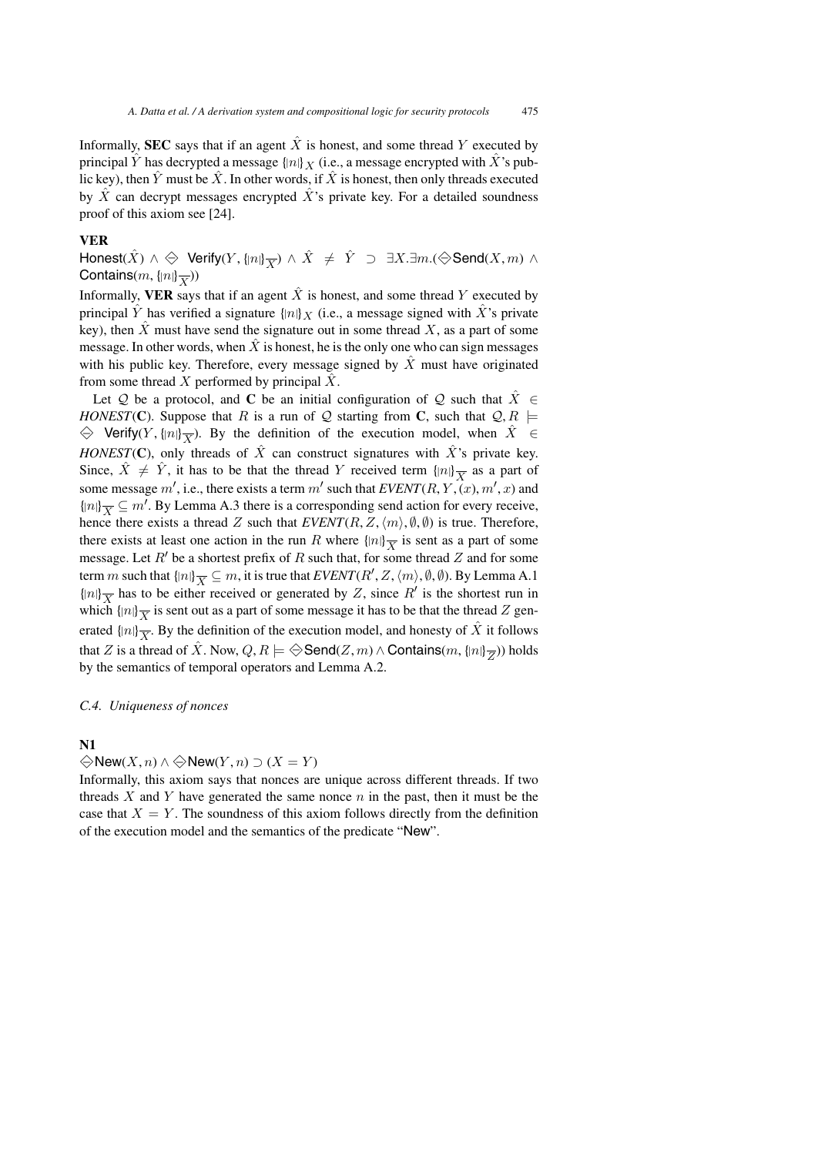Informally, **SEC** says that if an agent  $\hat{X}$  is honest, and some thread Y executed by principal  $\hat{Y}$  has decrypted a message  $\{ |n| \}$  (i.e., a message encrypted with  $\hat{X}$ 's public key), then  $\hat{Y}$  must be  $\hat{X}$ . In other words, if  $\hat{X}$  is honest, then only threads executed by  $\hat{X}$  can decrypt messages encrypted  $\hat{X}$ 's private key. For a detailed soundness proof of this axiom see [24].

# **VER**

Honest( $\hat{X}$ ) ∧  $\Leftrightarrow$  Verify(Y, {|n|} $\overline{X}$ ) ∧  $\hat{X} \neq \hat{Y}$  ⊃ ∃X.∃m.( $\Leftrightarrow$  Send(X, m) ∧ Contains $(m, \{n\}\overline{x}))$ 

Informally, **VER** says that if an agent  $\hat{X}$  is honest, and some thread Y executed by principal  $\hat{Y}$  has verified a signature  $\{ |n| \}$ <sub>X</sub> (i.e., a message signed with  $\hat{X}$ 's private key), then  $\hat{X}$  must have send the signature out in some thread  $X$ , as a part of some message. In other words, when  $\hat{X}$  is honest, he is the only one who can sign messages with his public key. Therefore, every message signed by  $X$  must have originated from some thread X performed by principal  $\hat{X}$ .

Let Q be a protocol, and C be an initial configuration of Q such that  $\hat{X} \in$ *HONEST*(**C**). Suppose that R is a run of Q starting from **C**, such that  $Q, R \models$  $\iff$  Verify(Y, {|n|} $\overline{Y}$ ). By the definition of the execution model, when  $\overline{X}$   $\in$ *HONEST*(**C**), only threads of  $\hat{X}$  can construct signatures with  $\hat{X}$ 's private key. Since,  $\hat{X} \neq \hat{Y}$ , it has to be that the thread Y received term  $\{|n|\}\overline{X}$  as a part of some message  $m'$ , i.e., there exists a term  $m'$  such that  $\text{EVENT}(R, Y, (x), m', x)$  and  $\{ |n|\}$  $\overline{X} \subseteq m'$ . By Lemma A.3 there is a corresponding send action for every receive, hence there exists a thread Z such that  $EVENT(R, Z, \langle m \rangle, \emptyset, \emptyset)$  is true. Therefore, there exists at least one action in the run R where  $\{ |n|\}$ <sub>X</sub> is sent as a part of some message. Let  $R'$  be a shortest prefix of  $R$  such that, for some thread  $Z$  and for some term  $m$  such that  $\{ |n| \frac{1}{X} \subseteq m, \text{ it is true that } EVENT(R', Z, \langle m \rangle, \emptyset, \emptyset).$  By Lemma A.1  $\{|n|\right\}$  has to be either received or generated by Z, since  $R'$  is the shortest run in which  $\{|n|\right\}$  is sent out as a part of some message it has to be that the thread Z generated  $\{n\}\overline{X}$ . By the definition of the execution model, and honesty of  $\hat{X}$  it follows that Z is a thread of  $\hat{X}$ . Now,  $Q, R \models \bigcirc$  Send( $Z, m$ )  $\land$  Contains( $m, \{[n]\}\overline{Z}$ )) holds by the semantics of temporal operators and Lemma A.2.

#### *C.4. Uniqueness of nonces*

#### **N1**

 $\bigcirc$ New(X, n)  $\wedge \bigcirc$ New(Y, n)  $\supset$  (X = Y)

Informally, this axiom says that nonces are unique across different threads. If two threads  $X$  and  $Y$  have generated the same nonce  $n$  in the past, then it must be the case that  $X = Y$ . The soundness of this axiom follows directly from the definition of the execution model and the semantics of the predicate "New".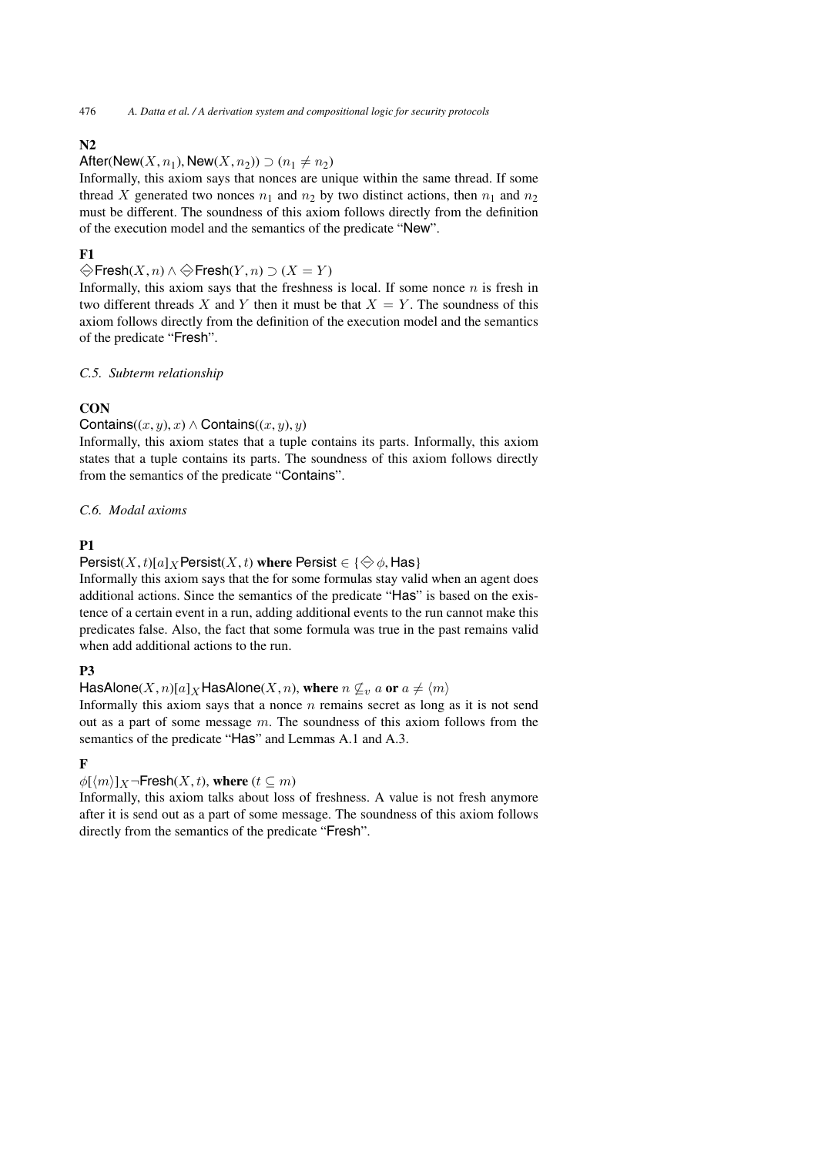# **N2**

After(New(X,  $n_1$ ), New(X,  $n_2$ ))  $\supset$  ( $n_1 \neq n_2$ )

Informally, this axiom says that nonces are unique within the same thread. If some thread X generated two nonces  $n_1$  and  $n_2$  by two distinct actions, then  $n_1$  and  $n_2$ must be different. The soundness of this axiom follows directly from the definition of the execution model and the semantics of the predicate "New".

# **F1**

 $\bigotimes$ Fresh $(X, n) \wedge \bigotimes$ Fresh $(Y, n) \supset (X = Y)$ 

Informally, this axiom says that the freshness is local. If some nonce  $n$  is fresh in two different threads X and Y then it must be that  $X = Y$ . The soundness of this axiom follows directly from the definition of the execution model and the semantics of the predicate "Fresh".

### *C.5. Subterm relationship*

# **CON**

Contains $((x, y), x) \wedge$ Contains $((x, y), y)$ 

Informally, this axiom states that a tuple contains its parts. Informally, this axiom states that a tuple contains its parts. The soundness of this axiom follows directly from the semantics of the predicate "Contains".

# *C.6. Modal axioms*

# **P1**

Persist(X,t)[a]<sub>X</sub>Persist(X,t) where Persist  $\in \{\hat{\diamondsuit} \phi, \text{Has}\}$ 

Informally this axiom says that the for some formulas stay valid when an agent does additional actions. Since the semantics of the predicate "Has" is based on the existence of a certain event in a run, adding additional events to the run cannot make this predicates false. Also, the fact that some formula was true in the past remains valid when add additional actions to the run.

# **P3**

HasAlone(X, n)[a]<sub>X</sub>HasAlone(X, n), where  $n \nsubseteq_v a$  or  $a \neq \langle m \rangle$ 

Informally this axiom says that a nonce  $n$  remains secret as long as it is not send out as a part of some message  $m$ . The soundness of this axiom follows from the semantics of the predicate "Has" and Lemmas A.1 and A.3.

# **F**

 $\phi[\langle m \rangle]_X$ ¬Fresh $(X,t)$ , where  $(t \subseteq m)$ 

Informally, this axiom talks about loss of freshness. A value is not fresh anymore after it is send out as a part of some message. The soundness of this axiom follows directly from the semantics of the predicate "Fresh".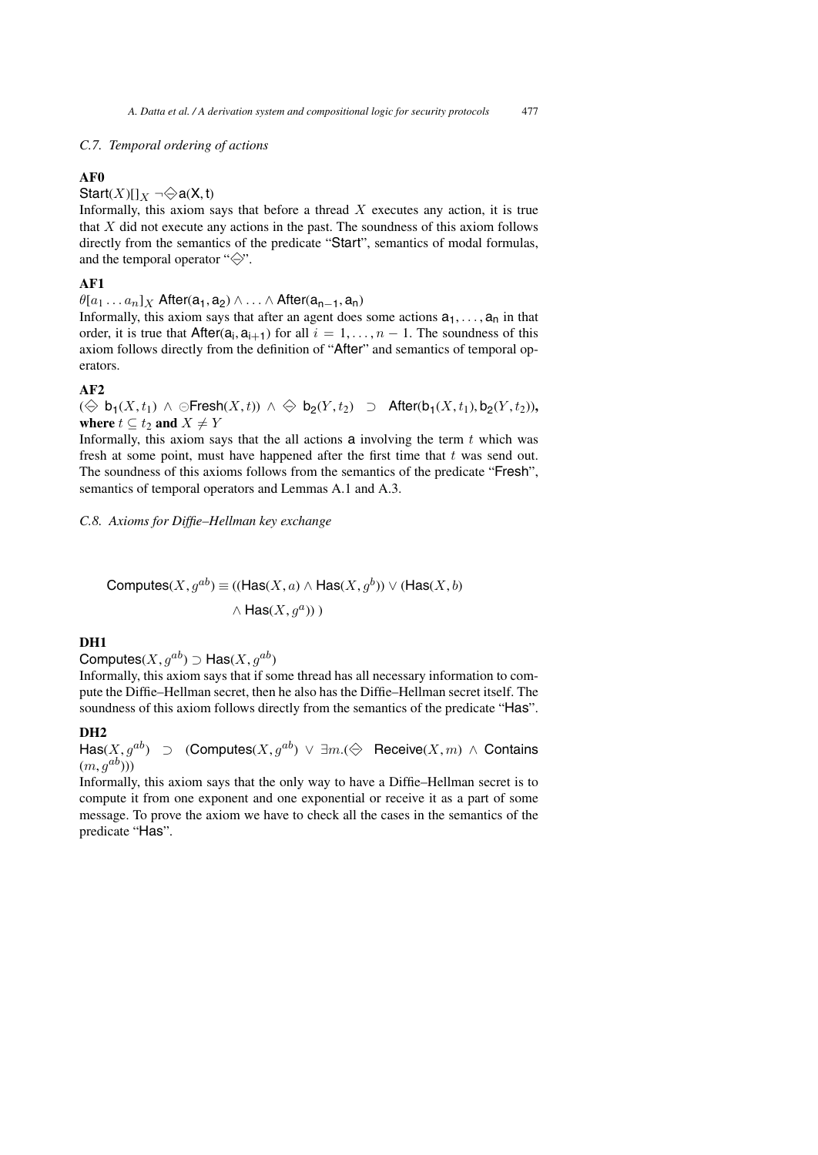### *C.7. Temporal ordering of actions*

#### **AF0**

Start(X)[] $_X \neg \diamondsuit$ a(X,t)

Informally, this axiom says that before a thread  $X$  executes any action, it is true that  $X$  did not execute any actions in the past. The soundness of this axiom follows directly from the semantics of the predicate "Start", semantics of modal formulas, and the temporal operator " $\Leftrightarrow$ ".

# **AF1**

 $\theta[a_1 \ldots a_n]_X$  After $(a_1, a_2) \wedge \ldots \wedge$  After $(a_{n-1}, a_n)$ 

Informally, this axiom says that after an agent does some actions  $a_1, \ldots, a_n$  in that order, it is true that  $After(a_i, a_{i+1})$  for all  $i = 1, ..., n - 1$ . The soundness of this axiom follows directly from the definition of "After" and semantics of temporal operators.

# **AF2**

 $(\diamondsuit \mathsf{b}_1(X,t_1) \land \ominus \mathsf{Fresh}(X,t)) \land \diamondsuit \mathsf{b}_2(Y,t_2) \supset \mathsf{After}(\mathsf{b}_1(X,t_1),\mathsf{b}_2(Y,t_2)),$ **where**  $t \subseteq t_2$  **and**  $X \neq Y$ 

Informally, this axiom says that the all actions  $a$  involving the term  $t$  which was fresh at some point, must have happened after the first time that  $t$  was send out. The soundness of this axioms follows from the semantics of the predicate "Fresh", semantics of temporal operators and Lemmas A.1 and A.3.

*C.8. Axioms for Diffie–Hellman key exchange*

Computes(X,  $q^{ab}$ )  $\equiv$  ((Has(X, a)  $\wedge$  Has(X,  $q^{b}$ ))  $\vee$  (Has(X, b)  $\wedge$  Has $(X, q^a)$ )

# **DH1**

Computes( $X, g^{ab}$ ) ⊃ Has( $X, g^{ab}$ )

Informally, this axiom says that if some thread has all necessary information to compute the Diffie–Hellman secret, then he also has the Diffie–Hellman secret itself. The soundness of this axiom follows directly from the semantics of the predicate "Has".

# **DH2**

 $\text{Has}(X, g^{ab})$  ⊃ (Computes $(X, g^{ab})$   $\lor$   $\exists m.$   $(\diamondsuit$  Receive $(X, m)$   $\land$  Contains  $(m, q^{ab}))$ 

Informally, this axiom says that the only way to have a Diffie–Hellman secret is to compute it from one exponent and one exponential or receive it as a part of some message. To prove the axiom we have to check all the cases in the semantics of the predicate "Has".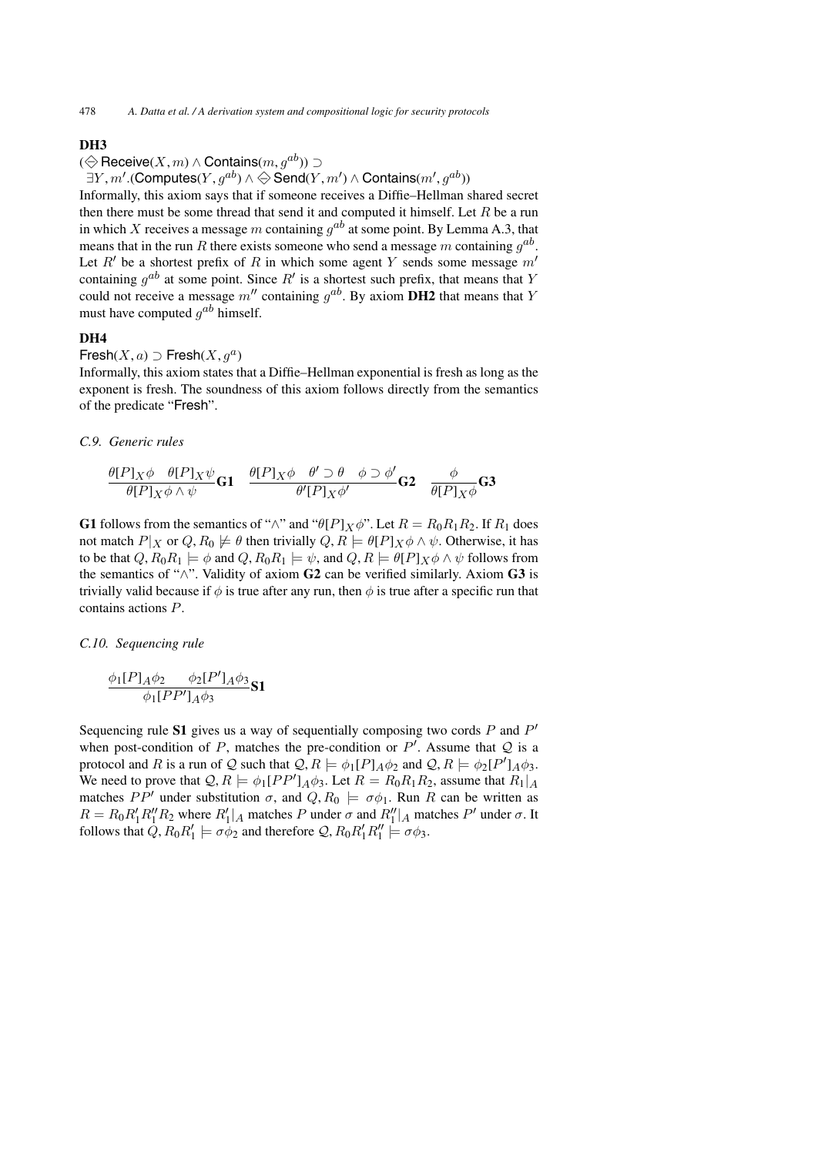# **DH3**

( $\Leftrightarrow$  Receive(X, m) ∧ Contains(m,  $q^{ab}$ )) ⊃

 $\exists Y, m'.$ (Computes $(Y, g^{ab}) \wedge \Leftrightarrow \mathsf{Send}(Y, m') \wedge \mathsf{contains}(m', g^{ab}))$ 

Informally, this axiom says that if someone receives a Diffie–Hellman shared secret then there must be some thread that send it and computed it himself. Let  $R$  be a run in which X receives a message m containing  $g^{ab}$  at some point. By Lemma A.3, that means that in the run R there exists someone who send a message m containing  $q^{ab}$ . Let  $R'$  be a shortest prefix of R in which some agent Y sends some message  $m'$ containing  $g^{ab}$  at some point. Since  $R'$  is a shortest such prefix, that means that Y could not receive a message  $m''$  containing  $g^{ab}$ . By axiom **DH2** that means that Y must have computed  $q^{ab}$  himself.

# **DH4**

Fresh $(X, a)$   $\supset$  Fresh $(X, q^a)$ 

Informally, this axiom states that a Diffie–Hellman exponential is fresh as long as the exponent is fresh. The soundness of this axiom follows directly from the semantics of the predicate "Fresh".

*C.9. Generic rules*

$$
\frac{\theta[P]_X \phi \quad \theta[P]_X \psi}{\theta[P]_X \phi \land \psi} \mathbf{G1} \quad \frac{\theta[P]_X \phi \quad \theta' \supset \theta \quad \phi \supset \phi'}{\theta'[P]_X \phi'} \mathbf{G2} \quad \frac{\phi}{\theta[P]_X \phi} \mathbf{G3}
$$

**G1** follows from the semantics of " $\wedge$ " and " $\theta[P]_X\phi$ ". Let  $R = R_0R_1R_2$ . If  $R_1$  does not match  $P|_X$  or  $Q, R_0 \not\models \theta$  then trivially  $Q, R \models \theta[P]_X \phi \land \psi$ . Otherwise, it has to be that  $Q, R_0R_1 \models \phi$  and  $Q, R_0R_1 \models \psi$ , and  $Q, R \models \theta[P]_X \phi \land \psi$  follows from the semantics of "∧". Validity of axiom **G2** can be verified similarly. Axiom **G3** is trivially valid because if  $\phi$  is true after any run, then  $\phi$  is true after a specific run that contains actions P.

#### *C.10. Sequencing rule*

$$
\frac{\phi_1[P]_A\phi_2 \qquad \phi_2[P']_A\phi_3}{\phi_1[PP']_A\phi_3}\mathbf{S1}
$$

Sequencing rule **S1** gives us a way of sequentially composing two cords  $P$  and  $P'$ when post-condition of P, matches the pre-condition or  $P'$ . Assume that Q is a protocol and R is a run of Q such that  $\mathcal{Q}, R \models \phi_1[P]_A \phi_2$  and  $\mathcal{Q}, R \models \phi_2[P']_A \phi_3$ . We need to prove that  $Q, R \models \phi_1[PP']_A \phi_3$ . Let  $R = R_0R_1R_2$ , assume that  $R_1|_A$ matches  $PP'$  under substitution  $\sigma$ , and  $Q, R_0 \models \sigma \phi_1$ . Run R can be written as  $R = R_0 R_1 R_1'' R_2$  where  $R_1' | A$  matches P under  $\sigma$  and  $R_1'' | A$  matches P' under  $\sigma$ . It follows that  $Q, R_0 R'_1 \models \sigma \phi_2$  and therefore  $Q, R_0 R'_1 R''_1 \models \sigma \phi_3$ .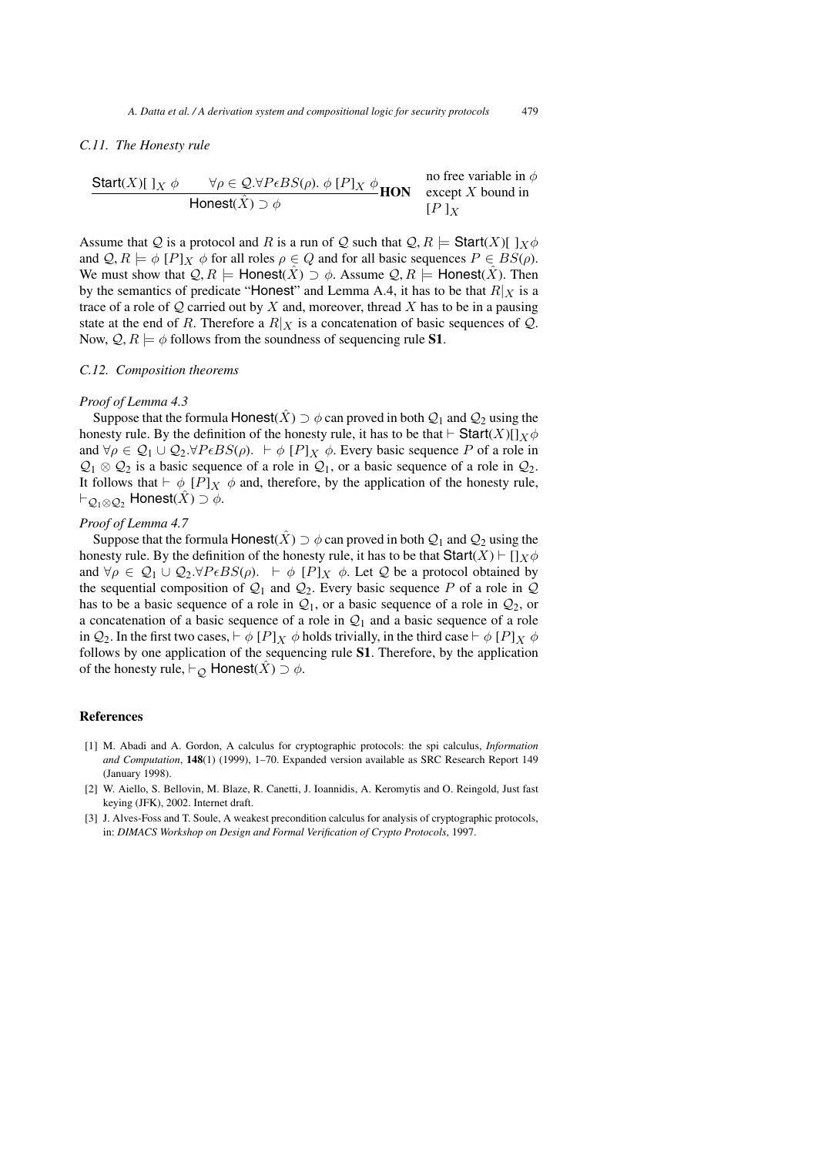*C.11. The Honesty rule*

| Start(X)[                          | $1_X \phi$                         | $\forall \rho \in Q. \forall P \in BS(\rho)$ | $\phi$ | no free variable in $\phi$ |
|------------------------------------|------------------------------------|----------------------------------------------|--------|----------------------------|
| Homest( $\hat{X}$ ) $\supset \phi$ | Homest( $\hat{X}$ ) $\supset \phi$ | monest( $\hat{Y}$ ) $\supset \phi$           |        |                            |

Assume that Q is a protocol and R is a run of Q such that  $Q, R \models$  Start(X)[ ] $_X \phi$ and  $\mathcal{Q}, R \models \phi [P]_X \phi$  for all roles  $\rho \in Q$  and for all basic sequences  $P \in BS(\rho)$ . We must show that  $\mathcal{Q}, R \models$  Honest $(\hat{X}) \supset \phi$ . Assume  $\mathcal{Q}, R \models$  Honest $(\hat{X})$ . Then by the semantics of predicate "Honest" and Lemma A.4, it has to be that  $R|_X$  is a trace of a role of  $Q$  carried out by  $X$  and, moreover, thread  $X$  has to be in a pausing state at the end of R. Therefore a  $R|_X$  is a concatenation of basic sequences of  $Q$ . Now,  $Q, R \models \phi$  follows from the soundness of sequencing rule **S1**.

# *C.12. Composition theorems*

#### *Proof of Lemma 4.3*

Suppose that the formula Honest( $\hat{X}$ )  $\supset \phi$  can proved in both  $\mathcal{Q}_1$  and  $\mathcal{Q}_2$  using the honesty rule. By the definition of the honesty rule, it has to be that  $\vdash$  Start(X)[] $_X \phi$ and  $\forall \rho \in \mathcal{Q}_1 \cup \mathcal{Q}_2$ .  $\forall P \in BS(\rho)$ .  $\vdash \phi [P]_X \phi$ . Every basic sequence P of a role in  $Q_1 \otimes Q_2$  is a basic sequence of a role in  $Q_1$ , or a basic sequence of a role in  $Q_2$ . It follows that  $\vdash \phi [P]_X \phi$  and, therefore, by the application of the honesty rule,  $\vdash_{\mathcal{Q}_1\otimes\mathcal{Q}_2}$  Honest $(\hat{X})\supset\phi$ .

#### *Proof of Lemma 4.7*

Suppose that the formula Honest( $\hat{X}$ )  $\supset \phi$  can proved in both  $\mathcal{Q}_1$  and  $\mathcal{Q}_2$  using the honesty rule. By the definition of the honesty rule, it has to be that  $\text{Start}(X) \vdash \prod_X \phi$ and  $\forall \rho \in \mathcal{Q}_1 \cup \mathcal{Q}_2$ . $\forall P \in BS(\rho)$ .  $\vdash \phi [P]_X \phi$ . Let  $\mathcal Q$  be a protocol obtained by the sequential composition of  $\mathcal{Q}_1$  and  $\mathcal{Q}_2$ . Every basic sequence P of a role in  $\mathcal Q$ has to be a basic sequence of a role in  $\mathcal{Q}_1$ , or a basic sequence of a role in  $\mathcal{Q}_2$ , or a concatenation of a basic sequence of a role in  $\mathcal{Q}_1$  and a basic sequence of a role in  $Q_2$ . In the first two cases,  $\vdash \phi [P]_X \phi$  holds trivially, in the third case  $\vdash \phi [P]_X \phi$ follows by one application of the sequencing rule **S1**. Therefore, by the application of the honesty rule,  $\vdash_{\mathcal{O}}$  Honest $(\hat{X}) \supset \phi$ .

#### **References**

- [1] M. Abadi and A. Gordon, A calculus for cryptographic protocols: the spi calculus, *Information and Computation*, **148**(1) (1999), 1–70. Expanded version available as SRC Research Report 149 (January 1998).
- [2] W. Aiello, S. Bellovin, M. Blaze, R. Canetti, J. Ioannidis, A. Keromytis and O. Reingold, Just fast keying (JFK), 2002. Internet draft.
- [3] J. Alves-Foss and T. Soule, A weakest precondition calculus for analysis of cryptographic protocols, in: *DIMACS Workshop on Design and Formal Verification of Crypto Protocols*, 1997.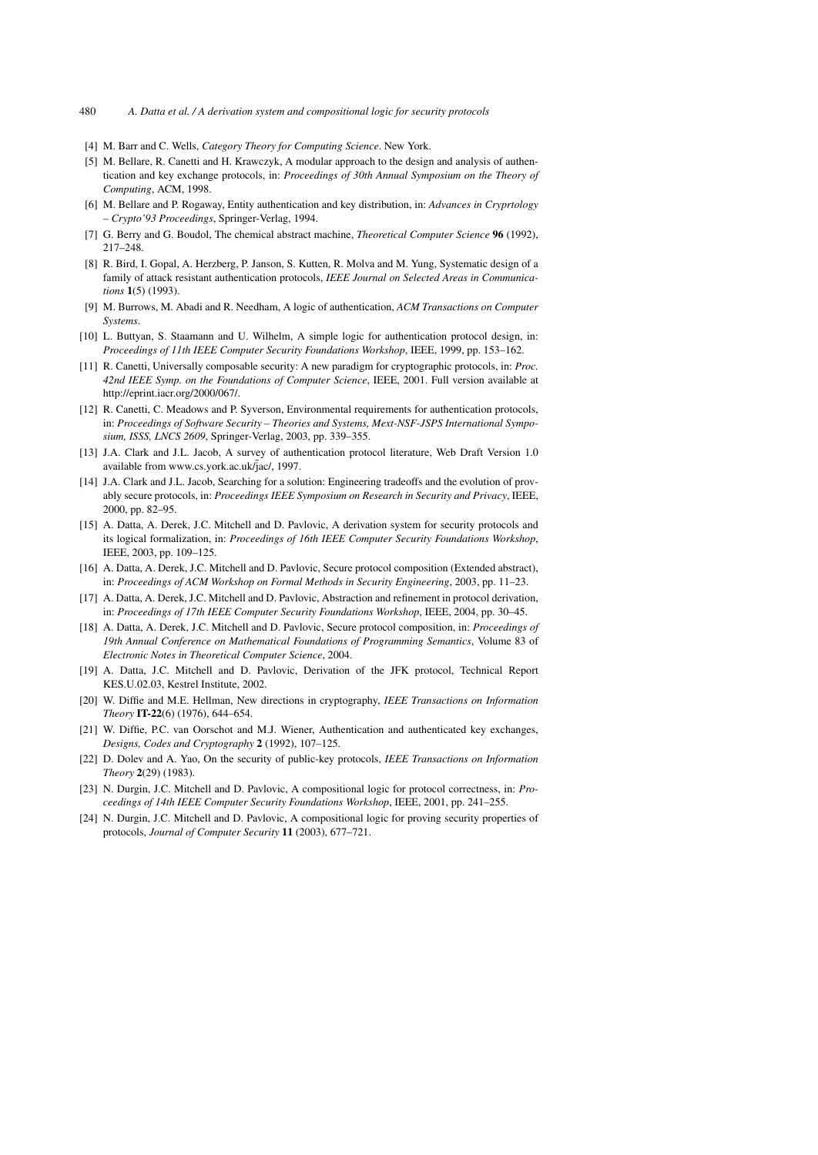- 480 *A. Datta et al. / A derivation system and compositional logic for security protocols*
- [4] M. Barr and C. Wells, *Category Theory for Computing Science*. New York.
- [5] M. Bellare, R. Canetti and H. Krawczyk, A modular approach to the design and analysis of authentication and key exchange protocols, in: *Proceedings of 30th Annual Symposium on the Theory of Computing*, ACM, 1998.
- [6] M. Bellare and P. Rogaway, Entity authentication and key distribution, in: *Advances in Cryprtology – Crypto'93 Proceedings*, Springer-Verlag, 1994.
- [7] G. Berry and G. Boudol, The chemical abstract machine, *Theoretical Computer Science* **96** (1992), 217–248.
- [8] R. Bird, I. Gopal, A. Herzberg, P. Janson, S. Kutten, R. Molva and M. Yung, Systematic design of a family of attack resistant authentication protocols, *IEEE Journal on Selected Areas in Communications* **1**(5) (1993).
- [9] M. Burrows, M. Abadi and R. Needham, A logic of authentication, *ACM Transactions on Computer Systems*.
- [10] L. Buttyan, S. Staamann and U. Wilhelm, A simple logic for authentication protocol design, in: *Proceedings of 11th IEEE Computer Security Foundations Workshop*, IEEE, 1999, pp. 153–162.
- [11] R. Canetti, Universally composable security: A new paradigm for cryptographic protocols, in: *Proc. 42nd IEEE Symp. on the Foundations of Computer Science*, IEEE, 2001. Full version available at http://eprint.iacr.org/2000/067/.
- [12] R. Canetti, C. Meadows and P. Syverson, Environmental requirements for authentication protocols, in: *Proceedings of Software Security – Theories and Systems, Mext-NSF-JSPS International Symposium, ISSS, LNCS 2609*, Springer-Verlag, 2003, pp. 339–355.
- [13] J.A. Clark and J.L. Jacob, A survey of authentication protocol literature, Web Draft Version 1.0 available from www.cs.york.ac.uk/jac/, 1997.
- [14] J.A. Clark and J.L. Jacob, Searching for a solution: Engineering tradeoffs and the evolution of provably secure protocols, in: *Proceedings IEEE Symposium on Research in Security and Privacy*, IEEE, 2000, pp. 82–95.
- [15] A. Datta, A. Derek, J.C. Mitchell and D. Pavlovic, A derivation system for security protocols and its logical formalization, in: *Proceedings of 16th IEEE Computer Security Foundations Workshop*, IEEE, 2003, pp. 109–125.
- [16] A. Datta, A. Derek, J.C. Mitchell and D. Pavlovic, Secure protocol composition (Extended abstract), in: *Proceedings of ACM Workshop on Formal Methods in Security Engineering*, 2003, pp. 11–23.
- [17] A. Datta, A. Derek, J.C. Mitchell and D. Pavlovic, Abstraction and refinement in protocol derivation. in: *Proceedings of 17th IEEE Computer Security Foundations Workshop*, IEEE, 2004, pp. 30–45.
- [18] A. Datta, A. Derek, J.C. Mitchell and D. Pavlovic, Secure protocol composition, in: *Proceedings of 19th Annual Conference on Mathematical Foundations of Programming Semantics*, Volume 83 of *Electronic Notes in Theoretical Computer Science*, 2004.
- [19] A. Datta, J.C. Mitchell and D. Pavlovic, Derivation of the JFK protocol, Technical Report KES.U.02.03, Kestrel Institute, 2002.
- [20] W. Diffie and M.E. Hellman, New directions in cryptography, *IEEE Transactions on Information Theory* **IT-22**(6) (1976), 644–654.
- [21] W. Diffie, P.C. van Oorschot and M.J. Wiener, Authentication and authenticated key exchanges, *Designs, Codes and Cryptography* **2** (1992), 107–125.
- [22] D. Dolev and A. Yao, On the security of public-key protocols, *IEEE Transactions on Information Theory* **2**(29) (1983).
- [23] N. Durgin, J.C. Mitchell and D. Pavlovic, A compositional logic for protocol correctness, in: *Proceedings of 14th IEEE Computer Security Foundations Workshop*, IEEE, 2001, pp. 241–255.
- [24] N. Durgin, J.C. Mitchell and D. Pavlovic, A compositional logic for proving security properties of protocols, *Journal of Computer Security* **11** (2003), 677–721.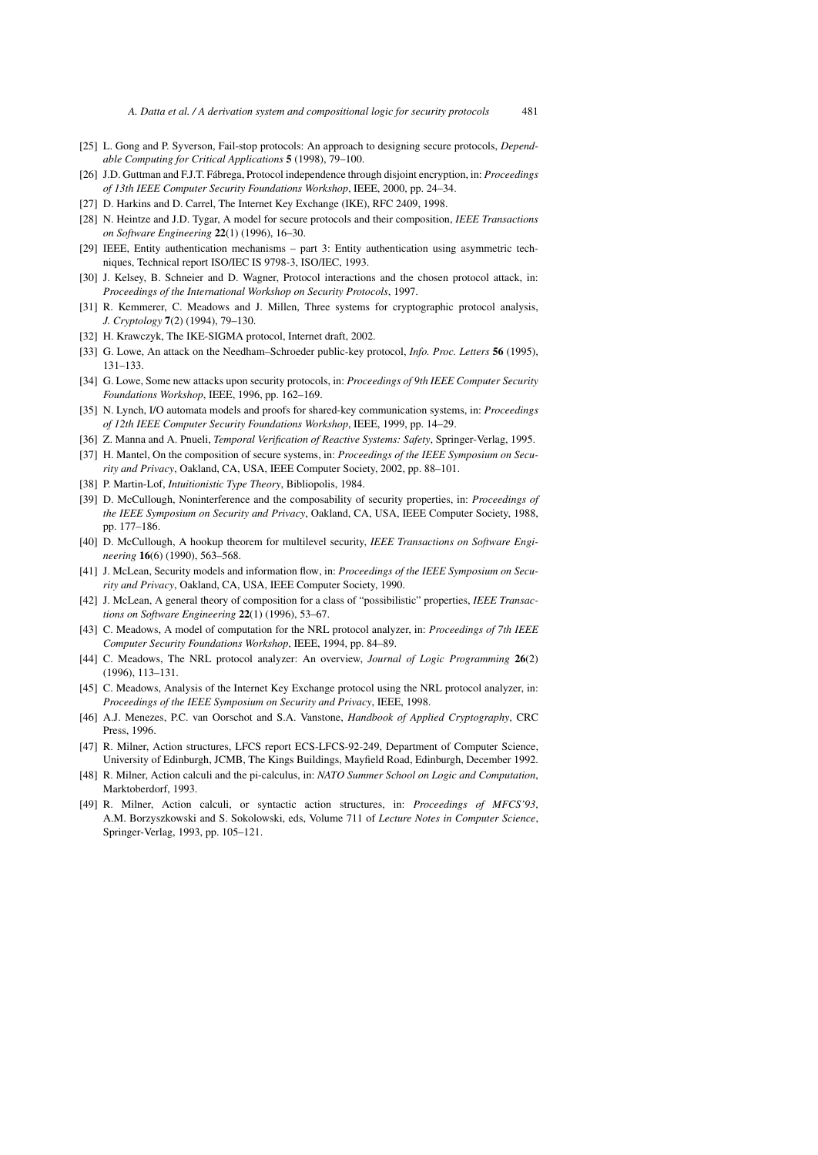- [25] L. Gong and P. Syverson, Fail-stop protocols: An approach to designing secure protocols, *Dependable Computing for Critical Applications* **5** (1998), 79–100.
- [26] J.D. Guttman and F.J.T. Fábrega, Protocol independence through disjoint encryption, in: *Proceedings of 13th IEEE Computer Security Foundations Workshop*, IEEE, 2000, pp. 24–34.
- [27] D. Harkins and D. Carrel, The Internet Key Exchange (IKE), RFC 2409, 1998.
- [28] N. Heintze and J.D. Tygar, A model for secure protocols and their composition, *IEEE Transactions on Software Engineering* **22**(1) (1996), 16–30.
- [29] IEEE, Entity authentication mechanisms part 3: Entity authentication using asymmetric techniques, Technical report ISO/IEC IS 9798-3, ISO/IEC, 1993.
- [30] J. Kelsey, B. Schneier and D. Wagner, Protocol interactions and the chosen protocol attack, in: *Proceedings of the International Workshop on Security Protocols*, 1997.
- [31] R. Kemmerer, C. Meadows and J. Millen, Three systems for cryptographic protocol analysis, *J. Cryptology* **7**(2) (1994), 79–130.
- [32] H. Krawczyk, The IKE-SIGMA protocol, Internet draft, 2002.
- [33] G. Lowe, An attack on the Needham–Schroeder public-key protocol, *Info. Proc. Letters* **56** (1995), 131–133.
- [34] G. Lowe, Some new attacks upon security protocols, in: *Proceedings of 9th IEEE Computer Security Foundations Workshop*, IEEE, 1996, pp. 162–169.
- [35] N. Lynch, I/O automata models and proofs for shared-key communication systems, in: *Proceedings of 12th IEEE Computer Security Foundations Workshop*, IEEE, 1999, pp. 14–29.
- [36] Z. Manna and A. Pnueli, *Temporal Verification of Reactive Systems: Safety*, Springer-Verlag, 1995.
- [37] H. Mantel, On the composition of secure systems, in: *Proceedings of the IEEE Symposium on Security and Privacy*, Oakland, CA, USA, IEEE Computer Society, 2002, pp. 88–101.
- [38] P. Martin-Lof, *Intuitionistic Type Theory*, Bibliopolis, 1984.
- [39] D. McCullough, Noninterference and the composability of security properties, in: *Proceedings of the IEEE Symposium on Security and Privacy*, Oakland, CA, USA, IEEE Computer Society, 1988, pp. 177–186.
- [40] D. McCullough, A hookup theorem for multilevel security, *IEEE Transactions on Software Engineering* **16**(6) (1990), 563–568.
- [41] J. McLean, Security models and information flow, in: *Proceedings of the IEEE Symposium on Security and Privacy*, Oakland, CA, USA, IEEE Computer Society, 1990.
- [42] J. McLean, A general theory of composition for a class of "possibilistic" properties, *IEEE Transactions on Software Engineering* **22**(1) (1996), 53–67.
- [43] C. Meadows, A model of computation for the NRL protocol analyzer, in: *Proceedings of 7th IEEE Computer Security Foundations Workshop*, IEEE, 1994, pp. 84–89.
- [44] C. Meadows, The NRL protocol analyzer: An overview, *Journal of Logic Programming* **26**(2) (1996), 113–131.
- [45] C. Meadows, Analysis of the Internet Key Exchange protocol using the NRL protocol analyzer, in: *Proceedings of the IEEE Symposium on Security and Privacy*, IEEE, 1998.
- [46] A.J. Menezes, P.C. van Oorschot and S.A. Vanstone, *Handbook of Applied Cryptography*, CRC Press, 1996.
- [47] R. Milner, Action structures, LFCS report ECS-LFCS-92-249, Department of Computer Science, University of Edinburgh, JCMB, The Kings Buildings, Mayfield Road, Edinburgh, December 1992.
- [48] R. Milner, Action calculi and the pi-calculus, in: *NATO Summer School on Logic and Computation*, Marktoberdorf, 1993.
- [49] R. Milner, Action calculi, or syntactic action structures, in: *Proceedings of MFCS'93*, A.M. Borzyszkowski and S. Sokolowski, eds, Volume 711 of *Lecture Notes in Computer Science*, Springer-Verlag, 1993, pp. 105–121.